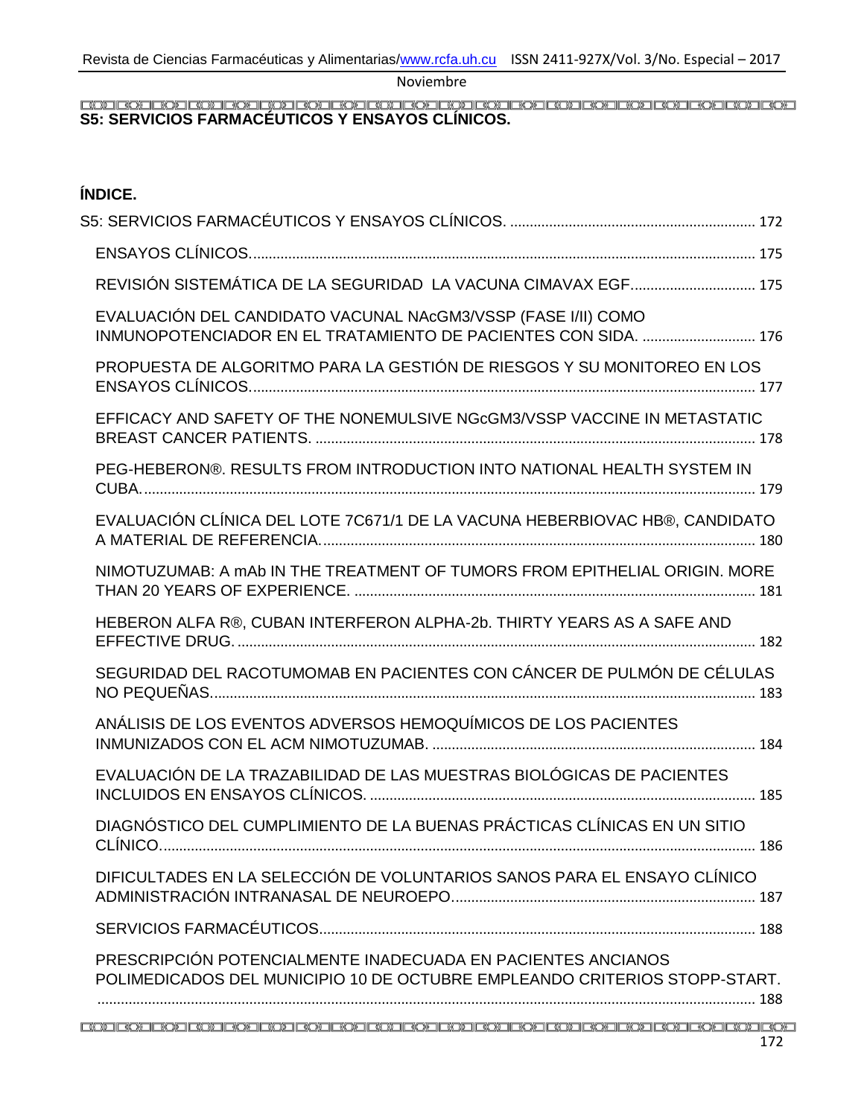# <span id="page-0-0"></span>**S5: SERVICIOS FARMACÉUTICOS Y ENSAYOS CLÍNICOS.**

## **ÍNDICE.**

| REVISIÓN SISTEMÁTICA DE LA SEGURIDAD LA VACUNA CIMAVAX EGF 175                                                                             |
|--------------------------------------------------------------------------------------------------------------------------------------------|
| EVALUACIÓN DEL CANDIDATO VACUNAL NAcGM3/VSSP (FASE I/II) COMO                                                                              |
| PROPUESTA DE ALGORITMO PARA LA GESTIÓN DE RIESGOS Y SU MONITOREO EN LOS                                                                    |
| EFFICACY AND SAFETY OF THE NONEMULSIVE NGcGM3/VSSP VACCINE IN METASTATIC                                                                   |
| PEG-HEBERON®. RESULTS FROM INTRODUCTION INTO NATIONAL HEALTH SYSTEM IN                                                                     |
| EVALUACIÓN CLÍNICA DEL LOTE 7C671/1 DE LA VACUNA HEBERBIOVAC HB®, CANDIDATO                                                                |
| NIMOTUZUMAB: A mAb IN THE TREATMENT OF TUMORS FROM EPITHELIAL ORIGIN, MORE                                                                 |
| HEBERON ALFA R®, CUBAN INTERFERON ALPHA-2b. THIRTY YEARS AS A SAFE AND                                                                     |
| SEGURIDAD DEL RACOTUMOMAB EN PACIENTES CON CÁNCER DE PULMÓN DE CÉLULAS                                                                     |
| ANÁLISIS DE LOS EVENTOS ADVERSOS HEMOQUÍMICOS DE LOS PACIENTES                                                                             |
| EVALUACIÓN DE LA TRAZABILIDAD DE LAS MUESTRAS BIOLÓGICAS DE PACIENTES                                                                      |
| DIAGNÓSTICO DEL CUMPLIMIENTO DE LA BUENAS PRÁCTICAS CLÍNICAS EN UN SITIO                                                                   |
| DIFICULTADES EN LA SELECCIÓN DE VOLUNTARIOS SANOS PARA EL ENSAYO CLÍNICO                                                                   |
|                                                                                                                                            |
| PRESCRIPCIÓN POTENCIALMENTE INADECUADA EN PACIENTES ANCIANOS<br>POLIMEDICADOS DEL MUNICIPIO 10 DE OCTUBRE EMPLEANDO CRITERIOS STOPP-START. |
| 172                                                                                                                                        |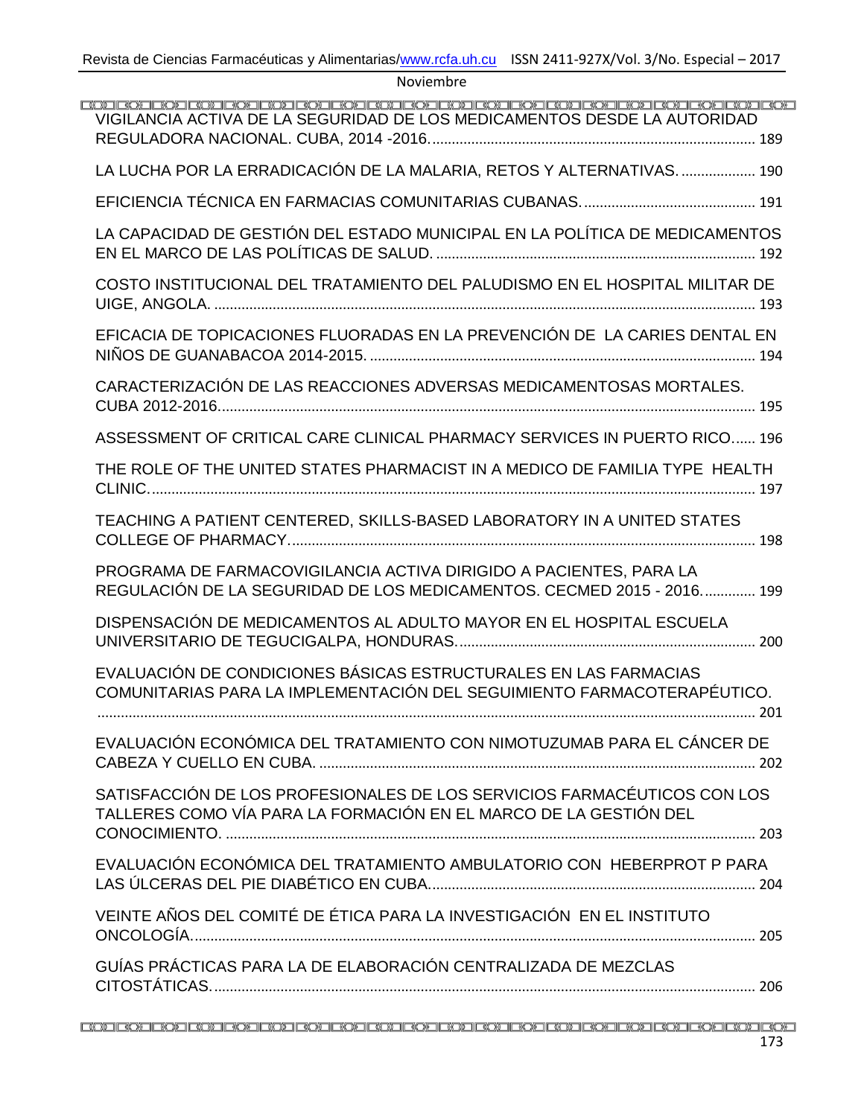| <u>EO EO EO ERO EO EO EO EO EO EO EO EO EO EO EO EO ERO EO EO EO EO EO EO EO EO EO E</u><br>VIGILANCIA ACTIVA DE LA SEGURIDAD DE LOS MEDICAMENTOS DESDE LA AUTORIDAD |
|----------------------------------------------------------------------------------------------------------------------------------------------------------------------|
| LA LUCHA POR LA ERRADICACIÓN DE LA MALARIA, RETOS Y ALTERNATIVAS 190                                                                                                 |
|                                                                                                                                                                      |
| LA CAPACIDAD DE GESTIÓN DEL ESTADO MUNICIPAL EN LA POLÍTICA DE MEDICAMENTOS                                                                                          |
| COSTO INSTITUCIONAL DEL TRATAMIENTO DEL PALUDISMO EN EL HOSPITAL MILITAR DE                                                                                          |
| EFICACIA DE TOPICACIONES FLUORADAS EN LA PREVENCIÓN DE LA CARIES DENTAL EN                                                                                           |
| CARACTERIZACIÓN DE LAS REACCIONES ADVERSAS MEDICAMENTOSAS MORTALES.                                                                                                  |
| ASSESSMENT OF CRITICAL CARE CLINICAL PHARMACY SERVICES IN PUERTO RICO 196                                                                                            |
| THE ROLE OF THE UNITED STATES PHARMACIST IN A MEDICO DE FAMILIA TYPE HEALTH                                                                                          |
| TEACHING A PATIENT CENTERED, SKILLS-BASED LABORATORY IN A UNITED STATES                                                                                              |
| PROGRAMA DE FARMACOVIGILANCIA ACTIVA DIRIGIDO A PACIENTES, PARA LA<br>REGULACIÓN DE LA SEGURIDAD DE LOS MEDICAMENTOS. CECMED 2015 - 2016 199                         |
| DISPENSACIÓN DE MEDICAMENTOS AL ADULTO MAYOR EN EL HOSPITAL ESCUELA                                                                                                  |
| EVALUACIÓN DE CONDICIONES BÁSICAS ESTRUCTURALES EN LAS FARMACIAS<br>COMUNITARIAS PARA LA IMPLEMENTACIÓN DEL SEGUIMIENTO FARMACOTERAPÉUTICO.                          |
| EVALUACIÓN ECONÓMICA DEL TRATAMIENTO CON NIMOTUZUMAB PARA EL CÁNCER DE                                                                                               |
| SATISFACCIÓN DE LOS PROFESIONALES DE LOS SERVICIOS FARMACÉUTICOS CON LOS<br>TALLERES COMO VÍA PARA LA FORMACIÓN EN EL MARCO DE LA GESTIÓN DEL                        |
| EVALUACIÓN ECONÓMICA DEL TRATAMIENTO AMBULATORIO CON HEBERPROT P PARA                                                                                                |
| VEINTE AÑOS DEL COMITÉ DE ÉTICA PARA LA INVESTIGACIÓN EN EL INSTITUTO                                                                                                |
| GUÍAS PRÁCTICAS PARA LA DE ELABORACIÓN CENTRALIZADA DE MEZCLAS                                                                                                       |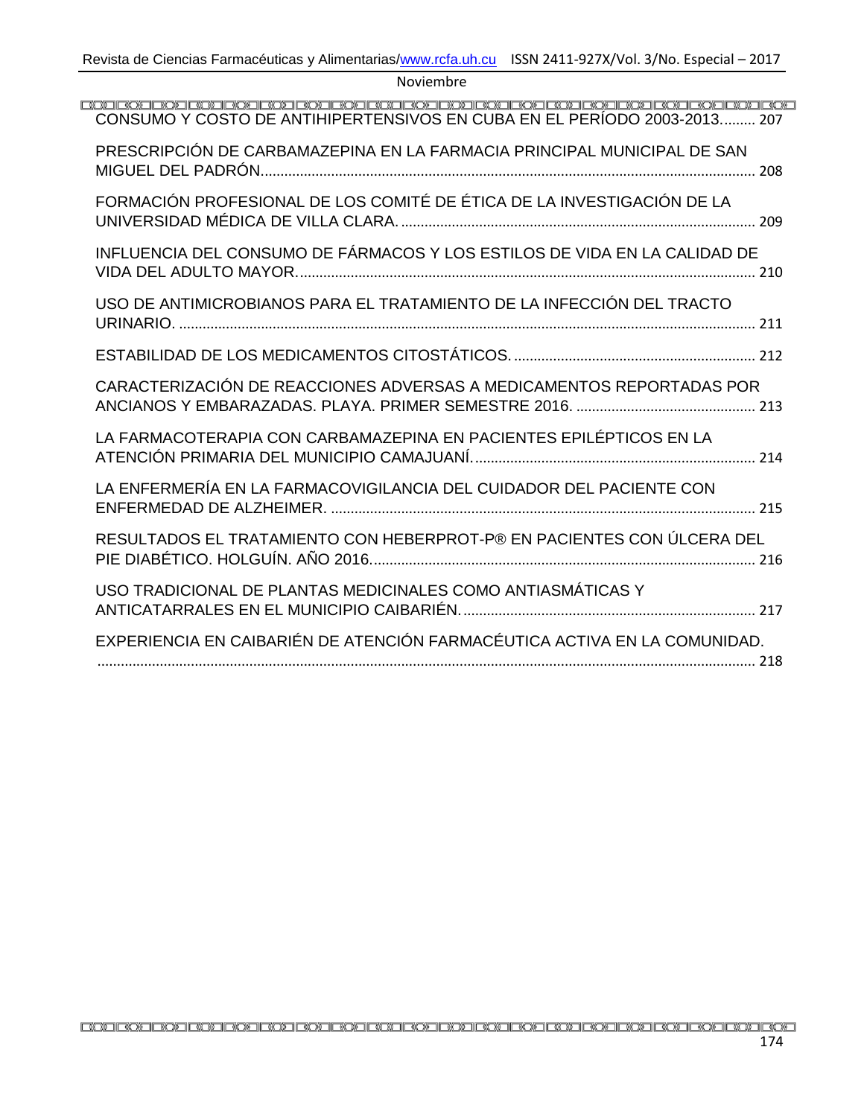| CONSUMO Y COSTO DE ANTIHIPERTENSIVOS EN CUBA EN EL PERÍODO 2003-2013 207  |  |
|---------------------------------------------------------------------------|--|
| PRESCRIPCIÓN DE CARBAMAZEPINA EN LA FARMACIA PRINCIPAL MUNICIPAL DE SAN   |  |
| FORMACIÓN PROFESIONAL DE LOS COMITÉ DE ÉTICA DE LA INVESTIGACIÓN DE LA    |  |
| INFLUENCIA DEL CONSUMO DE FÁRMACOS Y LOS ESTILOS DE VIDA EN LA CALIDAD DE |  |
| USO DE ANTIMICROBIANOS PARA EL TRATAMIENTO DE LA INFECCIÓN DEL TRACTO     |  |
|                                                                           |  |
| CARACTERIZACIÓN DE REACCIONES ADVERSAS A MEDICAMENTOS REPORTADAS POR      |  |
| LA FARMACOTERAPIA CON CARBAMAZEPINA EN PACIENTES EPILÉPTICOS EN LA        |  |
| LA ENFERMERÍA EN LA FARMACOVIGILANCIA DEL CUIDADOR DEL PACIENTE CON       |  |
| RESULTADOS EL TRATAMIENTO CON HEBERPROT-P® EN PACIENTES CON ÚLCERA DEL    |  |
| USO TRADICIONAL DE PLANTAS MEDICINALES COMO ANTIASMÁTICAS Y               |  |
| EXPERIENCIA EN CAIBARIÉN DE ATENCIÓN FARMACÉUTICA ACTIVA EN LA COMUNIDAD. |  |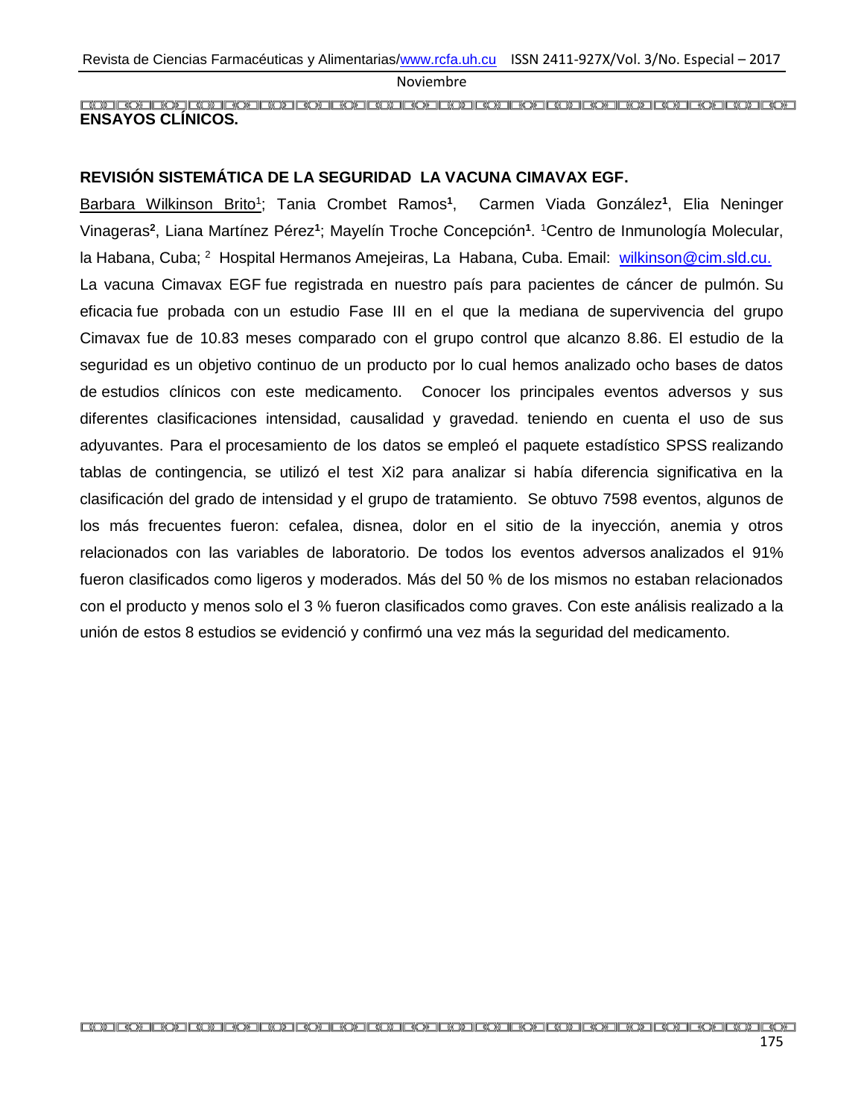#### <span id="page-3-0"></span>**ENSAYOS CLÍNICOS.**

#### <span id="page-3-1"></span>**REVISIÓN SISTEMÁTICA DE LA SEGURIDAD LA VACUNA CIMAVAX EGF.**

Barbara Wilkinson Brito<sup>1</sup>; Tania Crombet Ramos<sup>1</sup>, Carmen Viada González<sup>1</sup>, Elia Neninger Vinageras**<sup>2</sup>** , Liana Martínez Pérez**<sup>1</sup>** ; Mayelín Troche Concepción**<sup>1</sup>** . <sup>1</sup>Centro de Inmunología Molecular, la Habana, Cuba; <sup>2</sup> Hospital Hermanos Amejeiras, La Habana, Cuba. Email: [wilkinson@cim.sld.cu.](mailto:wilkinson@cim.sld.cu) La vacuna Cimavax EGF fue registrada en nuestro país para pacientes de cáncer de pulmón. Su eficacia fue probada con un estudio Fase III en el que la mediana de supervivencia del grupo Cimavax fue de 10.83 meses comparado con el grupo control que alcanzo 8.86. El estudio de la seguridad es un objetivo continuo de un producto por lo cual hemos analizado ocho bases de datos de estudios clínicos con este medicamento. Conocer los principales eventos adversos y sus diferentes clasificaciones intensidad, causalidad y gravedad. teniendo en cuenta el uso de sus adyuvantes. Para el procesamiento de los datos se empleó el paquete estadístico SPSS realizando tablas de contingencia, se utilizó el test Xi2 para analizar si había diferencia significativa en la clasificación del grado de intensidad y el grupo de tratamiento. Se obtuvo 7598 eventos, algunos de los más frecuentes fueron: cefalea, disnea, dolor en el sitio de la inyección, anemia y otros relacionados con las variables de laboratorio. De todos los eventos adversos analizados el 91% fueron clasificados como ligeros y moderados. Más del 50 % de los mismos no estaban relacionados con el producto y menos solo el 3 % fueron clasificados como graves. Con este análisis realizado a la unión de estos 8 estudios se evidenció y confirmó una vez más la seguridad del medicamento.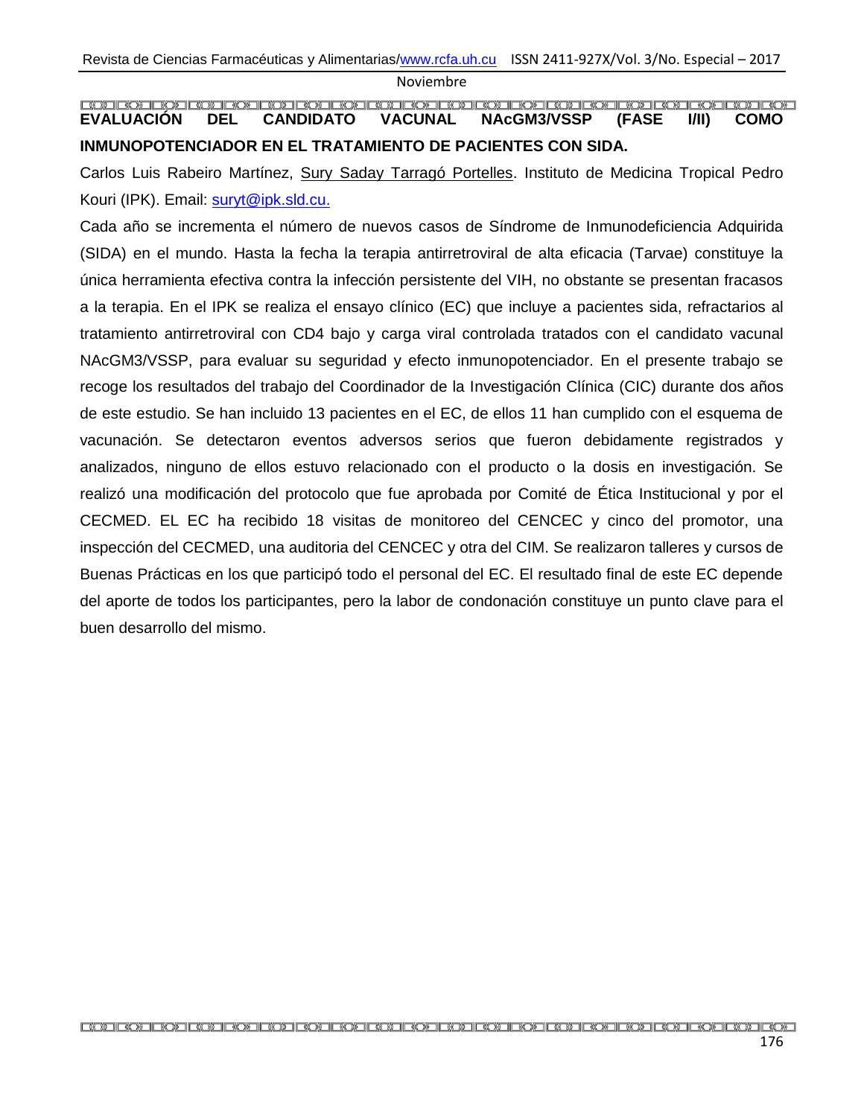<span id="page-4-0"></span>**EVALUACIÓN DEL CANDIDATO VACUNAL NAcGM3/VSSP (FASE I/II) COMO INMUNOPOTENCIADOR EN EL TRATAMIENTO DE PACIENTES CON SIDA.**

Carlos Luis Rabeiro Martínez, Sury Saday Tarragó Portelles. Instituto de Medicina Tropical Pedro Kouri (IPK). Email: [suryt@ipk.sld.cu.](mailto:suryt@ipk.sld.cu)

Cada año se incrementa el número de nuevos casos de Síndrome de Inmunodeficiencia Adquirida (SIDA) en el mundo. Hasta la fecha la terapia antirretroviral de alta eficacia (Tarvae) constituye la única herramienta efectiva contra la infección persistente del VIH, no obstante se presentan fracasos a la terapia. En el IPK se realiza el ensayo clínico (EC) que incluye a pacientes sida, refractarios al tratamiento antirretroviral con CD4 bajo y carga viral controlada tratados con el candidato vacunal NAcGM3/VSSP, para evaluar su seguridad y efecto inmunopotenciador. En el presente trabajo se recoge los resultados del trabajo del Coordinador de la Investigación Clínica (CIC) durante dos años de este estudio. Se han incluido 13 pacientes en el EC, de ellos 11 han cumplido con el esquema de vacunación. Se detectaron eventos adversos serios que fueron debidamente registrados y analizados, ninguno de ellos estuvo relacionado con el producto o la dosis en investigación. Se realizó una modificación del protocolo que fue aprobada por Comité de Ética Institucional y por el CECMED. EL EC ha recibido 18 visitas de monitoreo del CENCEC y cinco del promotor, una inspección del CECMED, una auditoria del CENCEC y otra del CIM. Se realizaron talleres y cursos de Buenas Prácticas en los que participó todo el personal del EC. El resultado final de este EC depende del aporte de todos los participantes, pero la labor de condonación constituye un punto clave para el buen desarrollo del mismo.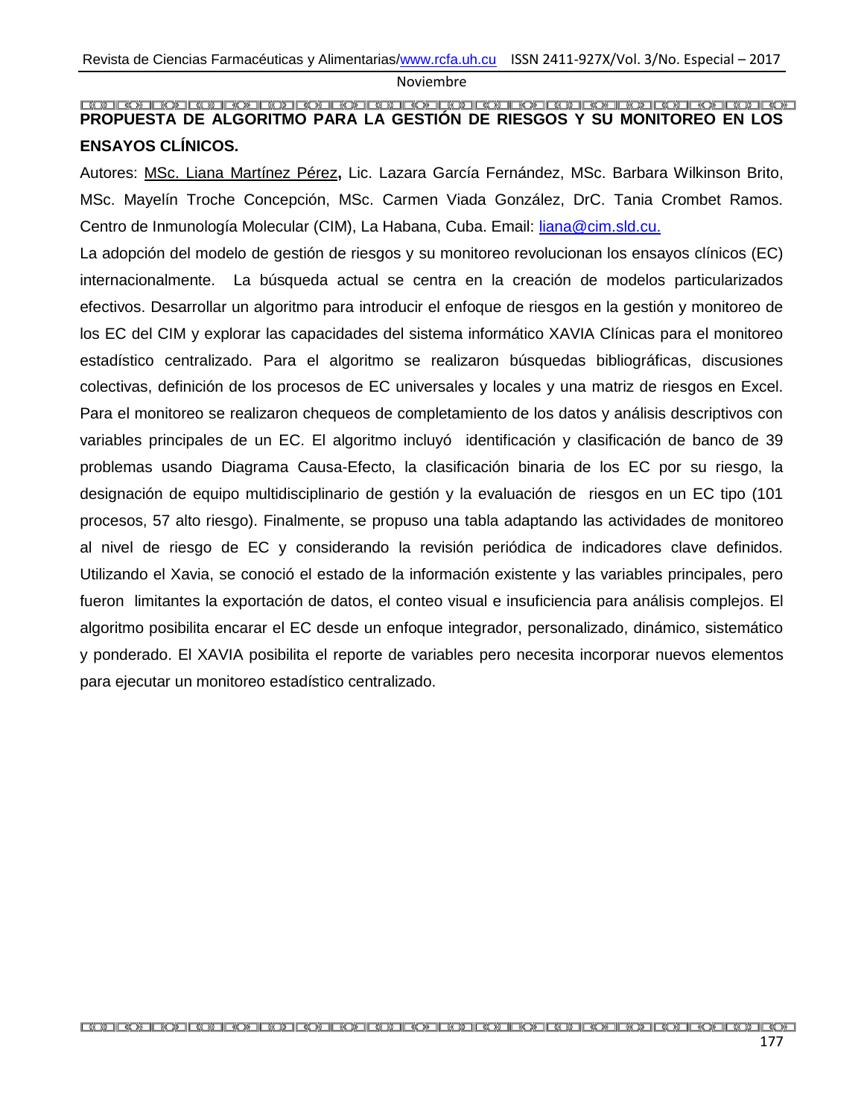#### <span id="page-5-0"></span>**PROPUESTA DE ALGORITMO PARA LA GESTIÓN DE RIESGOS Y SU MONITOREO EN LOS ENSAYOS CLÍNICOS.**

Autores: MSc. Liana Martínez Pérez**,** Lic. Lazara García Fernández, MSc. Barbara Wilkinson Brito, MSc. Mayelín Troche Concepción, MSc. Carmen Viada González, DrC. Tania Crombet Ramos. Centro de Inmunología Molecular (CIM), La Habana, Cuba. Email: [liana@cim.sld.cu.](mailto:liana@cim.sld.cu)

La adopción del modelo de gestión de riesgos y su monitoreo revolucionan los ensayos clínicos (EC) internacionalmente. La búsqueda actual se centra en la creación de modelos particularizados efectivos. Desarrollar un algoritmo para introducir el enfoque de riesgos en la gestión y monitoreo de los EC del CIM y explorar las capacidades del sistema informático XAVIA Clínicas para el monitoreo estadístico centralizado. Para el algoritmo se realizaron búsquedas bibliográficas, discusiones colectivas, definición de los procesos de EC universales y locales y una matriz de riesgos en Excel. Para el monitoreo se realizaron chequeos de completamiento de los datos y análisis descriptivos con variables principales de un EC. El algoritmo incluyó identificación y clasificación de banco de 39 problemas usando Diagrama Causa-Efecto, la clasificación binaria de los EC por su riesgo, la designación de equipo multidisciplinario de gestión y la evaluación de riesgos en un EC tipo (101 procesos, 57 alto riesgo). Finalmente, se propuso una tabla adaptando las actividades de monitoreo al nivel de riesgo de EC y considerando la revisión periódica de indicadores clave definidos. Utilizando el Xavia, se conoció el estado de la información existente y las variables principales, pero fueron limitantes la exportación de datos, el conteo visual e insuficiencia para análisis complejos. El algoritmo posibilita encarar el EC desde un enfoque integrador, personalizado, dinámico, sistemático y ponderado. El XAVIA posibilita el reporte de variables pero necesita incorporar nuevos elementos para ejecutar un monitoreo estadístico centralizado.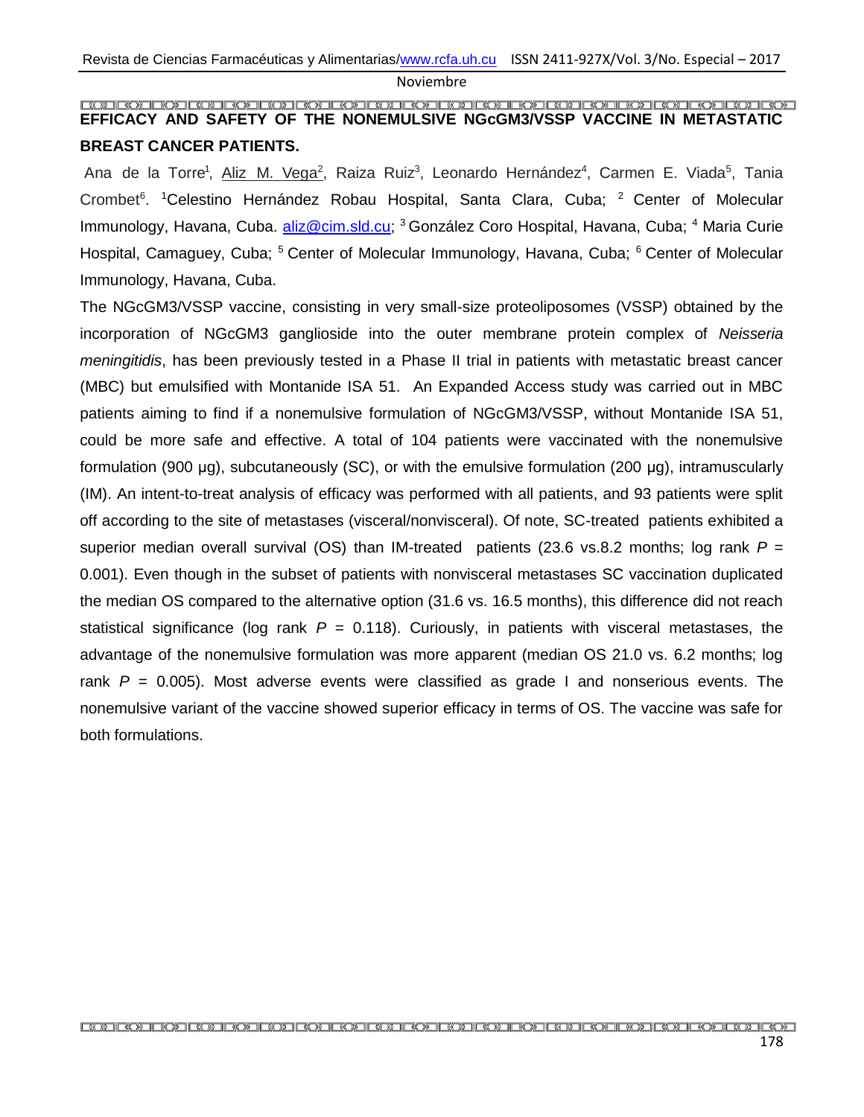#### <span id="page-6-0"></span>**EFFICACY AND SAFETY OF THE NONEMULSIVE NGcGM3/VSSP VACCINE IN METASTATIC BREAST CANCER PATIENTS.**

Ana de la Torre<sup>1</sup>, Aliz M. Vega<sup>2</sup>, Raiza Ruiz<sup>3</sup>, Leonardo Hernández<sup>4</sup>, Carmen E. Viada<sup>5</sup>, Tania Crombet<sup>6</sup>. <sup>1</sup>Celestino Hernández Robau Hospital, Santa Clara, Cuba; <sup>2</sup> Center of Molecular Immunology, Havana, Cuba. [aliz@cim.sld.cu;](mailto:aliz@cim.sld.cu) <sup>3</sup> González Coro Hospital, Havana, Cuba; <sup>4</sup> Maria Curie Hospital, Camaguey, Cuba; <sup>5</sup> Center of Molecular Immunology, Havana, Cuba; <sup>6</sup> Center of Molecular Immunology, Havana, Cuba.

The NGcGM3/VSSP vaccine, consisting in very small-size proteoliposomes (VSSP) obtained by the incorporation of NGcGM3 ganglioside into the outer membrane protein complex of *Neisseria meningitidis*, has been previously tested in a Phase II trial in patients with metastatic breast cancer (MBC) but emulsified with Montanide ISA 51. An Expanded Access study was carried out in MBC patients aiming to find if a nonemulsive formulation of NGcGM3/VSSP, without Montanide ISA 51, could be more safe and effective. A total of 104 patients were vaccinated with the nonemulsive formulation (900 μg), subcutaneously (SC), or with the emulsive formulation (200 μg), intramuscularly (IM). An intent-to-treat analysis of efficacy was performed with all patients, and 93 patients were split off according to the site of metastases (visceral/nonvisceral). Of note, SC-treated patients exhibited a superior median overall survival (OS) than IM-treated patients (23.6 vs.8.2 months; log rank *P* = 0.001). Even though in the subset of patients with nonvisceral metastases SC vaccination duplicated the median OS compared to the alternative option (31.6 vs. 16.5 months), this difference did not reach statistical significance (log rank  $P = 0.118$ ). Curiously, in patients with visceral metastases, the advantage of the nonemulsive formulation was more apparent (median OS 21.0 vs. 6.2 months; log rank *P* = 0.005). Most adverse events were classified as grade I and nonserious events. The nonemulsive variant of the vaccine showed superior efficacy in terms of OS. The vaccine was safe for both formulations.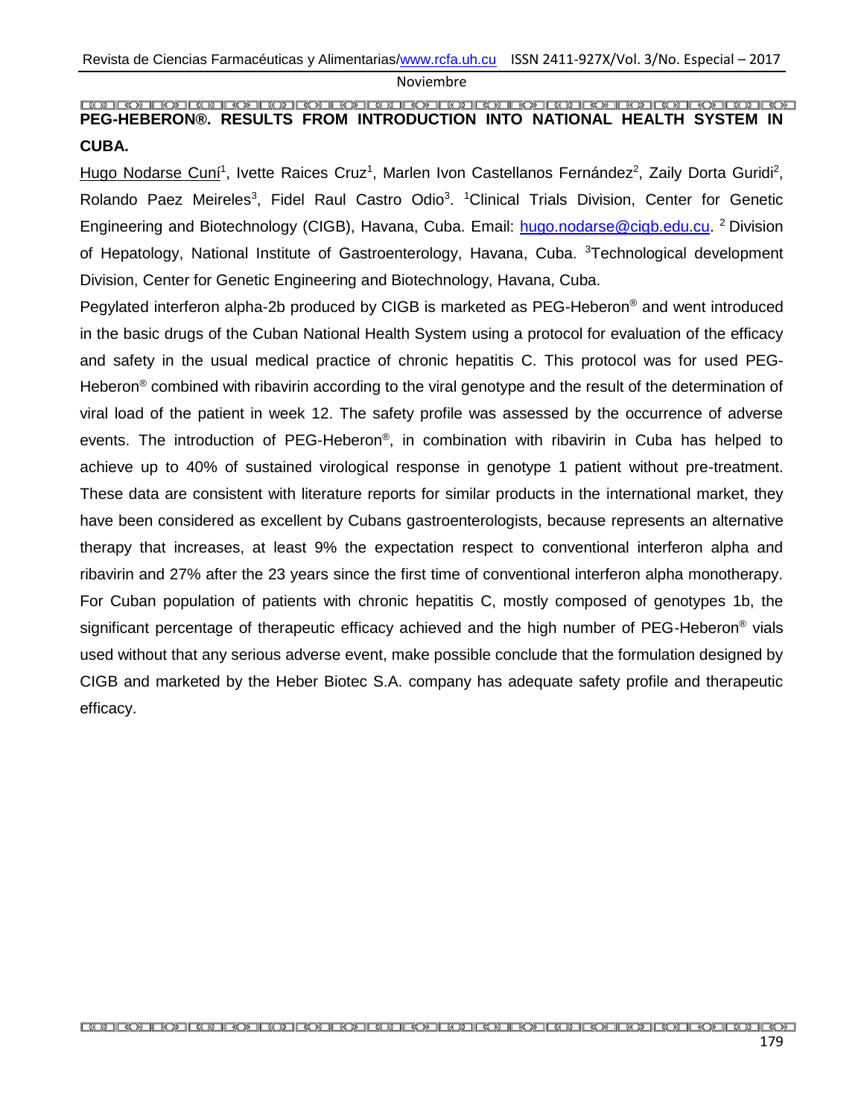#### <span id="page-7-0"></span>**PEG-HEBERON®. RESULTS FROM INTRODUCTION INTO NATIONAL HEALTH SYSTEM IN CUBA.**

Hugo Nodarse Cuní<sup>1</sup>, Ivette Raices Cruz<sup>1</sup>, Marlen Ivon Castellanos Fernández<sup>2</sup>, Zaily Dorta Guridi<sup>2</sup>, Rolando Paez Meireles<sup>3</sup>, Fidel Raul Castro Odio<sup>3</sup>. <sup>1</sup>Clinical Trials Division, Center for Genetic Engineering and Biotechnology (CIGB), Havana, Cuba. Email: [hugo.nodarse@cigb.edu.cu.](mailto:hugo.nodarse@cigb.edu.cu) <sup>2</sup> Division of Hepatology, National Institute of Gastroenterology, Havana, Cuba. <sup>3</sup>Technological development Division, Center for Genetic Engineering and Biotechnology, Havana, Cuba.

Pegylated interferon alpha-2b produced by CIGB is marketed as PEG-Heberon® and went introduced in the basic drugs of the Cuban National Health System using a protocol for evaluation of the efficacy and safety in the usual medical practice of chronic hepatitis C. This protocol was for used PEG-Heberon<sup>®</sup> combined with ribavirin according to the viral genotype and the result of the determination of viral load of the patient in week 12. The safety profile was assessed by the occurrence of adverse events. The introduction of PEG-Heberon®, in combination with ribavirin in Cuba has helped to achieve up to 40% of sustained virological response in genotype 1 patient without pre-treatment. These data are consistent with literature reports for similar products in the international market, they have been considered as excellent by Cubans gastroenterologists, because represents an alternative therapy that increases, at least 9% the expectation respect to conventional interferon alpha and ribavirin and 27% after the 23 years since the first time of conventional interferon alpha monotherapy. For Cuban population of patients with chronic hepatitis C, mostly composed of genotypes 1b, the significant percentage of therapeutic efficacy achieved and the high number of PEG-Heberon<sup>®</sup> vials used without that any serious adverse event, make possible conclude that the formulation designed by CIGB and marketed by the Heber Biotec S.A. company has adequate safety profile and therapeutic efficacy.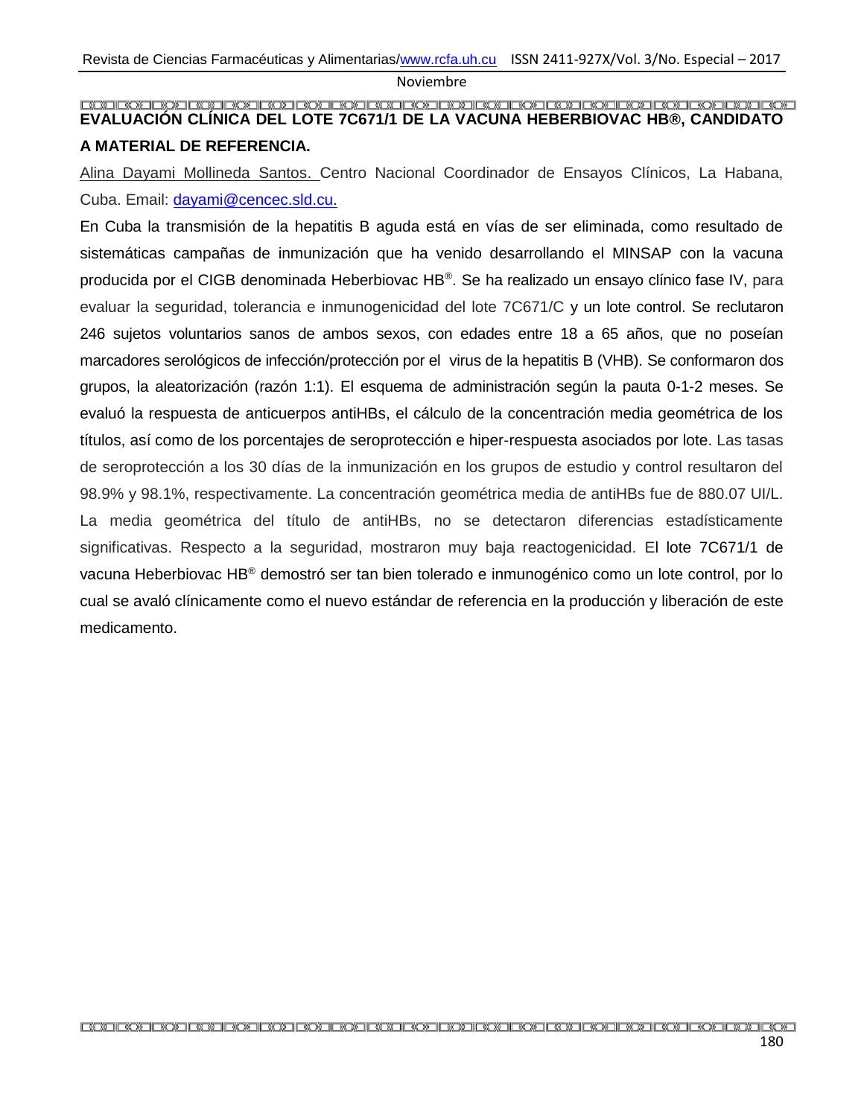### <span id="page-8-0"></span>**EVALUACIÓN CLÍNICA DEL LOTE 7C671/1 DE LA VACUNA HEBERBIOVAC HB®, CANDIDATO A MATERIAL DE REFERENCIA.**

Alina Dayami Mollineda Santos. Centro Nacional Coordinador de Ensayos Clínicos, La Habana, Cuba. Email: [dayami@cencec.sld.cu.](mailto:dayami@cencec.sld.cu)

En Cuba la transmisión de la hepatitis B aguda está en vías de ser eliminada, como resultado de sistemáticas campañas de inmunización que ha venido desarrollando el MINSAP con la vacuna producida por el CIGB denominada Heberbiovac HB®. Se ha realizado un ensayo clínico fase IV, para evaluar la seguridad, tolerancia e inmunogenicidad del lote 7C671/C y un lote control. Se reclutaron 246 sujetos voluntarios sanos de ambos sexos, con edades entre 18 a 65 años, que no poseían marcadores serológicos de infección/protección por el virus de la hepatitis B (VHB). Se conformaron dos grupos, la aleatorización (razón 1:1). El esquema de administración según la pauta 0-1-2 meses. Se evaluó la respuesta de anticuerpos antiHBs, el cálculo de la concentración media geométrica de los títulos, así como de los porcentajes de seroprotección e hiper-respuesta asociados por lote. Las tasas de seroprotección a los 30 días de la inmunización en los grupos de estudio y control resultaron del 98.9% y 98.1%, respectivamente. La concentración geométrica media de antiHBs fue de 880.07 UI/L. La media geométrica del título de antiHBs, no se detectaron diferencias estadísticamente significativas. Respecto a la seguridad, mostraron muy baja reactogenicidad. El lote 7C671/1 de vacuna Heberbiovac HB® demostró ser tan bien tolerado e inmunogénico como un lote control, por lo cual se avaló clínicamente como el nuevo estándar de referencia en la producción y liberación de este medicamento.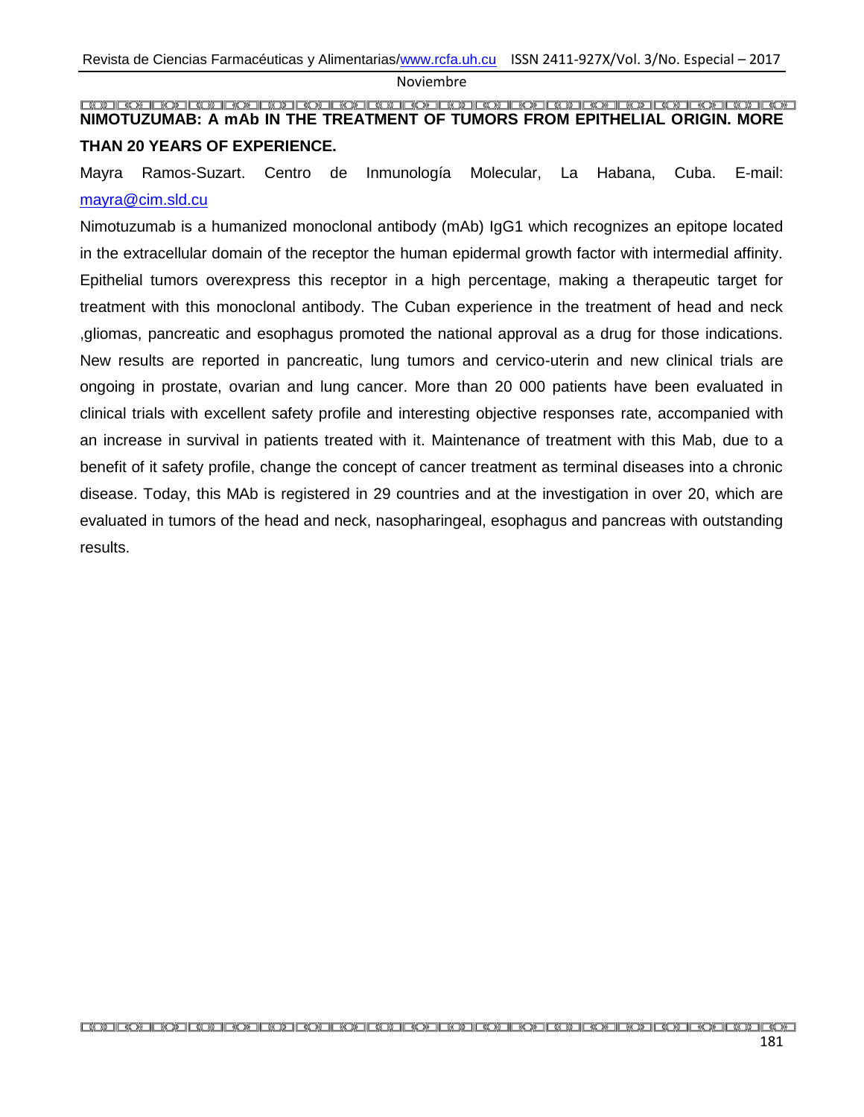#### <span id="page-9-0"></span>**NIMOTUZUMAB: A mAb IN THE TREATMENT OF TUMORS FROM EPITHELIAL ORIGIN. MORE THAN 20 YEARS OF EXPERIENCE.**

Mayra Ramos-Suzart. Centro de Inmunología Molecular, La Habana, Cuba. E-mail: [mayra@cim.sld.cu](mailto:mayra@cim.sld.cu)

Nimotuzumab is a humanized monoclonal antibody (mAb) IgG1 which recognizes an epitope located in the extracellular domain of the receptor the human epidermal growth factor with intermedial affinity. Epithelial tumors overexpress this receptor in a high percentage, making a therapeutic target for treatment with this monoclonal antibody. The Cuban experience in the treatment of head and neck ,gliomas, pancreatic and esophagus promoted the national approval as a drug for those indications. New results are reported in pancreatic, lung tumors and cervico-uterin and new clinical trials are ongoing in prostate, ovarian and lung cancer. More than 20 000 patients have been evaluated in clinical trials with excellent safety profile and interesting objective responses rate, accompanied with an increase in survival in patients treated with it. Maintenance of treatment with this Mab, due to a benefit of it safety profile, change the concept of cancer treatment as terminal diseases into a chronic disease. Today, this MAb is registered in 29 countries and at the investigation in over 20, which are evaluated in tumors of the head and neck, nasopharingeal, esophagus and pancreas with outstanding results.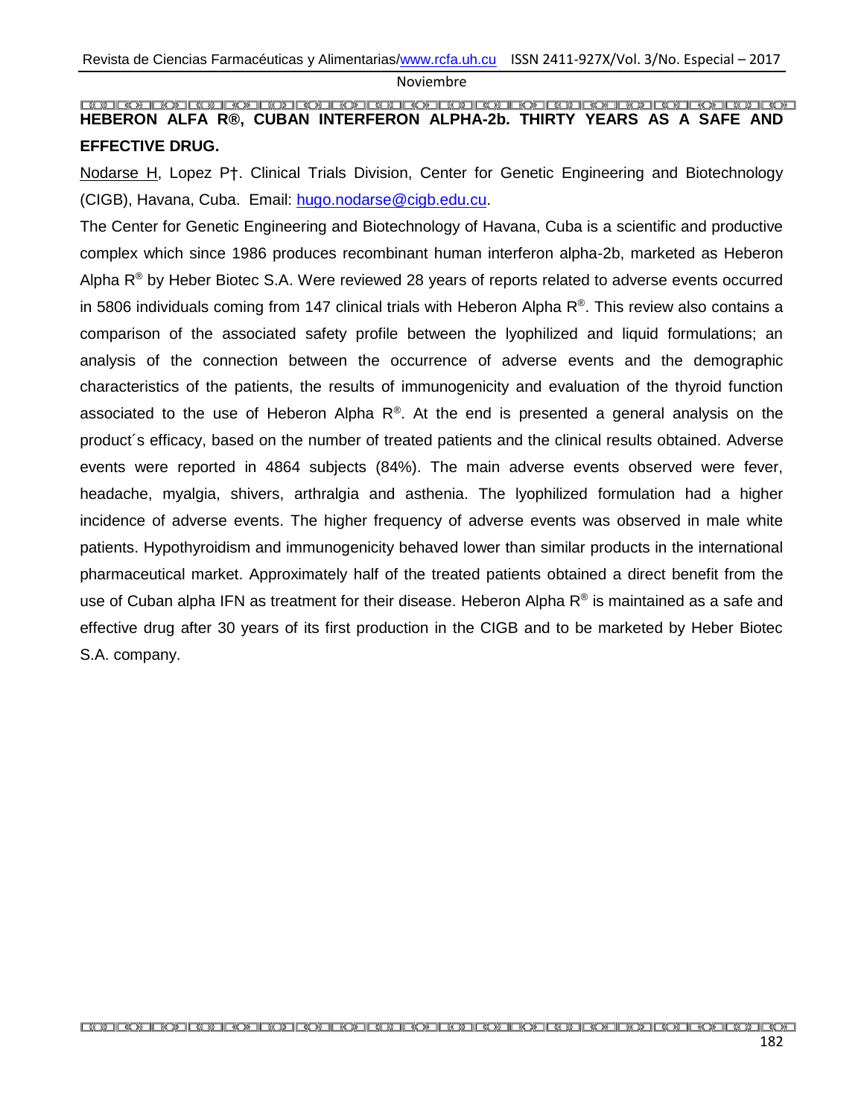<span id="page-10-0"></span>**HEBERON ALFA R®, CUBAN INTERFERON ALPHA-2b. THIRTY YEARS AS A SAFE AND EFFECTIVE DRUG.**

Nodarse H, Lopez P†. Clinical Trials Division, Center for Genetic Engineering and Biotechnology (CIGB), Havana, Cuba. Email: [hugo.nodarse@cigb.edu.cu.](mailto:hugo.nodarse@cigb.edu.cu)

The Center for Genetic Engineering and Biotechnology of Havana, Cuba is a scientific and productive complex which since 1986 produces recombinant human interferon alpha-2b, marketed as Heberon Alpha  $R^{\circledR}$  by Heber Biotec S.A. Were reviewed 28 years of reports related to adverse events occurred in 5806 individuals coming from 147 clinical trials with Heberon Alpha  $R^{\circ}$ . This review also contains a comparison of the associated safety profile between the lyophilized and liquid formulations; an analysis of the connection between the occurrence of adverse events and the demographic characteristics of the patients, the results of immunogenicity and evaluation of the thyroid function associated to the use of Heberon Alpha  $R^{\circledast}$ . At the end is presented a general analysis on the product´s efficacy, based on the number of treated patients and the clinical results obtained. Adverse events were reported in 4864 subjects (84%). The main adverse events observed were fever, headache, myalgia, shivers, arthralgia and asthenia. The lyophilized formulation had a higher incidence of adverse events. The higher frequency of adverse events was observed in male white patients. Hypothyroidism and immunogenicity behaved lower than similar products in the international pharmaceutical market. Approximately half of the treated patients obtained a direct benefit from the use of Cuban alpha IFN as treatment for their disease. Heberon Alpha  $R^{\circledast}$  is maintained as a safe and effective drug after 30 years of its first production in the CIGB and to be marketed by Heber Biotec S.A. company.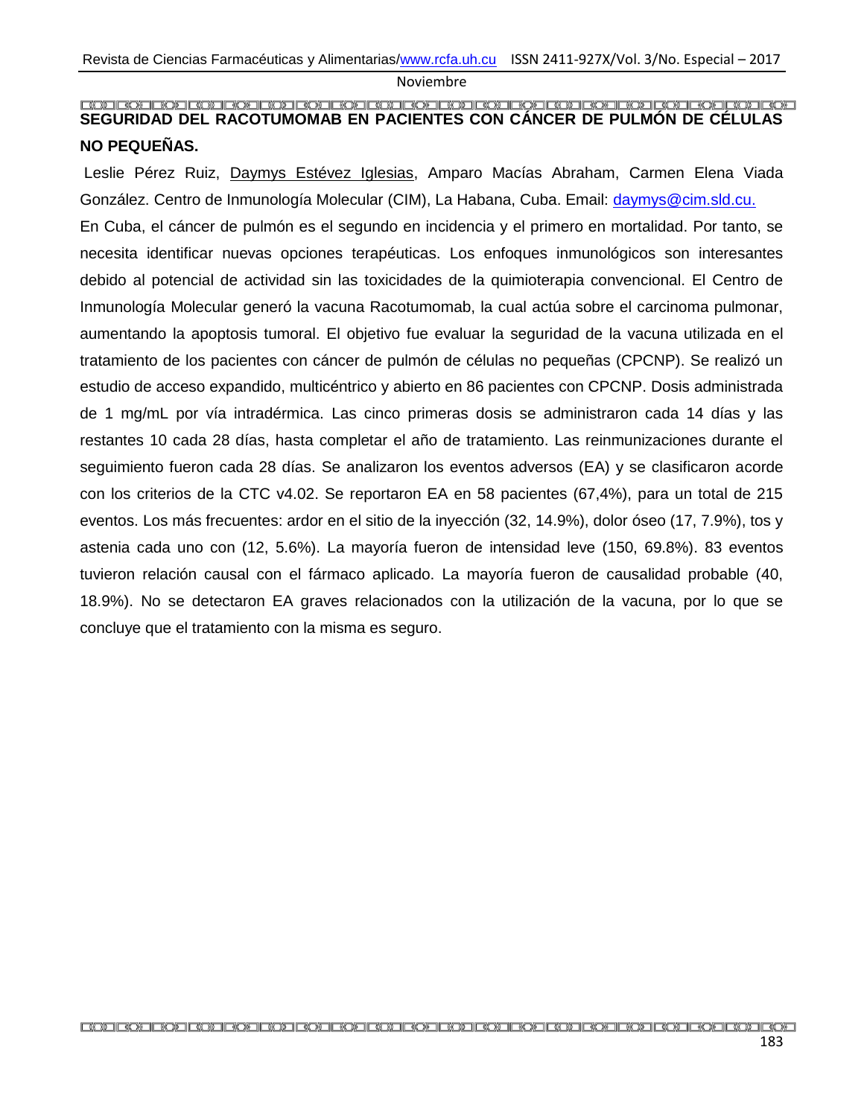#### <span id="page-11-0"></span>**SEGURIDAD DEL RACOTUMOMAB EN PACIENTES CON CÁNCER DE PULMÓN DE CÉLULAS NO PEQUEÑAS.**

Leslie Pérez Ruiz, Daymys Estévez Iglesias, Amparo Macías Abraham, Carmen Elena Viada González. Centro de Inmunología Molecular (CIM), La Habana, Cuba. Email: [daymys@cim.sld.cu.](mailto:daymys@cim.sld.cu) En Cuba, el cáncer de pulmón es el segundo en incidencia y el primero en mortalidad. Por tanto, se necesita identificar nuevas opciones terapéuticas. Los enfoques inmunológicos son interesantes debido al potencial de actividad sin las toxicidades de la quimioterapia convencional. El Centro de Inmunología Molecular generó la vacuna Racotumomab, la cual actúa sobre el carcinoma pulmonar, aumentando la apoptosis tumoral. El objetivo fue evaluar la seguridad de la vacuna utilizada en el tratamiento de los pacientes con cáncer de pulmón de células no pequeñas (CPCNP). Se realizó un estudio de acceso expandido, multicéntrico y abierto en 86 pacientes con CPCNP. Dosis administrada de 1 mg/mL por vía intradérmica. Las cinco primeras dosis se administraron cada 14 días y las restantes 10 cada 28 días, hasta completar el año de tratamiento. Las reinmunizaciones durante el seguimiento fueron cada 28 días. Se analizaron los eventos adversos (EA) y se clasificaron acorde con los criterios de la CTC v4.02. Se reportaron EA en 58 pacientes (67,4%), para un total de 215 eventos. Los más frecuentes: ardor en el sitio de la inyección (32, 14.9%), dolor óseo (17, 7.9%), tos y astenia cada uno con (12, 5.6%). La mayoría fueron de intensidad leve (150, 69.8%). 83 eventos tuvieron relación causal con el fármaco aplicado. La mayoría fueron de causalidad probable (40, 18.9%). No se detectaron EA graves relacionados con la utilización de la vacuna, por lo que se concluye que el tratamiento con la misma es seguro.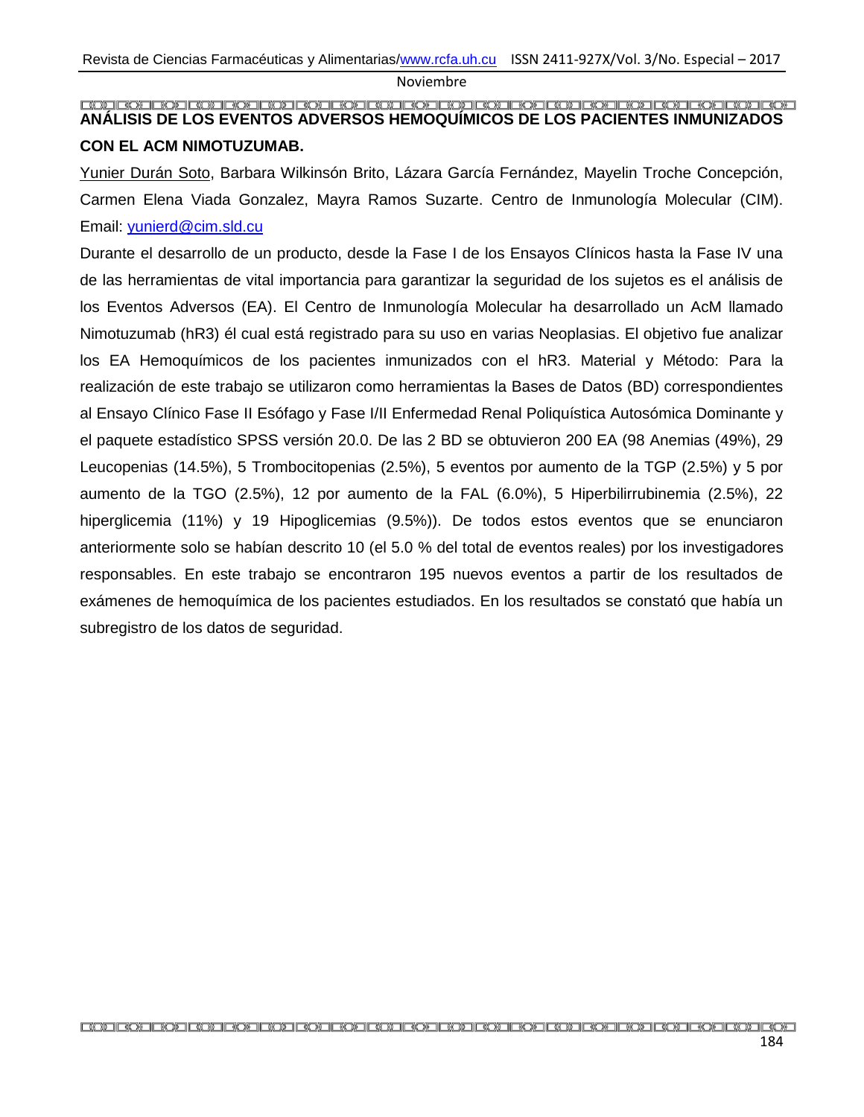#### <span id="page-12-0"></span>**ANÁLISIS DE LOS EVENTOS ADVERSOS HEMOQUÍMICOS DE LOS PACIENTES INMUNIZADOS CON EL ACM NIMOTUZUMAB.**

Yunier Durán Soto, Barbara Wilkinsón Brito, Lázara García Fernández, Mayelin Troche Concepción, Carmen Elena Viada Gonzalez, Mayra Ramos Suzarte. Centro de Inmunología Molecular (CIM). Email: [yunierd@cim.sld.cu](mailto:yunierd@cim.sld.cu)

Durante el desarrollo de un producto, desde la Fase I de los Ensayos Clínicos hasta la Fase IV una de las herramientas de vital importancia para garantizar la seguridad de los sujetos es el análisis de los Eventos Adversos (EA). El Centro de Inmunología Molecular ha desarrollado un AcM llamado Nimotuzumab (hR3) él cual está registrado para su uso en varias Neoplasias. El objetivo fue analizar los EA Hemoquímicos de los pacientes inmunizados con el hR3. Material y Método: Para la realización de este trabajo se utilizaron como herramientas la Bases de Datos (BD) correspondientes al Ensayo Clínico Fase II Esófago y Fase I/II Enfermedad Renal Poliquística Autosómica Dominante y el paquete estadístico SPSS versión 20.0. De las 2 BD se obtuvieron 200 EA (98 Anemias (49%), 29 Leucopenias (14.5%), 5 Trombocitopenias (2.5%), 5 eventos por aumento de la TGP (2.5%) y 5 por aumento de la TGO (2.5%), 12 por aumento de la FAL (6.0%), 5 Hiperbilirrubinemia (2.5%), 22 hiperglicemia (11%) y 19 Hipoglicemias (9.5%)). De todos estos eventos que se enunciaron anteriormente solo se habían descrito 10 (el 5.0 % del total de eventos reales) por los investigadores responsables. En este trabajo se encontraron 195 nuevos eventos a partir de los resultados de exámenes de hemoquímica de los pacientes estudiados. En los resultados se constató que había un subregistro de los datos de seguridad.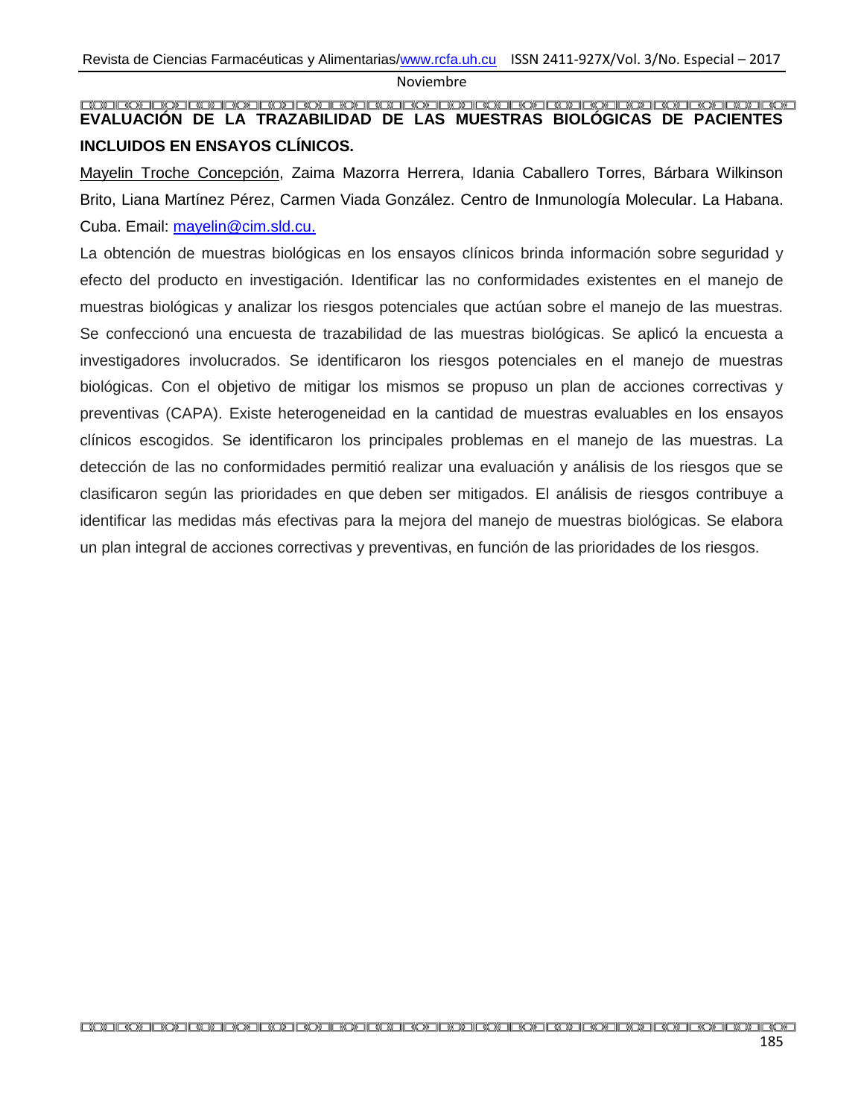#### <span id="page-13-0"></span>**EVALUACIÓN DE LA TRAZABILIDAD DE LAS MUESTRAS BIOLÓGICAS DE PACIENTES INCLUIDOS EN ENSAYOS CLÍNICOS.**

Mayelin Troche Concepción, Zaima Mazorra Herrera, Idania Caballero Torres, Bárbara Wilkinson Brito, Liana Martínez Pérez, Carmen Viada González. Centro de Inmunología Molecular. La Habana. Cuba. Email: [mayelin@cim.sld.cu.](mailto:mayelin@cim.sld.cu)

La obtención de muestras biológicas en los ensayos clínicos brinda información sobre seguridad y efecto del producto en investigación. Identificar las no conformidades existentes en el manejo de muestras biológicas y analizar los riesgos potenciales que actúan sobre el manejo de las muestras. Se confeccionó una encuesta de trazabilidad de las muestras biológicas. Se aplicó la encuesta a investigadores involucrados. Se identificaron los riesgos potenciales en el manejo de muestras biológicas. Con el objetivo de mitigar los mismos se propuso un plan de acciones correctivas y preventivas (CAPA). Existe heterogeneidad en la cantidad de muestras evaluables en los ensayos clínicos escogidos. Se identificaron los principales problemas en el manejo de las muestras. La detección de las no conformidades permitió realizar una evaluación y análisis de los riesgos que se clasificaron según las prioridades en que deben ser mitigados. El análisis de riesgos contribuye a identificar las medidas más efectivas para la mejora del manejo de muestras biológicas. Se elabora un plan integral de acciones correctivas y preventivas, en función de las prioridades de los riesgos.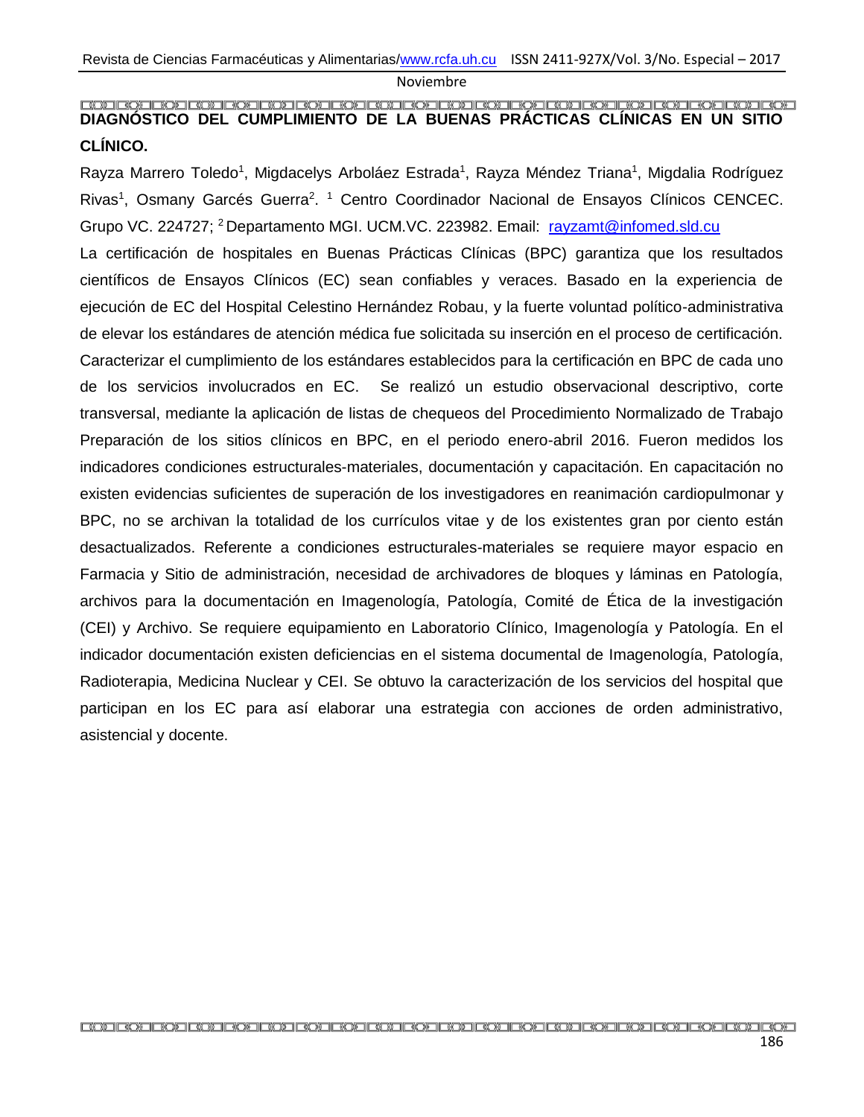## <span id="page-14-0"></span>**COECO CO DE CUMPLIMIENTO DE LA BUENAS PRÁCTICAS CLÍNICAS EN UN SITIO DE LA BUENAS PRÁCTICAS CLÍNICAS EN UN SITIO CLÍNICO.**

Rayza Marrero Toledo<sup>1</sup>, Migdacelys Arboláez Estrada<sup>1</sup>, Rayza Méndez Triana<sup>1</sup>, Migdalia Rodríguez Rivas<sup>1</sup>, Osmany Garcés Guerra<sup>2</sup>.<sup>1</sup> Centro Coordinador Nacional de Ensayos Clínicos CENCEC. Grupo VC. 224727; <sup>2</sup>Departamento MGI. UCM.VC. 223982. Email: [rayzamt@infomed.sld.cu](mailto:rayzamt@infomed.sld.cu) La certificación de hospitales en Buenas Prácticas Clínicas (BPC) garantiza que los resultados científicos de Ensayos Clínicos (EC) sean confiables y veraces. Basado en la experiencia de ejecución de EC del Hospital Celestino Hernández Robau, y la fuerte voluntad político-administrativa de elevar los estándares de atención médica fue solicitada su inserción en el proceso de certificación. Caracterizar el cumplimiento de los estándares establecidos para la certificación en BPC de cada uno de los servicios involucrados en EC. Se realizó un estudio observacional descriptivo, corte transversal, mediante la aplicación de listas de chequeos del Procedimiento Normalizado de Trabajo Preparación de los sitios clínicos en BPC, en el periodo enero-abril 2016. Fueron medidos los indicadores condiciones estructurales-materiales, documentación y capacitación. En capacitación no existen evidencias suficientes de superación de los investigadores en reanimación cardiopulmonar y BPC, no se archivan la totalidad de los currículos vitae y de los existentes gran por ciento están desactualizados. Referente a condiciones estructurales-materiales se requiere mayor espacio en Farmacia y Sitio de administración, necesidad de archivadores de bloques y láminas en Patología, archivos para la documentación en Imagenología, Patología, Comité de Ética de la investigación (CEI) y Archivo. Se requiere equipamiento en Laboratorio Clínico, Imagenología y Patología. En el indicador documentación existen deficiencias en el sistema documental de Imagenología, Patología, Radioterapia, Medicina Nuclear y CEI. Se obtuvo la caracterización de los servicios del hospital que participan en los EC para así elaborar una estrategia con acciones de orden administrativo, asistencial y docente.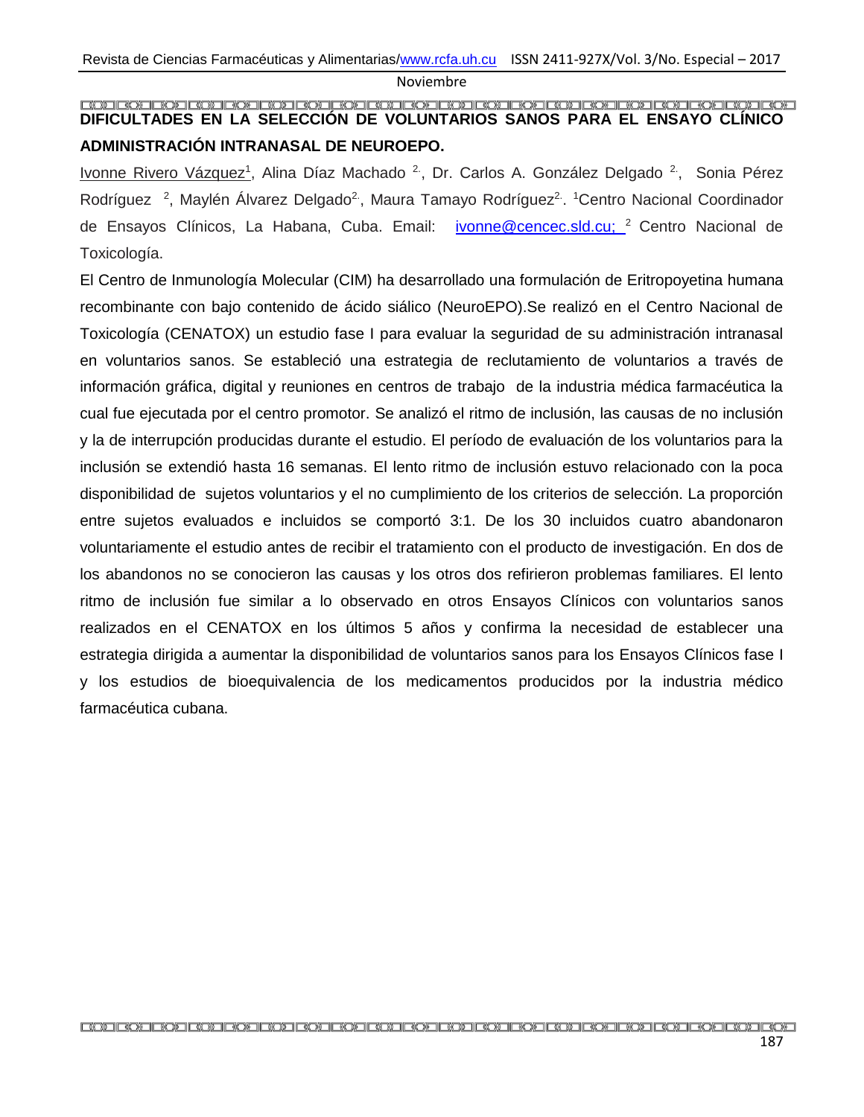### <span id="page-15-0"></span>**DIFICULTADES EN LA SELECCIÓN DE VOLUNTARIOS SANOS PARA EL ENSAYO CLÍNICO ADMINISTRACIÓN INTRANASAL DE NEUROEPO.**

Ivonne Rivero Vázquez<sup>1</sup>, Alina Díaz Machado <sup>2</sup>, Dr. Carlos A. González Delgado <sup>2</sup>, Sonia Pérez Rodríguez<sup>2</sup>, Maylén Álvarez Delgado<sup>2</sup>, Maura Tamayo Rodríguez<sup>2</sup>. <sup>1</sup>Centro Nacional Coordinador de Ensayos Clínicos, La Habana, Cuba. Email: [ivonne@cencec.sld.cu;](mailto:ivonne@cencec.sld.cu) <sup>2</sup> Centro Nacional de Toxicología.

El Centro de Inmunología Molecular (CIM) ha desarrollado una formulación de Eritropoyetina humana recombinante con bajo contenido de ácido siálico (NeuroEPO).Se realizó en el Centro Nacional de Toxicología (CENATOX) un estudio fase I para evaluar la seguridad de su administración intranasal en voluntarios sanos. Se estableció una estrategia de reclutamiento de voluntarios a través de información gráfica, digital y reuniones en centros de trabajo de la industria médica farmacéutica la cual fue ejecutada por el centro promotor. Se analizó el ritmo de inclusión, las causas de no inclusión y la de interrupción producidas durante el estudio. El período de evaluación de los voluntarios para la inclusión se extendió hasta 16 semanas. El lento ritmo de inclusión estuvo relacionado con la poca disponibilidad de sujetos voluntarios y el no cumplimiento de los criterios de selección. La proporción entre sujetos evaluados e incluidos se comportó 3:1. De los 30 incluidos cuatro abandonaron voluntariamente el estudio antes de recibir el tratamiento con el producto de investigación. En dos de los abandonos no se conocieron las causas y los otros dos refirieron problemas familiares. El lento ritmo de inclusión fue similar a lo observado en otros Ensayos Clínicos con voluntarios sanos realizados en el CENATOX en los últimos 5 años y confirma la necesidad de establecer una estrategia dirigida a aumentar la disponibilidad de voluntarios sanos para los Ensayos Clínicos fase I y los estudios de bioequivalencia de los medicamentos producidos por la industria médico farmacéutica cubana.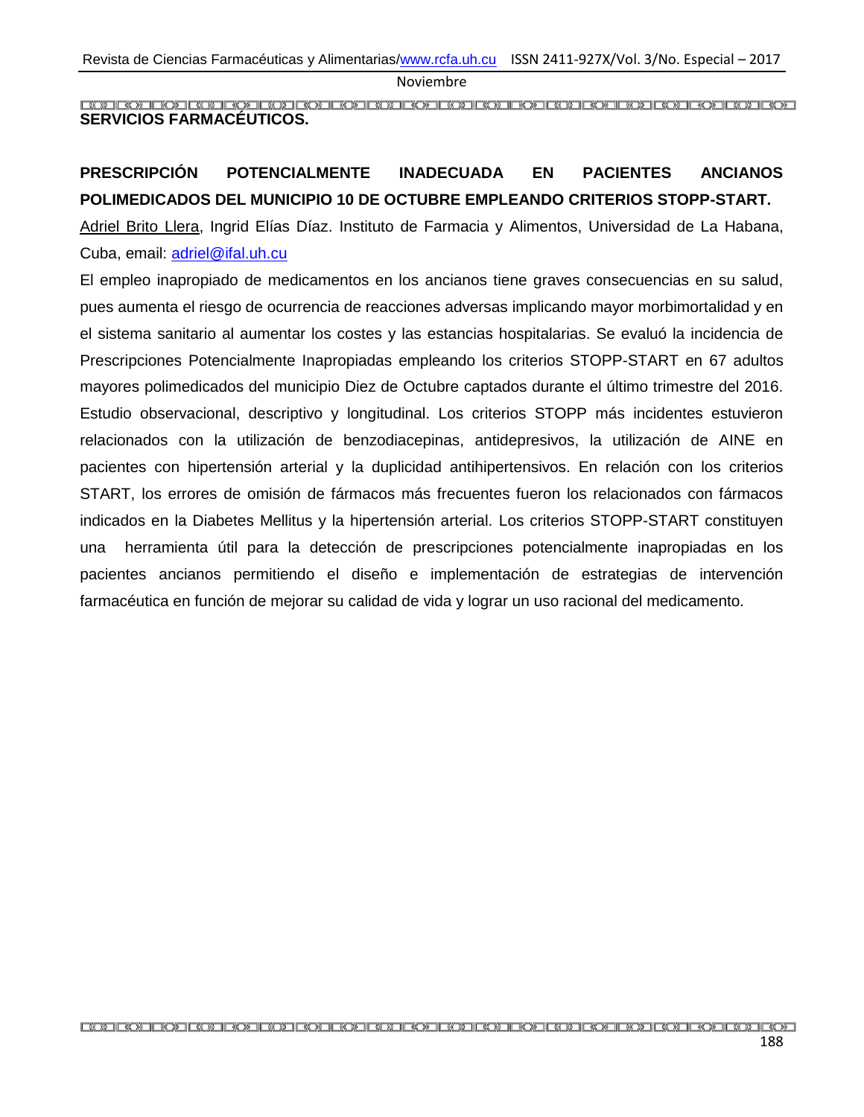<span id="page-16-0"></span>**SERVICIOS FARMACÉUTICOS.**

## <span id="page-16-1"></span>**PRESCRIPCIÓN POTENCIALMENTE INADECUADA EN PACIENTES ANCIANOS POLIMEDICADOS DEL MUNICIPIO 10 DE OCTUBRE EMPLEANDO CRITERIOS STOPP-START.**

Adriel Brito Llera, Ingrid Elías Díaz. Instituto de Farmacia y Alimentos, Universidad de La Habana, Cuba, email: [adriel@ifal.uh.cu](mailto:adriel@ifal.uh.cu)

El empleo inapropiado de medicamentos en los ancianos tiene graves consecuencias en su salud, pues aumenta el riesgo de ocurrencia de reacciones adversas implicando mayor morbimortalidad y en el sistema sanitario al aumentar los costes y las estancias hospitalarias. Se evaluó la incidencia de Prescripciones Potencialmente Inapropiadas empleando los criterios STOPP-START en 67 adultos mayores polimedicados del municipio Diez de Octubre captados durante el último trimestre del 2016. Estudio observacional, descriptivo y longitudinal. Los criterios STOPP más incidentes estuvieron relacionados con la utilización de benzodiacepinas, antidepresivos, la utilización de AINE en pacientes con hipertensión arterial y la duplicidad antihipertensivos. En relación con los criterios START, los errores de omisión de fármacos más frecuentes fueron los relacionados con fármacos indicados en la Diabetes Mellitus y la hipertensión arterial. Los criterios STOPP-START constituyen una herramienta útil para la detección de prescripciones potencialmente inapropiadas en los pacientes ancianos permitiendo el diseño e implementación de estrategias de intervención farmacéutica en función de mejorar su calidad de vida y lograr un uso racional del medicamento.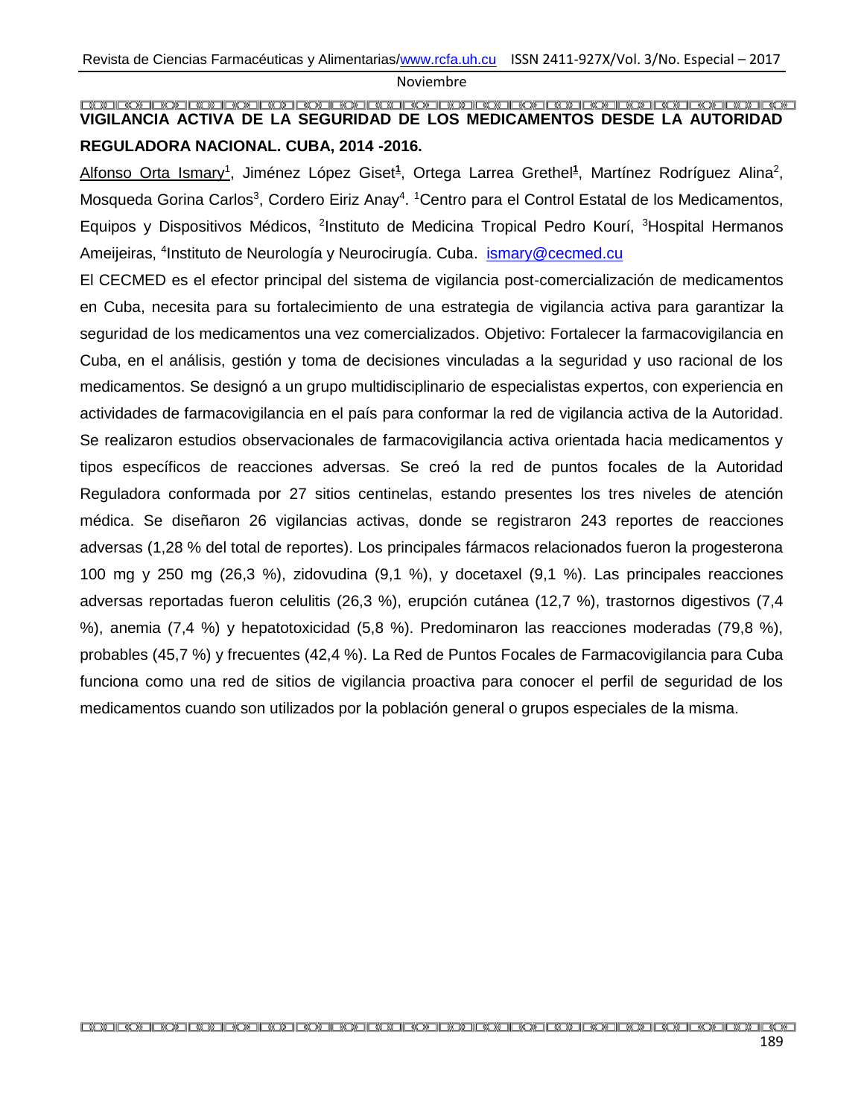## <span id="page-17-0"></span>**VIGILANCIA ACTIVA DE LA SEGURIDAD DE LOS MEDICAMENTOS DESDE LA AUTORIDAD REGULADORA NACIONAL. CUBA, 2014 -2016.**

Alfonso Orta Ismary<sup>1</sup>, Jiménez López Giset<sup>1</sup>, Ortega Larrea Grethel<sup>1</sup>, Martínez Rodríguez Alina<sup>2</sup>, Mosqueda Gorina Carlos<sup>3</sup>, Cordero Eiriz Anay<sup>4</sup>. <sup>1</sup>Centro para el Control Estatal de los Medicamentos, Equipos y Dispositivos Médicos, <sup>2</sup>Instituto de Medicina Tropical Pedro Kourí, <sup>3</sup>Hospital Hermanos Ameijeiras, <sup>4</sup>Instituto de Neurología y Neurocirugía. Cuba. Ismary@cecmed.cu

El CECMED es el efector principal del sistema de vigilancia post-comercialización de medicamentos en Cuba, necesita para su fortalecimiento de una estrategia de vigilancia activa para garantizar la seguridad de los medicamentos una vez comercializados. Objetivo: Fortalecer la farmacovigilancia en Cuba, en el análisis, gestión y toma de decisiones vinculadas a la seguridad y uso racional de los medicamentos. Se designó a un grupo multidisciplinario de especialistas expertos, con experiencia en actividades de farmacovigilancia en el país para conformar la red de vigilancia activa de la Autoridad. Se realizaron estudios observacionales de farmacovigilancia activa orientada hacia medicamentos y tipos específicos de reacciones adversas. Se creó la red de puntos focales de la Autoridad Reguladora conformada por 27 sitios centinelas, estando presentes los tres niveles de atención médica. Se diseñaron 26 vigilancias activas, donde se registraron 243 reportes de reacciones adversas (1,28 % del total de reportes). Los principales fármacos relacionados fueron la progesterona 100 mg y 250 mg (26,3 %), zidovudina (9,1 %), y docetaxel (9,1 %). Las principales reacciones adversas reportadas fueron celulitis (26,3 %), erupción cutánea (12,7 %), trastornos digestivos (7,4 %), anemia (7,4 %) y hepatotoxicidad (5,8 %). Predominaron las reacciones moderadas (79,8 %), probables (45,7 %) y frecuentes (42,4 %). La Red de Puntos Focales de Farmacovigilancia para Cuba funciona como una red de sitios de vigilancia proactiva para conocer el perfil de seguridad de los medicamentos cuando son utilizados por la población general o grupos especiales de la misma.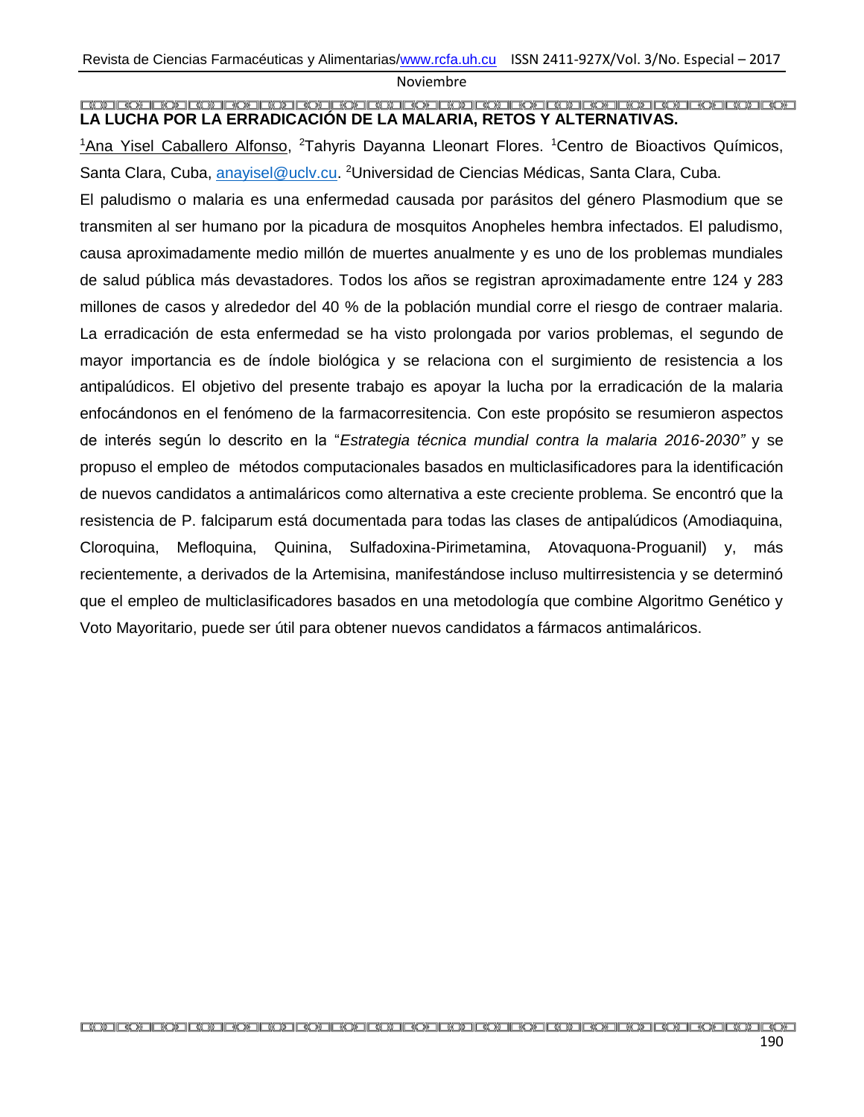#### <span id="page-18-0"></span>**LA LUCHA POR LA ERRADICACIÓN DE LA MALARIA, RETOS Y ALTERNATIVAS.**

<sup>1</sup>Ana Yisel Caballero Alfonso, <sup>2</sup>Tahyris Dayanna Lleonart Flores. <sup>1</sup>Centro de Bioactivos Químicos, Santa Clara, Cuba, [anayisel@uclv.cu.](mailto:anayisel@uclv.cu) <sup>2</sup>Universidad de Ciencias Médicas, Santa Clara, Cuba.

El paludismo o malaria es una enfermedad causada por parásitos del género Plasmodium que se transmiten al ser humano por la picadura de mosquitos Anopheles hembra infectados. El paludismo, causa aproximadamente medio millón de muertes anualmente y es uno de los problemas mundiales de salud pública más devastadores. Todos los años se registran aproximadamente entre 124 y 283 millones de casos y alrededor del 40 % de la población mundial corre el riesgo de contraer malaria. La erradicación de esta enfermedad se ha visto prolongada por varios problemas, el segundo de mayor importancia es de índole biológica y se relaciona con el surgimiento de resistencia a los antipalúdicos. El objetivo del presente trabajo es apoyar la lucha por la erradicación de la malaria enfocándonos en el fenómeno de la farmacorresitencia. Con este propósito se resumieron aspectos de interés según lo descrito en la "*Estrategia técnica mundial contra la malaria 2016-2030"* y se propuso el empleo de métodos computacionales basados en multiclasificadores para la identificación de nuevos candidatos a antimaláricos como alternativa a este creciente problema. Se encontró que la resistencia de P. falciparum está documentada para todas las clases de antipalúdicos (Amodiaquina, Cloroquina, Mefloquina, Quinina, Sulfadoxina-Pirimetamina, Atovaquona-Proguanil) y, más recientemente, a derivados de la Artemisina, manifestándose incluso multirresistencia y se determinó que el empleo de multiclasificadores basados en una metodología que combine Algoritmo Genético y Voto Mayoritario, puede ser útil para obtener nuevos candidatos a fármacos antimaláricos.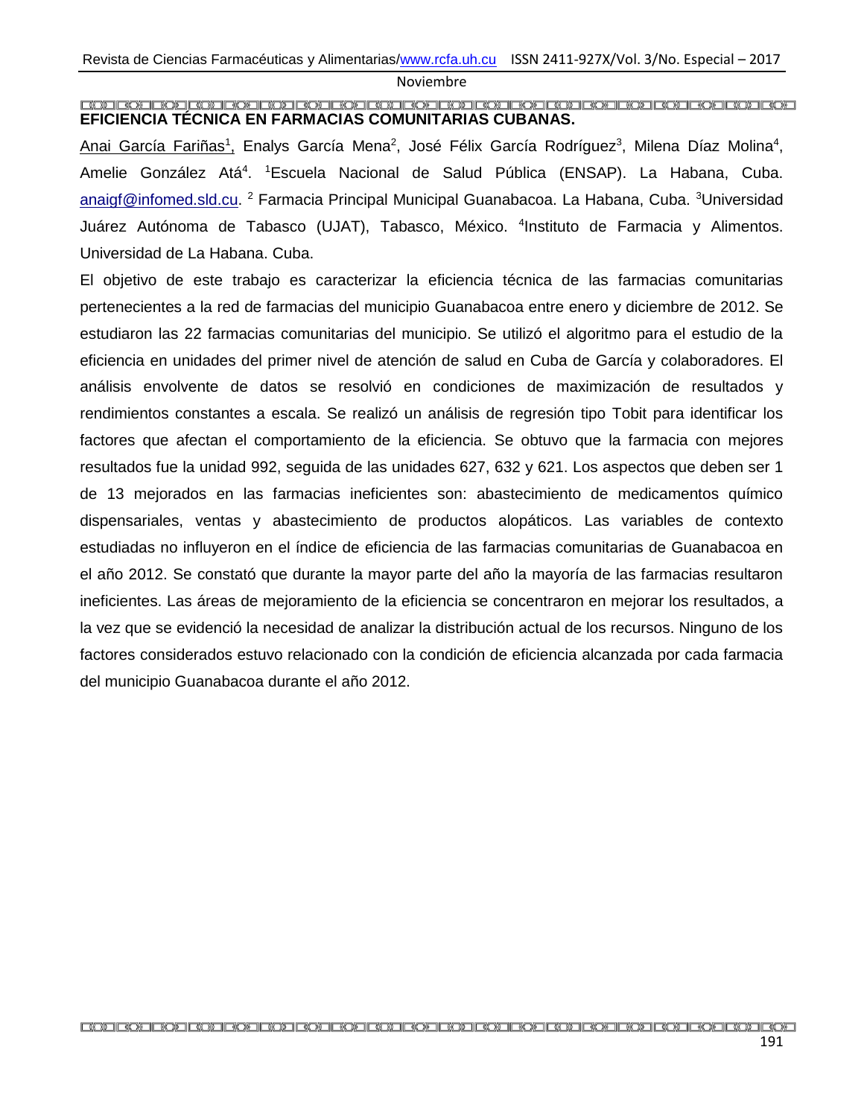#### <span id="page-19-0"></span>**EFICIENCIA TÉCNICA EN FARMACIAS COMUNITARIAS CUBANAS.**

Anai García Fariñas<sup>1</sup>, Enalys García Mena<sup>2</sup>, José Félix García Rodríguez<sup>3</sup>, Milena Díaz Molina<sup>4</sup>, Amelie González Atá<sup>4</sup>. <sup>1</sup>Escuela Nacional de Salud Pública (ENSAP). La Habana, Cuba. [anaigf@infomed.sld.cu.](mailto:anaigf@infomed.sld.cu) <sup>2</sup> Farmacia Principal Municipal Guanabacoa. La Habana, Cuba. <sup>3</sup>Universidad Juárez Autónoma de Tabasco (UJAT), Tabasco, México. <sup>4</sup>Instituto de Farmacia y Alimentos. Universidad de La Habana. Cuba.

El objetivo de este trabajo es caracterizar la eficiencia técnica de las farmacias comunitarias pertenecientes a la red de farmacias del municipio Guanabacoa entre enero y diciembre de 2012. Se estudiaron las 22 farmacias comunitarias del municipio. Se utilizó el algoritmo para el estudio de la eficiencia en unidades del primer nivel de atención de salud en Cuba de García y colaboradores. El análisis envolvente de datos se resolvió en condiciones de maximización de resultados y rendimientos constantes a escala. Se realizó un análisis de regresión tipo Tobit para identificar los factores que afectan el comportamiento de la eficiencia. Se obtuvo que la farmacia con mejores resultados fue la unidad 992, seguida de las unidades 627, 632 y 621. Los aspectos que deben ser 1 de 13 mejorados en las farmacias ineficientes son: abastecimiento de medicamentos químico dispensariales, ventas y abastecimiento de productos alopáticos. Las variables de contexto estudiadas no influyeron en el índice de eficiencia de las farmacias comunitarias de Guanabacoa en el año 2012. Se constató que durante la mayor parte del año la mayoría de las farmacias resultaron ineficientes. Las áreas de mejoramiento de la eficiencia se concentraron en mejorar los resultados, a la vez que se evidenció la necesidad de analizar la distribución actual de los recursos. Ninguno de los factores considerados estuvo relacionado con la condición de eficiencia alcanzada por cada farmacia del municipio Guanabacoa durante el año 2012.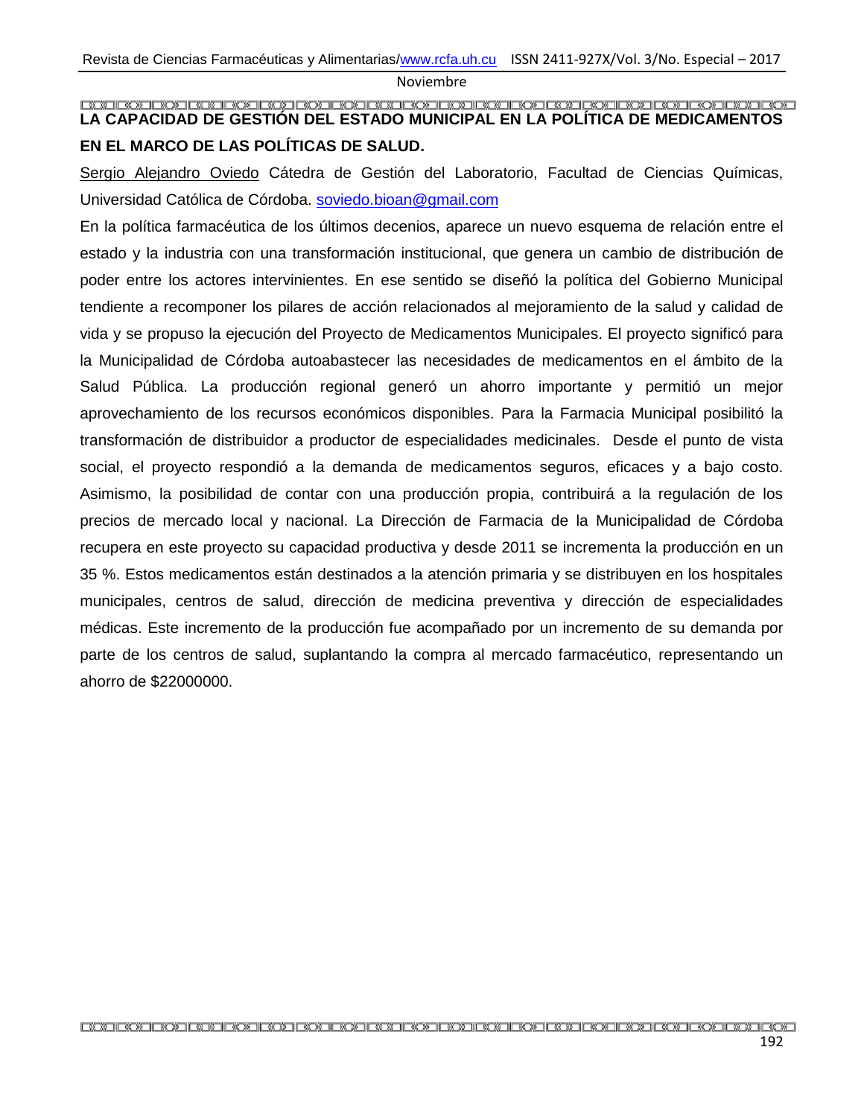### <span id="page-20-0"></span>**LA CAPACIDAD DE GESTIÓN DEL ESTADO MUNICIPAL EN LA POLÍTICA DE MEDICAMENTOS EN EL MARCO DE LAS POLÍTICAS DE SALUD.**

Sergio Alejandro Oviedo Cátedra de Gestión del Laboratorio, Facultad de Ciencias Químicas, Universidad Católica de Córdoba. [soviedo.bioan@gmail.com](mailto:soviedo.bioan@gmail.com)

En la política farmacéutica de los últimos decenios, aparece un nuevo esquema de relación entre el estado y la industria con una transformación institucional, que genera un cambio de distribución de poder entre los actores intervinientes. En ese sentido se diseñó la política del Gobierno Municipal tendiente a recomponer los pilares de acción relacionados al mejoramiento de la salud y calidad de vida y se propuso la ejecución del Proyecto de Medicamentos Municipales. El proyecto significó para la Municipalidad de Córdoba autoabastecer las necesidades de medicamentos en el ámbito de la Salud Pública. La producción regional generó un ahorro importante y permitió un mejor aprovechamiento de los recursos económicos disponibles. Para la Farmacia Municipal posibilitó la transformación de distribuidor a productor de especialidades medicinales. Desde el punto de vista social, el proyecto respondió a la demanda de medicamentos seguros, eficaces y a bajo costo. Asimismo, la posibilidad de contar con una producción propia, contribuirá a la regulación de los precios de mercado local y nacional. La Dirección de Farmacia de la Municipalidad de Córdoba recupera en este proyecto su capacidad productiva y desde 2011 se incrementa la producción en un 35 %. Estos medicamentos están destinados a la atención primaria y se distribuyen en los hospitales municipales, centros de salud, dirección de medicina preventiva y dirección de especialidades médicas. Este incremento de la producción fue acompañado por un incremento de su demanda por parte de los centros de salud, suplantando la compra al mercado farmacéutico, representando un ahorro de \$22000000.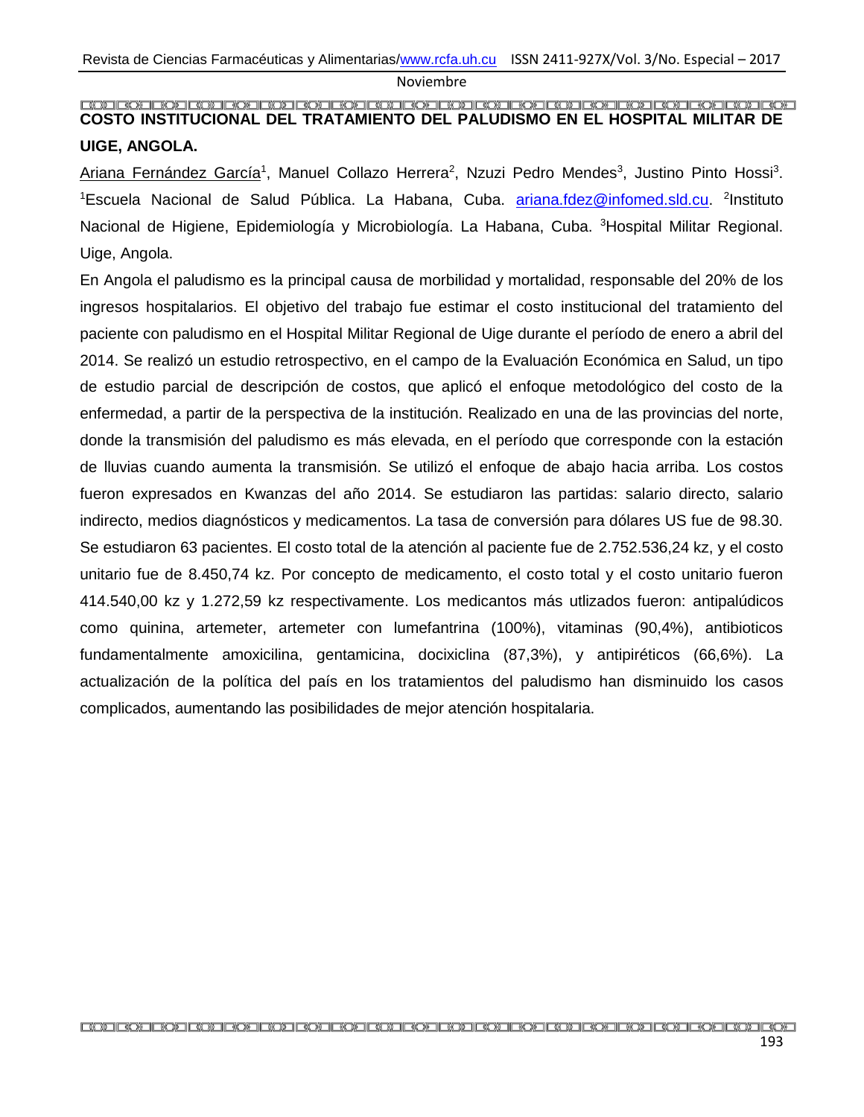#### <span id="page-21-0"></span>**COSTO INSTITUCIONAL DEL TRATAMIENTO DEL PALUDISMO EN EL HOSPITAL MILITAR DE UIGE, ANGOLA.**

Ariana Fernández García<sup>1</sup>, Manuel Collazo Herrera<sup>2</sup>, Nzuzi Pedro Mendes<sup>3</sup>, Justino Pinto Hossi<sup>3</sup>. <sup>1</sup>Escuela Nacional de Salud Pública. La Habana, Cuba. **[ariana.fdez@infomed.sld.cu.](mailto:ariana.fdez@infomed.sld.cu)** <sup>2</sup>Instituto Nacional de Higiene, Epidemiología y Microbiología. La Habana, Cuba. <sup>3</sup>Hospital Militar Regional. Uige, Angola.

En Angola el paludismo es la principal causa de morbilidad y mortalidad, responsable del 20% de los ingresos hospitalarios. El objetivo del trabajo fue estimar el costo institucional del tratamiento del paciente con paludismo en el Hospital Militar Regional de Uige durante el período de enero a abril del 2014. Se realizó un estudio retrospectivo, en el campo de la Evaluación Económica en Salud, un tipo de estudio parcial de descripción de costos, que aplicó el enfoque metodológico del costo de la enfermedad, a partir de la perspectiva de la institución. Realizado en una de las provincias del norte, donde la transmisión del paludismo es más elevada, en el período que corresponde con la estación de lluvias cuando aumenta la transmisión. Se utilizó el enfoque de abajo hacia arriba. Los costos fueron expresados en Kwanzas del año 2014. Se estudiaron las partidas: salario directo, salario indirecto, medios diagnósticos y medicamentos. La tasa de conversión para dólares US fue de 98.30. Se estudiaron 63 pacientes. El costo total de la atención al paciente fue de 2.752.536,24 kz, y el costo unitario fue de 8.450,74 kz. Por concepto de medicamento, el costo total y el costo unitario fueron 414.540,00 kz y 1.272,59 kz respectivamente. Los medicantos más utlizados fueron: antipalúdicos como quinina, artemeter, artemeter con lumefantrina (100%), vitaminas (90,4%), antibioticos fundamentalmente amoxicilina, gentamicina, docixiclina (87,3%), y antipiréticos (66,6%). La actualización de la política del país en los tratamientos del paludismo han disminuido los casos complicados, aumentando las posibilidades de mejor atención hospitalaria.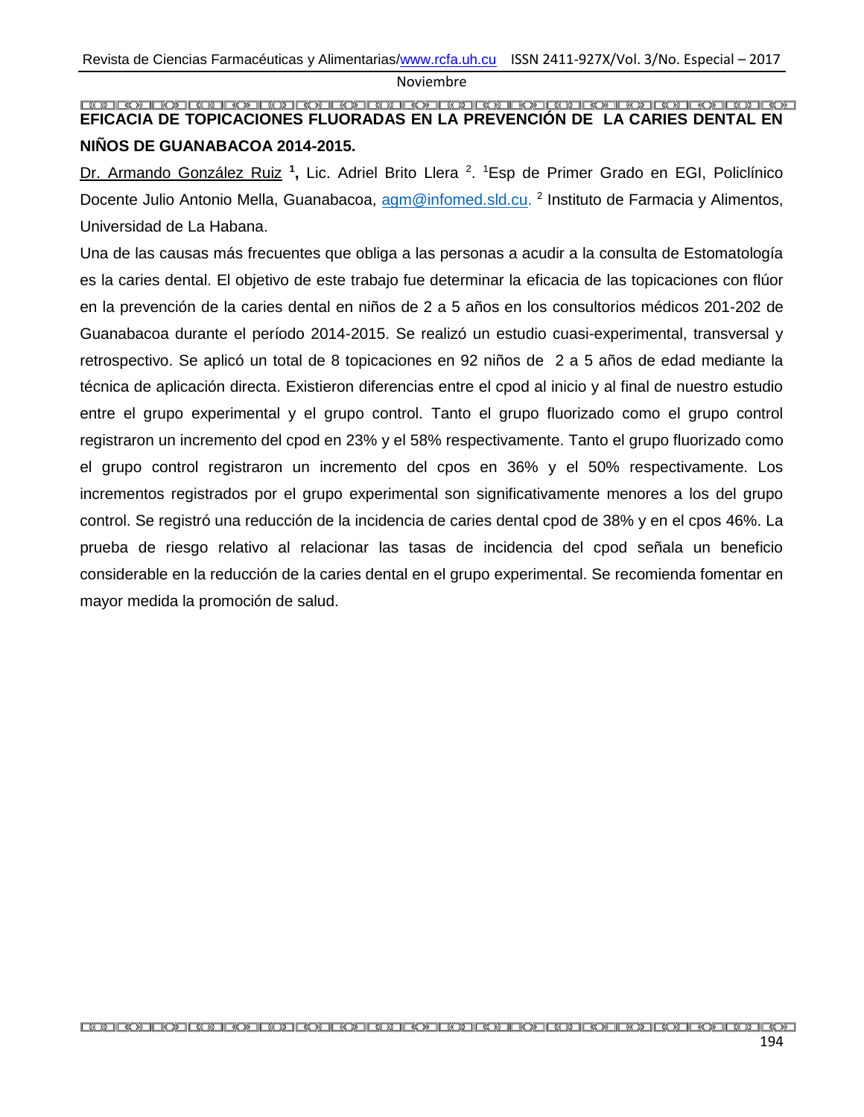#### <span id="page-22-0"></span>**EFICACIA DE TOPICACIONES FLUORADAS EN LA PREVENCIÓN DE LA CARIES DENTAL EN NIÑOS DE GUANABACOA 2014-2015.**

Dr. Armando González Ruiz **<sup>1</sup> ,** Lic. Adriel Brito Llera <sup>2</sup> . <sup>1</sup>Esp de Primer Grado en EGI, Policlínico Docente Julio Antonio Mella, Guanabacoa, [agm@infomed.sld.cu.](mailto:agm@infomed.sld.cu) <sup>2</sup> Instituto de Farmacia y Alimentos, Universidad de La Habana.

Una de las causas más frecuentes que obliga a las personas a acudir a la consulta de Estomatología es la caries dental. El objetivo de este trabajo fue determinar la eficacia de las topicaciones con flúor en la prevención de la caries dental en niños de 2 a 5 años en los consultorios médicos 201-202 de Guanabacoa durante el período 2014-2015. Se realizó un estudio cuasi-experimental, transversal y retrospectivo. Se aplicó un total de 8 topicaciones en 92 niños de 2 a 5 años de edad mediante la técnica de aplicación directa. Existieron diferencias entre el cpod al inicio y al final de nuestro estudio entre el grupo experimental y el grupo control. Tanto el grupo fluorizado como el grupo control registraron un incremento del cpod en 23% y el 58% respectivamente. Tanto el grupo fluorizado como el grupo control registraron un incremento del cpos en 36% y el 50% respectivamente. Los incrementos registrados por el grupo experimental son significativamente menores a los del grupo control. Se registró una reducción de la incidencia de caries dental cpod de 38% y en el cpos 46%. La prueba de riesgo relativo al relacionar las tasas de incidencia del cpod señala un beneficio considerable en la reducción de la caries dental en el grupo experimental. Se recomienda fomentar en mayor medida la promoción de salud.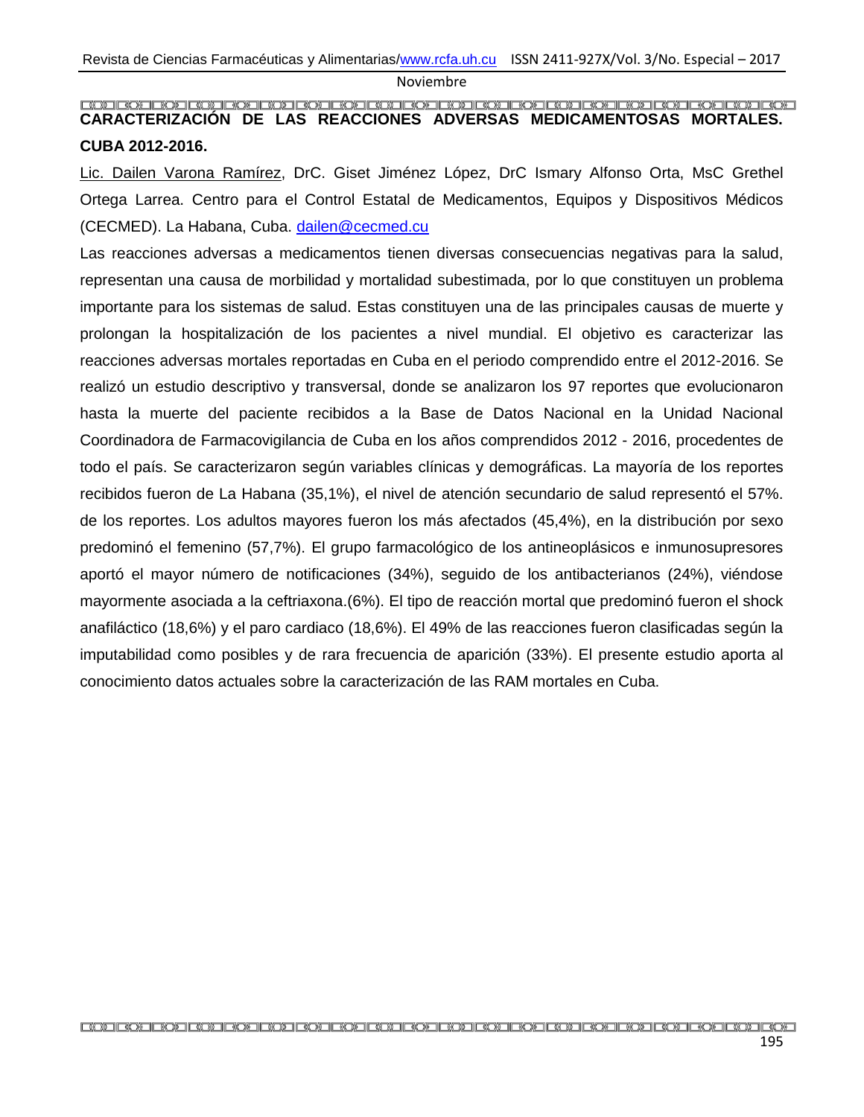#### <span id="page-23-0"></span>**CARACTERIZACIÓN DE LAS REACCIONES ADVERSAS MEDICAMENTOSAS MORTALES. CUBA 2012-2016.**

Lic. Dailen Varona Ramírez, DrC. Giset Jiménez López, DrC Ismary Alfonso Orta, MsC Grethel Ortega Larrea. Centro para el Control Estatal de Medicamentos, Equipos y Dispositivos Médicos (CECMED). La Habana, Cuba. [dailen@cecmed.cu](mailto:dailen@cecmed.cu)

Las reacciones adversas a medicamentos tienen diversas consecuencias negativas para la salud, representan una causa de morbilidad y mortalidad subestimada, por lo que constituyen un problema importante para los sistemas de salud. Estas constituyen una de las principales causas de muerte y prolongan la hospitalización de los pacientes a nivel mundial. El objetivo es caracterizar las reacciones adversas mortales reportadas en Cuba en el periodo comprendido entre el 2012-2016. Se realizó un estudio descriptivo y transversal, donde se analizaron los 97 reportes que evolucionaron hasta la muerte del paciente recibidos a la Base de Datos Nacional en la Unidad Nacional Coordinadora de Farmacovigilancia de Cuba en los años comprendidos 2012 - 2016, procedentes de todo el país. Se caracterizaron según variables clínicas y demográficas. La mayoría de los reportes recibidos fueron de La Habana (35,1%), el nivel de atención secundario de salud representó el 57%. de los reportes. Los adultos mayores fueron los más afectados (45,4%), en la distribución por sexo predominó el femenino (57,7%). El grupo farmacológico de los antineoplásicos e inmunosupresores aportó el mayor número de notificaciones (34%), seguido de los antibacterianos (24%), viéndose mayormente asociada a la ceftriaxona.(6%). El tipo de reacción mortal que predominó fueron el shock anafiláctico (18,6%) y el paro cardiaco (18,6%). El 49% de las reacciones fueron clasificadas según la imputabilidad como posibles y de rara frecuencia de aparición (33%). El presente estudio aporta al conocimiento datos actuales sobre la caracterización de las RAM mortales en Cuba.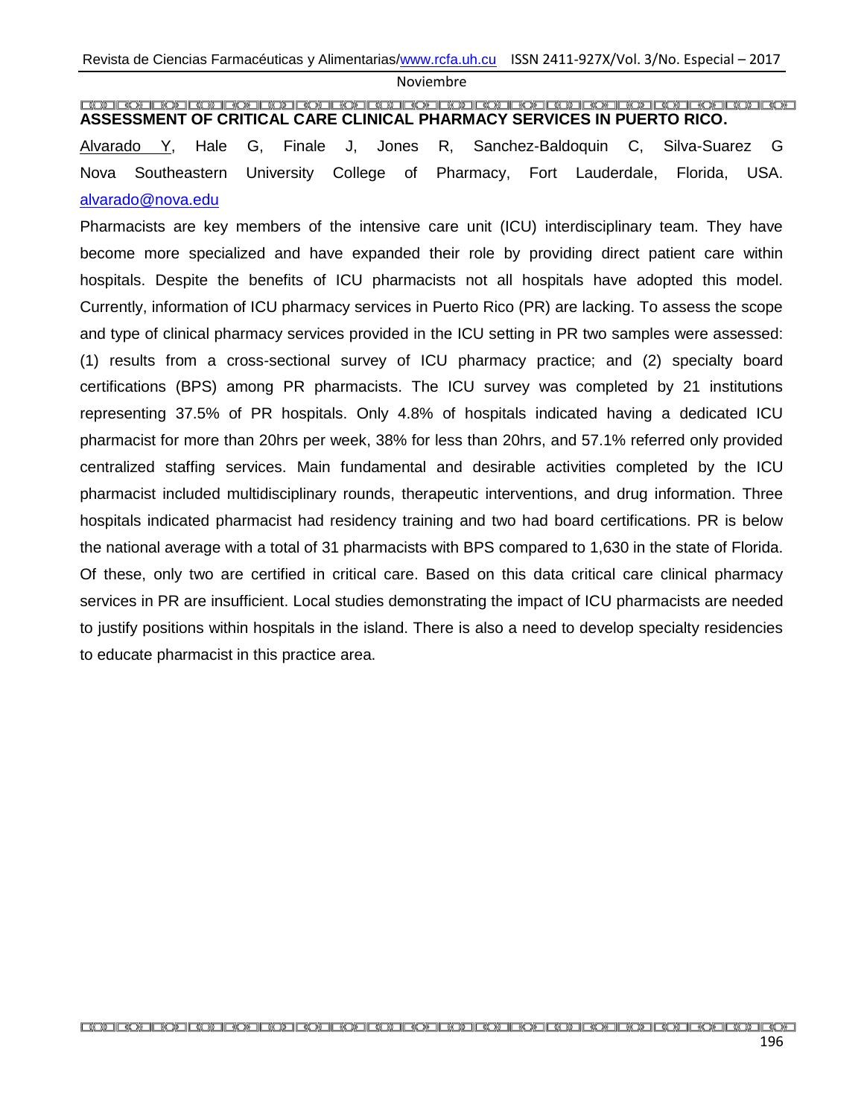#### <span id="page-24-0"></span>**ASSESSMENT OF CRITICAL CARE CLINICAL PHARMACY SERVICES IN PUERTO RICO.**

Alvarado Y, Hale G, Finale J, Jones R, Sanchez-Baldoquin C, Silva-Suarez G Nova Southeastern University College of Pharmacy, Fort Lauderdale, Florida, USA. [alvarado@nova.edu](mailto:alvarado@nova.edu)

Pharmacists are key members of the intensive care unit (ICU) interdisciplinary team. They have become more specialized and have expanded their role by providing direct patient care within hospitals. Despite the benefits of ICU pharmacists not all hospitals have adopted this model. Currently, information of ICU pharmacy services in Puerto Rico (PR) are lacking. To assess the scope and type of clinical pharmacy services provided in the ICU setting in PR two samples were assessed: (1) results from a cross-sectional survey of ICU pharmacy practice; and (2) specialty board certifications (BPS) among PR pharmacists. The ICU survey was completed by 21 institutions representing 37.5% of PR hospitals. Only 4.8% of hospitals indicated having a dedicated ICU pharmacist for more than 20hrs per week, 38% for less than 20hrs, and 57.1% referred only provided centralized staffing services. Main fundamental and desirable activities completed by the ICU pharmacist included multidisciplinary rounds, therapeutic interventions, and drug information. Three hospitals indicated pharmacist had residency training and two had board certifications. PR is below the national average with a total of 31 pharmacists with BPS compared to 1,630 in the state of Florida. Of these, only two are certified in critical care. Based on this data critical care clinical pharmacy services in PR are insufficient. Local studies demonstrating the impact of ICU pharmacists are needed to justify positions within hospitals in the island. There is also a need to develop specialty residencies to educate pharmacist in this practice area.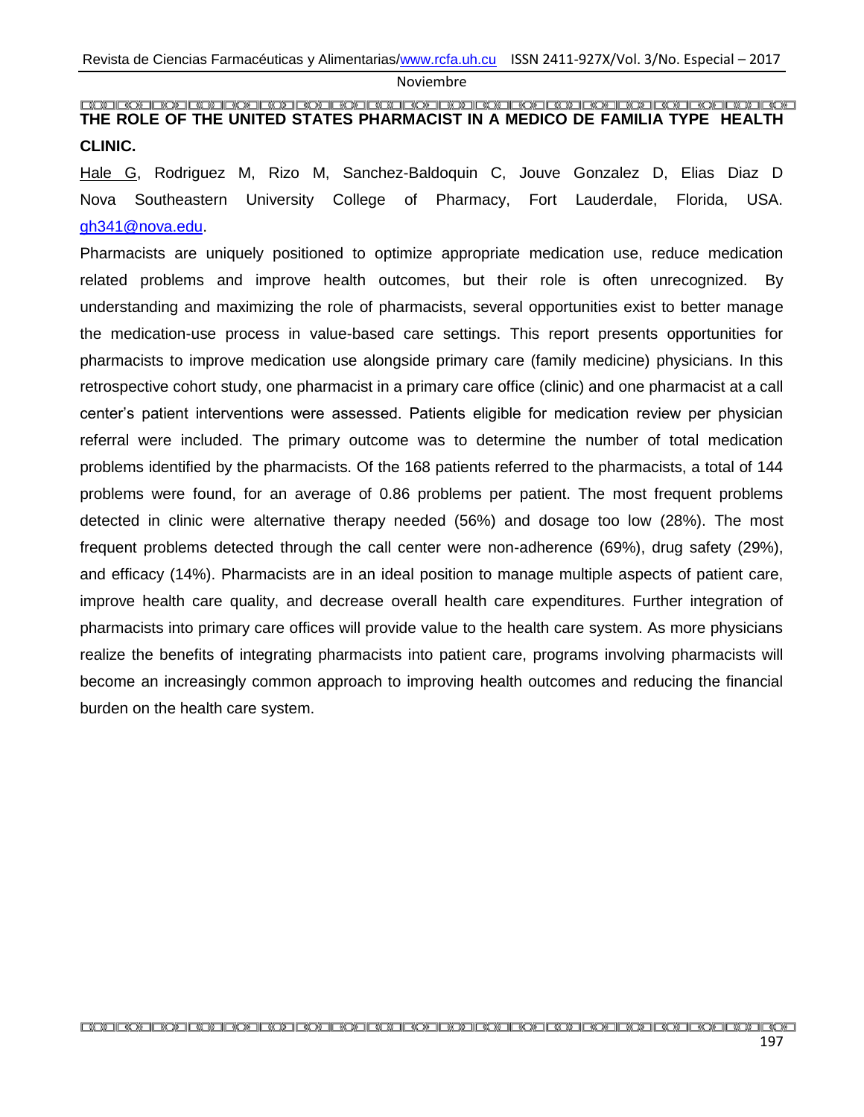#### <span id="page-25-0"></span>**THE ROLE OF THE UNITED STATES PHARMACIST IN A MEDICO DE FAMILIA TYPE HEALTH CLINIC.**

Hale G, Rodriguez M, Rizo M, Sanchez-Baldoquin C, Jouve Gonzalez D, Elias Diaz D Nova Southeastern University College of Pharmacy, Fort Lauderdale, Florida, USA. [gh341@nova.edu.](mailto:gh341@nova.edu)

Pharmacists are uniquely positioned to optimize appropriate medication use, reduce medication related problems and improve health outcomes, but their role is often unrecognized. By understanding and maximizing the role of pharmacists, several opportunities exist to better manage the medication-use process in value-based care settings. This report presents opportunities for pharmacists to improve medication use alongside primary care (family medicine) physicians. In this retrospective cohort study, one pharmacist in a primary care office (clinic) and one pharmacist at a call center's patient interventions were assessed. Patients eligible for medication review per physician referral were included. The primary outcome was to determine the number of total medication problems identified by the pharmacists. Of the 168 patients referred to the pharmacists, a total of 144 problems were found, for an average of 0.86 problems per patient. The most frequent problems detected in clinic were alternative therapy needed (56%) and dosage too low (28%). The most frequent problems detected through the call center were non-adherence (69%), drug safety (29%), and efficacy (14%). Pharmacists are in an ideal position to manage multiple aspects of patient care, improve health care quality, and decrease overall health care expenditures. Further integration of pharmacists into primary care offices will provide value to the health care system. As more physicians realize the benefits of integrating pharmacists into patient care, programs involving pharmacists will become an increasingly common approach to improving health outcomes and reducing the financial burden on the health care system.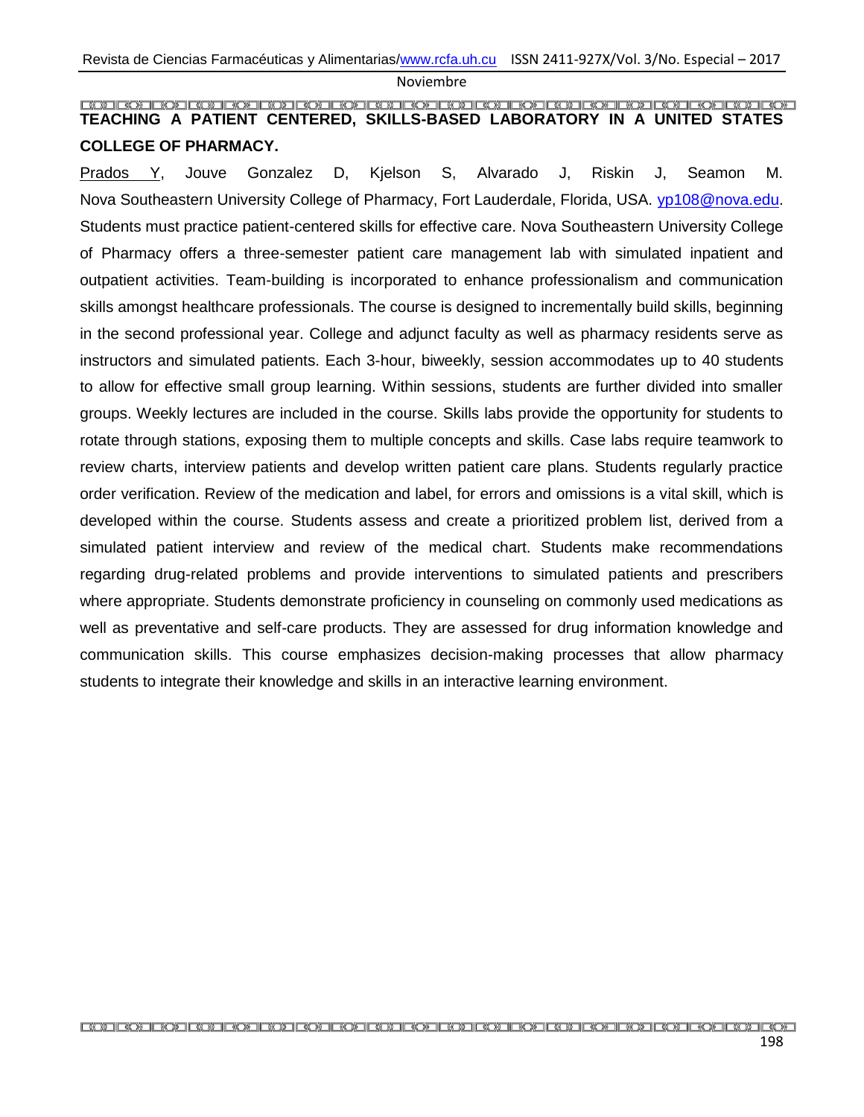#### <span id="page-26-0"></span>**TEACHING A PATIENT CENTERED, SKILLS-BASED LABORATORY IN A UNITED STATES COLLEGE OF PHARMACY.**

Prados Y, Jouve Gonzalez D, Kjelson S, Alvarado J, Riskin J, Seamon M. Nova Southeastern University College of Pharmacy, Fort Lauderdale, Florida, USA. [yp108@nova.edu.](mailto:yp108@nova.edu) Students must practice patient-centered skills for effective care. Nova Southeastern University College of Pharmacy offers a three-semester patient care management lab with simulated inpatient and outpatient activities. Team-building is incorporated to enhance professionalism and communication skills amongst healthcare professionals. The course is designed to incrementally build skills, beginning in the second professional year. College and adjunct faculty as well as pharmacy residents serve as instructors and simulated patients. Each 3-hour, biweekly, session accommodates up to 40 students to allow for effective small group learning. Within sessions, students are further divided into smaller groups. Weekly lectures are included in the course. Skills labs provide the opportunity for students to rotate through stations, exposing them to multiple concepts and skills. Case labs require teamwork to review charts, interview patients and develop written patient care plans. Students regularly practice order verification. Review of the medication and label, for errors and omissions is a vital skill, which is developed within the course. Students assess and create a prioritized problem list, derived from a simulated patient interview and review of the medical chart. Students make recommendations regarding drug-related problems and provide interventions to simulated patients and prescribers where appropriate. Students demonstrate proficiency in counseling on commonly used medications as well as preventative and self-care products. They are assessed for drug information knowledge and communication skills. This course emphasizes decision-making processes that allow pharmacy students to integrate their knowledge and skills in an interactive learning environment.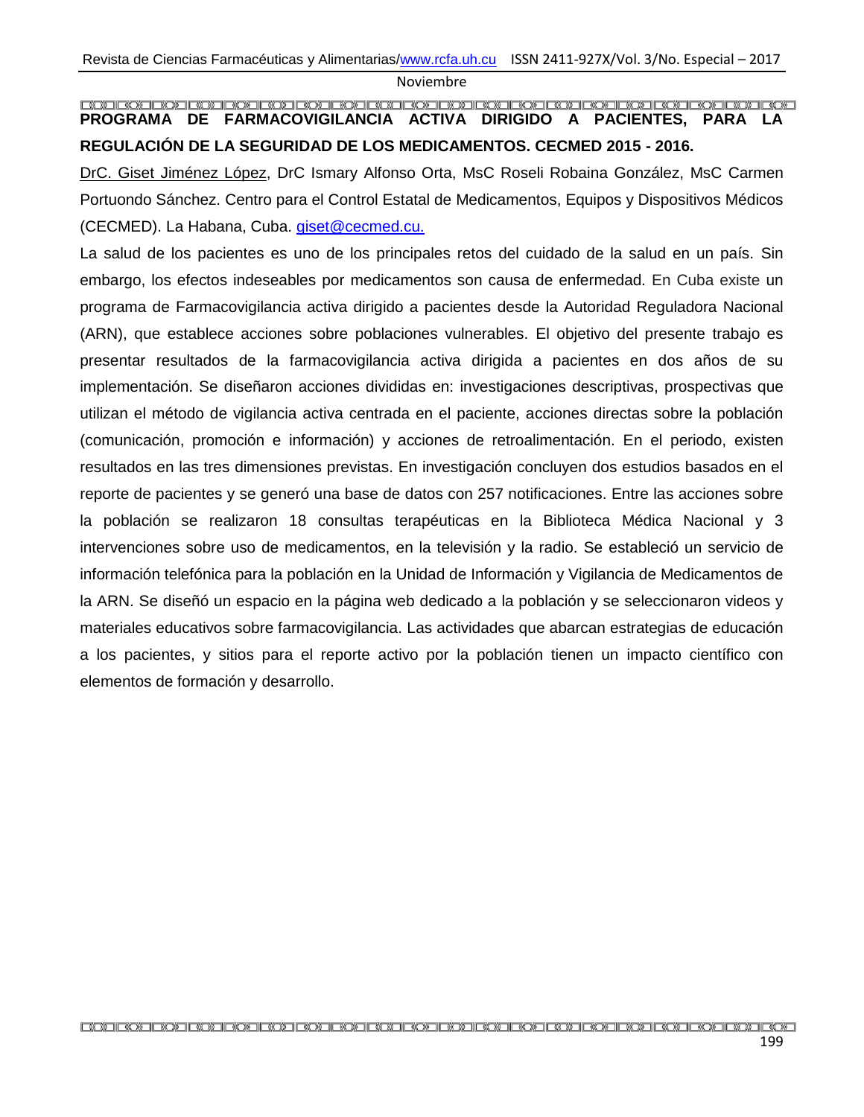### <span id="page-27-0"></span>**PROGRAMA DE FARMACOVIGILANCIA ACTIVA DIRIGIDO A PACIENTES, PARA LA REGULACIÓN DE LA SEGURIDAD DE LOS MEDICAMENTOS. CECMED 2015 - 2016.**

DrC. Giset Jiménez López, DrC Ismary Alfonso Orta, MsC Roseli Robaina González, MsC Carmen Portuondo Sánchez. Centro para el Control Estatal de Medicamentos, Equipos y Dispositivos Médicos (CECMED). La Habana, Cuba. [giset@cecmed.cu.](mailto:giset@cecmed.cu)

La salud de los pacientes es uno de los principales retos del cuidado de la salud en un país. Sin embargo, los efectos indeseables por medicamentos son causa de enfermedad. En Cuba existe un programa de Farmacovigilancia activa dirigido a pacientes desde la Autoridad Reguladora Nacional (ARN), que establece acciones sobre poblaciones vulnerables. El objetivo del presente trabajo es presentar resultados de la farmacovigilancia activa dirigida a pacientes en dos años de su implementación. Se diseñaron acciones divididas en: investigaciones descriptivas, prospectivas que utilizan el método de vigilancia activa centrada en el paciente, acciones directas sobre la población (comunicación, promoción e información) y acciones de retroalimentación. En el periodo, existen resultados en las tres dimensiones previstas. En investigación concluyen dos estudios basados en el reporte de pacientes y se generó una base de datos con 257 notificaciones. Entre las acciones sobre la población se realizaron 18 consultas terapéuticas en la Biblioteca Médica Nacional y 3 intervenciones sobre uso de medicamentos, en la televisión y la radio. Se estableció un servicio de información telefónica para la población en la Unidad de Información y Vigilancia de Medicamentos de la ARN. Se diseñó un espacio en la página web dedicado a la población y se seleccionaron videos y materiales educativos sobre farmacovigilancia. Las actividades que abarcan estrategias de educación a los pacientes, y sitios para el reporte activo por la población tienen un impacto científico con elementos de formación y desarrollo.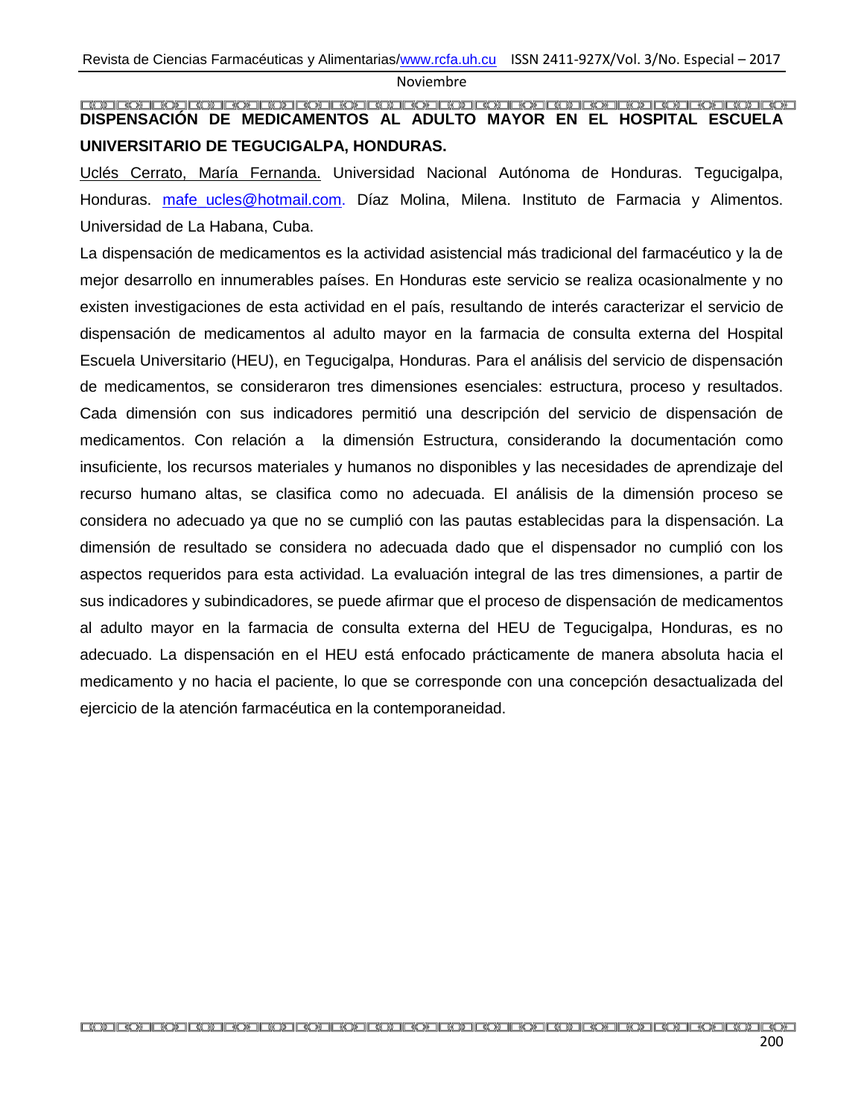### <span id="page-28-0"></span>**DISPENSACIÓN DE MEDICAMENTOS AL ADULTO MAYOR EN EL HOSPITAL ESCUELA UNIVERSITARIO DE TEGUCIGALPA, HONDURAS.**

Uclés Cerrato, María Fernanda. Universidad Nacional Autónoma de Honduras. Tegucigalpa, Honduras. mafe ucles@hotmail.com. Díaz Molina, Milena. Instituto de Farmacia y Alimentos. Universidad de La Habana, Cuba.

La dispensación de medicamentos es la actividad asistencial más tradicional del farmacéutico y la de mejor desarrollo en innumerables países. En Honduras este servicio se realiza ocasionalmente y no existen investigaciones de esta actividad en el país, resultando de interés caracterizar el servicio de dispensación de medicamentos al adulto mayor en la farmacia de consulta externa del Hospital Escuela Universitario (HEU), en Tegucigalpa, Honduras. Para el análisis del servicio de dispensación de medicamentos, se consideraron tres dimensiones esenciales: estructura, proceso y resultados. Cada dimensión con sus indicadores permitió una descripción del servicio de dispensación de medicamentos. Con relación a la dimensión Estructura, considerando la documentación como insuficiente, los recursos materiales y humanos no disponibles y las necesidades de aprendizaje del recurso humano altas, se clasifica como no adecuada. El análisis de la dimensión proceso se considera no adecuado ya que no se cumplió con las pautas establecidas para la dispensación. La dimensión de resultado se considera no adecuada dado que el dispensador no cumplió con los aspectos requeridos para esta actividad. La evaluación integral de las tres dimensiones, a partir de sus indicadores y subindicadores, se puede afirmar que el proceso de dispensación de medicamentos al adulto mayor en la farmacia de consulta externa del HEU de Tegucigalpa, Honduras, es no adecuado. La dispensación en el HEU está enfocado prácticamente de manera absoluta hacia el medicamento y no hacia el paciente, lo que se corresponde con una concepción desactualizada del ejercicio de la atención farmacéutica en la contemporaneidad.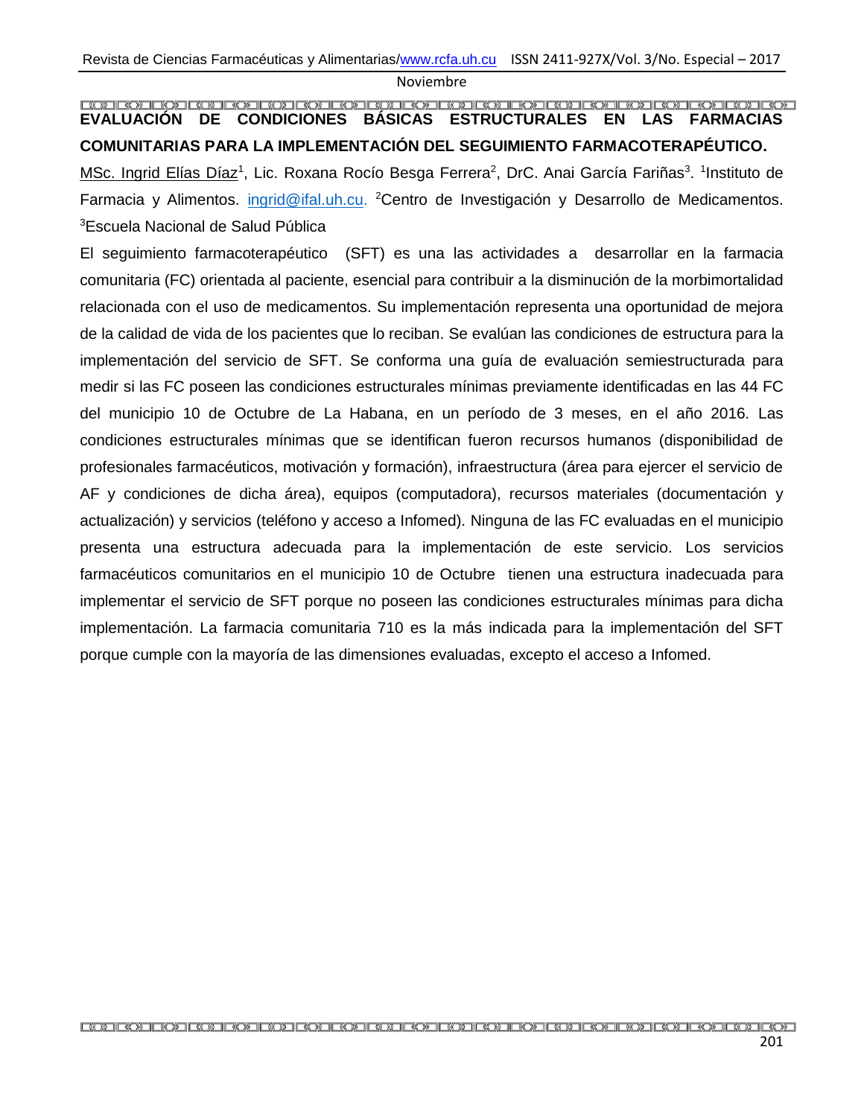#### <span id="page-29-0"></span>**EVALUACIÓN DE CONDICIONES BÁSICAS ESTRUCTURALES EN LAS FARMACIAS COMUNITARIAS PARA LA IMPLEMENTACIÓN DEL SEGUIMIENTO FARMACOTERAPÉUTICO.**

MSc. Ingrid Elías Díaz<sup>1</sup>, Lic. Roxana Rocío Besga Ferrera<sup>2</sup>, DrC. Anai García Fariñas<sup>3</sup>. <sup>1</sup>Instituto de Farmacia y Alimentos. *[ingrid@ifal.uh.cu.](mailto:ingrid@ifal.uh.cu)* <sup>2</sup>Centro de Investigación y Desarrollo de Medicamentos. <sup>3</sup>Escuela Nacional de Salud Pública

El seguimiento farmacoterapéutico (SFT) es una las actividades a desarrollar en la farmacia comunitaria (FC) orientada al paciente, esencial para contribuir a la disminución de la morbimortalidad relacionada con el uso de medicamentos. Su implementación representa una oportunidad de mejora de la calidad de vida de los pacientes que lo reciban. Se evalúan las condiciones de estructura para la implementación del servicio de SFT. Se conforma una guía de evaluación semiestructurada para medir si las FC poseen las condiciones estructurales mínimas previamente identificadas en las 44 FC del municipio 10 de Octubre de La Habana, en un período de 3 meses, en el año 2016. Las condiciones estructurales mínimas que se identifican fueron recursos humanos (disponibilidad de profesionales farmacéuticos, motivación y formación), infraestructura (área para ejercer el servicio de AF y condiciones de dicha área), equipos (computadora), recursos materiales (documentación y actualización) y servicios (teléfono y acceso a Infomed). Ninguna de las FC evaluadas en el municipio presenta una estructura adecuada para la implementación de este servicio. Los servicios farmacéuticos comunitarios en el municipio 10 de Octubre tienen una estructura inadecuada para implementar el servicio de SFT porque no poseen las condiciones estructurales mínimas para dicha implementación. La farmacia comunitaria 710 es la más indicada para la implementación del SFT porque cumple con la mayoría de las dimensiones evaluadas, excepto el acceso a Infomed.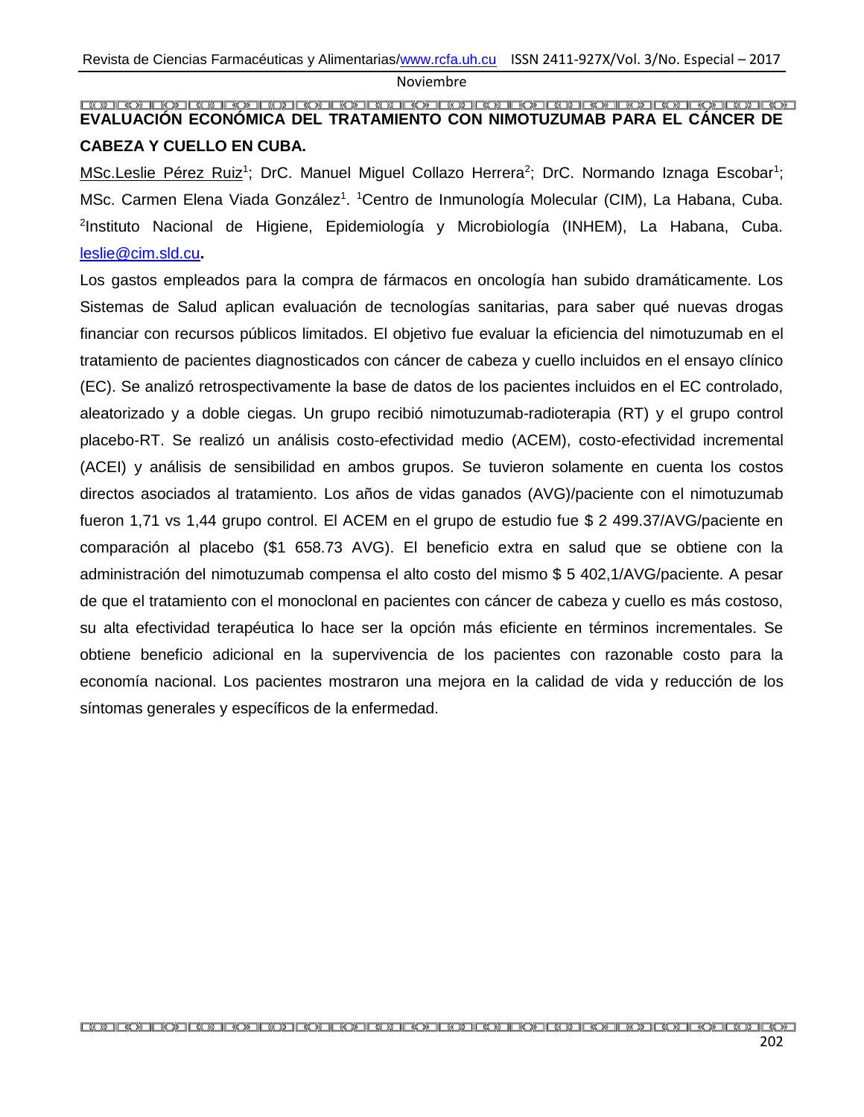#### <span id="page-30-0"></span>**EVALUACIÓN ECONÓMICA DEL TRATAMIENTO CON NIMOTUZUMAB PARA EL CÁNCER DE CABEZA Y CUELLO EN CUBA.**

MSc.Leslie Pérez Ruiz<sup>1</sup>; DrC. Manuel Miguel Collazo Herrera<sup>2</sup>; DrC. Normando Iznaga Escobar<sup>1</sup>; MSc. Carmen Elena Viada González<sup>1</sup>. <sup>1</sup>Centro de Inmunología Molecular (CIM), La Habana, Cuba. 2 Instituto Nacional de Higiene, Epidemiología y Microbiología (INHEM), La Habana, Cuba. [leslie@cim.sld.cu](mailto:leslie@cim.sld.cu)**.**

Los gastos empleados para la compra de fármacos en oncología han subido dramáticamente. Los Sistemas de Salud aplican evaluación de tecnologías sanitarias, para saber qué nuevas drogas financiar con recursos públicos limitados. El objetivo fue evaluar la eficiencia del nimotuzumab en el tratamiento de pacientes diagnosticados con cáncer de cabeza y cuello incluidos en el ensayo clínico (EC). Se analizó retrospectivamente la base de datos de los pacientes incluidos en el EC controlado, aleatorizado y a doble ciegas. Un grupo recibió nimotuzumab-radioterapia (RT) y el grupo control placebo-RT. Se realizó un análisis costo-efectividad medio (ACEM), costo-efectividad incremental (ACEI) y análisis de sensibilidad en ambos grupos. Se tuvieron solamente en cuenta los costos directos asociados al tratamiento. Los años de vidas ganados (AVG)/paciente con el nimotuzumab fueron 1,71 vs 1,44 grupo control. El ACEM en el grupo de estudio fue \$ 2 499.37/AVG/paciente en comparación al placebo (\$1 658.73 AVG). El beneficio extra en salud que se obtiene con la administración del nimotuzumab compensa el alto costo del mismo \$ 5 402,1/AVG/paciente. A pesar de que el tratamiento con el monoclonal en pacientes con cáncer de cabeza y cuello es más costoso, su alta efectividad terapéutica lo hace ser la opción más eficiente en términos incrementales. Se obtiene beneficio adicional en la supervivencia de los pacientes con razonable costo para la economía nacional. Los pacientes mostraron una mejora en la calidad de vida y reducción de los síntomas generales y específicos de la enfermedad.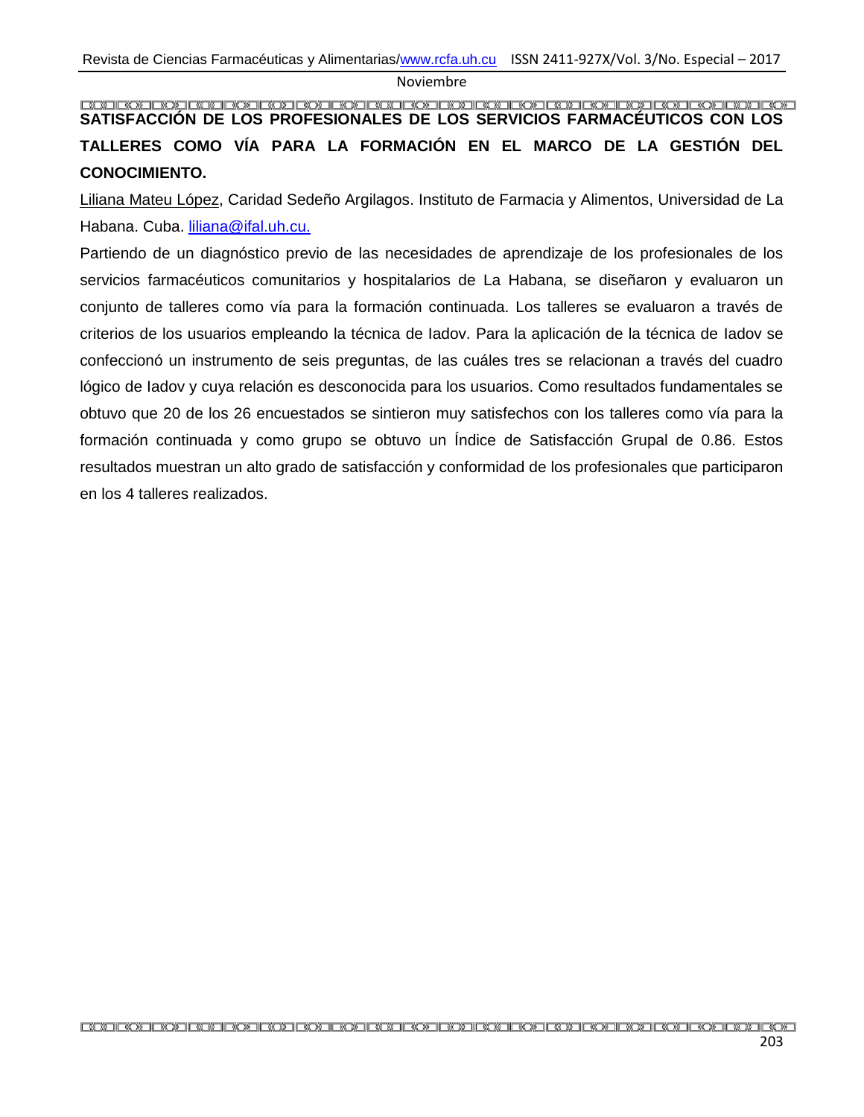## <span id="page-31-0"></span>**SATISFACCIÓN DE LOS PROFESIONALES DE LOS SERVICIOS FARMACÉUTICOS CON LOS TALLERES COMO VÍA PARA LA FORMACIÓN EN EL MARCO DE LA GESTIÓN DEL CONOCIMIENTO.**

Liliana Mateu López, Caridad Sedeño Argilagos. Instituto de Farmacia y Alimentos, Universidad de La Habana. Cuba. [liliana@ifal.uh.cu.](mailto:liliana@ifal.uh.cu)

Partiendo de un diagnóstico previo de las necesidades de aprendizaje de los profesionales de los servicios farmacéuticos comunitarios y hospitalarios de La Habana, se diseñaron y evaluaron un conjunto de talleres como vía para la formación continuada. Los talleres se evaluaron a través de criterios de los usuarios empleando la técnica de Iadov. Para la aplicación de la técnica de Iadov se confeccionó un instrumento de seis preguntas, de las cuáles tres se relacionan a través del cuadro lógico de Iadov y cuya relación es desconocida para los usuarios. Como resultados fundamentales se obtuvo que 20 de los 26 encuestados se sintieron muy satisfechos con los talleres como vía para la formación continuada y como grupo se obtuvo un Índice de Satisfacción Grupal de 0.86. Estos resultados muestran un alto grado de satisfacción y conformidad de los profesionales que participaron en los 4 talleres realizados.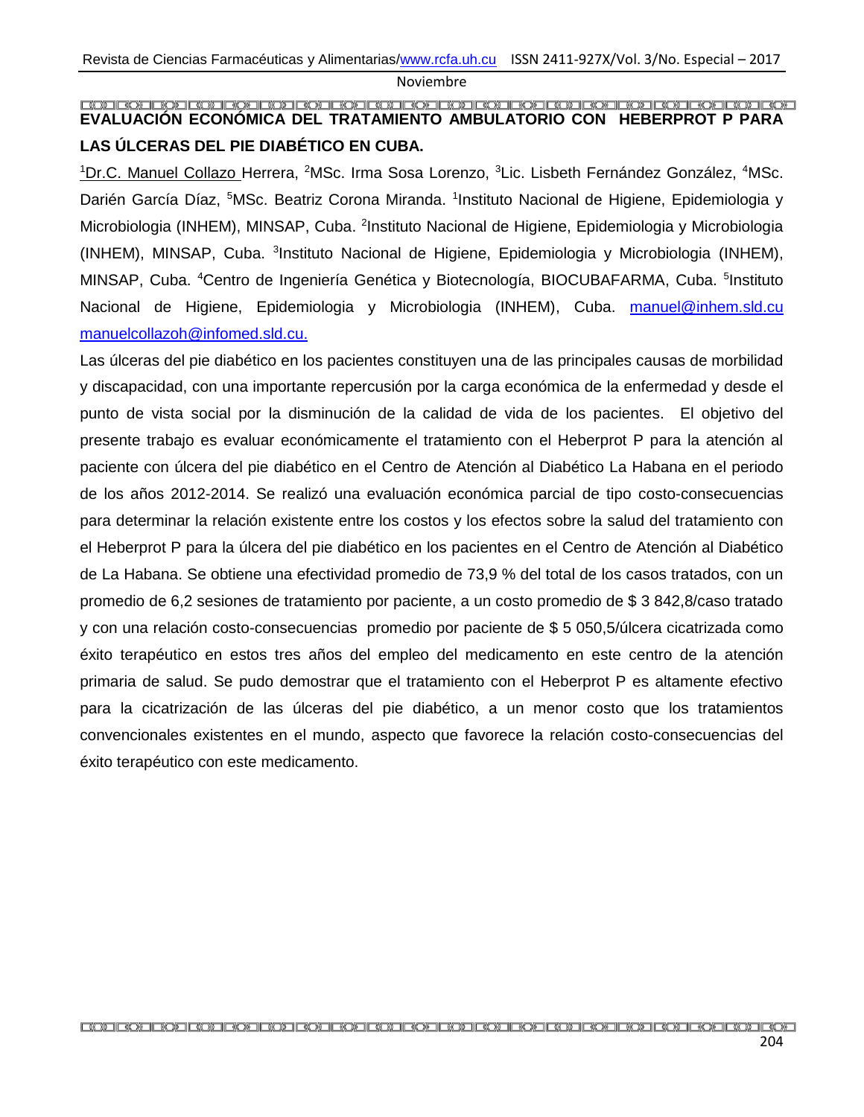#### <span id="page-32-0"></span>**EVALUACIÓN ECONÓMICA DEL TRATAMIENTO AMBULATORIO CON HEBERPROT P PARA LAS ÚLCERAS DEL PIE DIABÉTICO EN CUBA.**

<sup>1</sup>Dr.C. Manuel Collazo Herrera, <sup>2</sup>MSc. Irma Sosa Lorenzo, <sup>3</sup>Lic. Lisbeth Fernández González, <sup>4</sup>MSc. Darién García Díaz, <sup>5</sup>MSc. Beatriz Corona Miranda. <sup>1</sup>Instituto Nacional de Higiene, Epidemiologia y Microbiologia (INHEM), MINSAP, Cuba. <sup>2</sup>Instituto Nacional de Higiene, Epidemiologia y Microbiologia (INHEM), MINSAP, Cuba. <sup>3</sup>Instituto Nacional de Higiene, Epidemiologia y Microbiologia (INHEM), MINSAP, Cuba. <sup>4</sup>Centro de Ingeniería Genética y Biotecnología, BIOCUBAFARMA, Cuba. <sup>5</sup>Instituto Nacional de Higiene, Epidemiologia y Microbiologia (INHEM), Cuba. manuel@inhem.sld.cu [manuelcollazoh@infomed.sld.cu.](mailto:manuelcollazoh@infomed.sld.cu)

Las úlceras del pie diabético en los pacientes constituyen una de las principales causas de morbilidad y discapacidad, con una importante repercusión por la carga económica de la enfermedad y desde el punto de vista social por la disminución de la calidad de vida de los pacientes. El objetivo del presente trabajo es evaluar económicamente el tratamiento con el Heberprot P para la atención al paciente con úlcera del pie diabético en el Centro de Atención al Diabético La Habana en el periodo de los años 2012-2014. Se realizó una evaluación económica parcial de tipo costo-consecuencias para determinar la relación existente entre los costos y los efectos sobre la salud del tratamiento con el Heberprot P para la úlcera del pie diabético en los pacientes en el Centro de Atención al Diabético de La Habana. Se obtiene una efectividad promedio de 73,9 % del total de los casos tratados, con un promedio de 6,2 sesiones de tratamiento por paciente, a un costo promedio de \$ 3 842,8/caso tratado y con una relación costo-consecuencias promedio por paciente de \$ 5 050,5/úlcera cicatrizada como éxito terapéutico en estos tres años del empleo del medicamento en este centro de la atención primaria de salud. Se pudo demostrar que el tratamiento con el Heberprot P es altamente efectivo para la cicatrización de las úlceras del pie diabético, a un menor costo que los tratamientos convencionales existentes en el mundo, aspecto que favorece la relación costo-consecuencias del éxito terapéutico con este medicamento.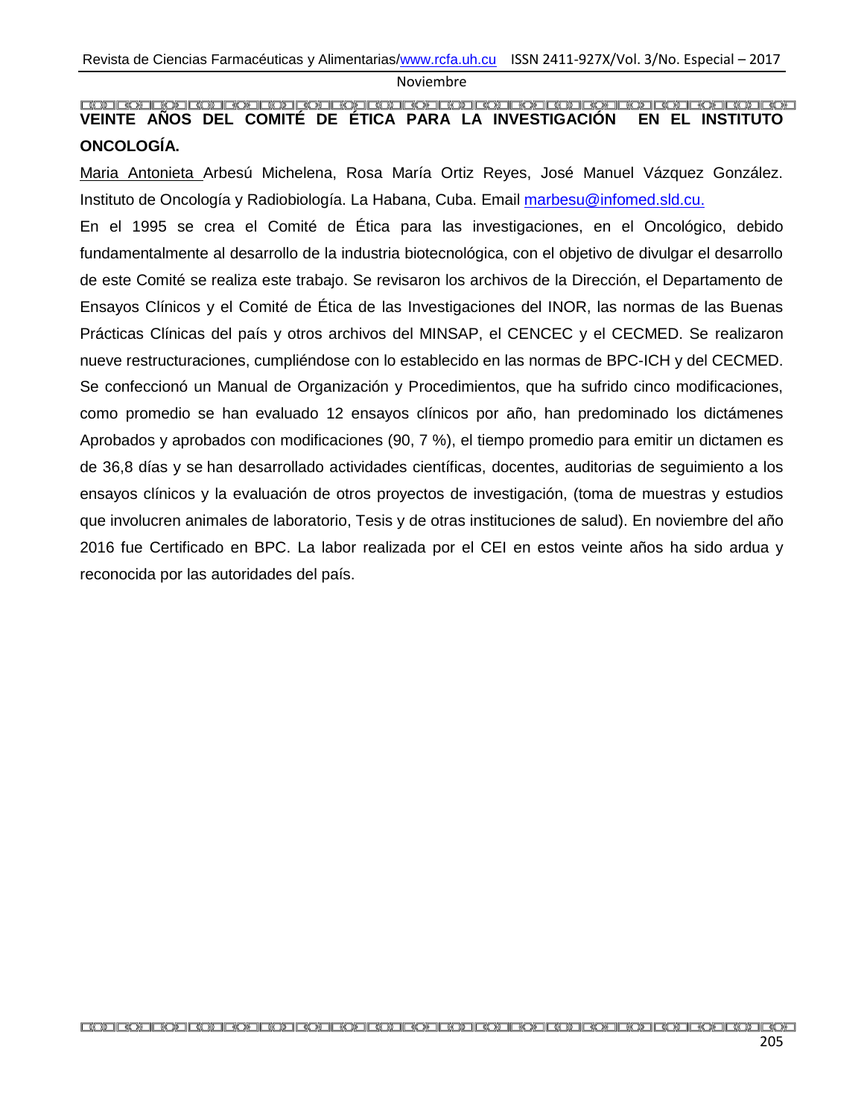#### <span id="page-33-0"></span>**VEINTE AÑOS DEL COMITÉ DE ÉTICA PARA LA INVESTIGACIÓN EN EL INSTITUTO ONCOLOGÍA.**

Maria Antonieta Arbesú Michelena, Rosa María Ortiz Reyes, José Manuel Vázquez González. Instituto de Oncología y Radiobiología. La Habana, Cuba. Email [marbesu@infomed.sld.cu.](mailto:marbesu@infomed.sld.cu)

En el 1995 se crea el Comité de Ética para las investigaciones, en el Oncológico, debido fundamentalmente al desarrollo de la industria biotecnológica, con el objetivo de divulgar el desarrollo de este Comité se realiza este trabajo. Se revisaron los archivos de la Dirección, el Departamento de Ensayos Clínicos y el Comité de Ética de las Investigaciones del INOR, las normas de las Buenas Prácticas Clínicas del país y otros archivos del MINSAP, el CENCEC y el CECMED. Se realizaron nueve restructuraciones, cumpliéndose con lo establecido en las normas de BPC-ICH y del CECMED. Se confeccionó un Manual de Organización y Procedimientos, que ha sufrido cinco modificaciones, como promedio se han evaluado 12 ensayos clínicos por año, han predominado los dictámenes Aprobados y aprobados con modificaciones (90, 7 %), el tiempo promedio para emitir un dictamen es de 36,8 días y se han desarrollado actividades científicas, docentes, auditorias de seguimiento a los ensayos clínicos y la evaluación de otros proyectos de investigación, (toma de muestras y estudios que involucren animales de laboratorio, Tesis y de otras instituciones de salud). En noviembre del año 2016 fue Certificado en BPC. La labor realizada por el CEI en estos veinte años ha sido ardua y reconocida por las autoridades del país.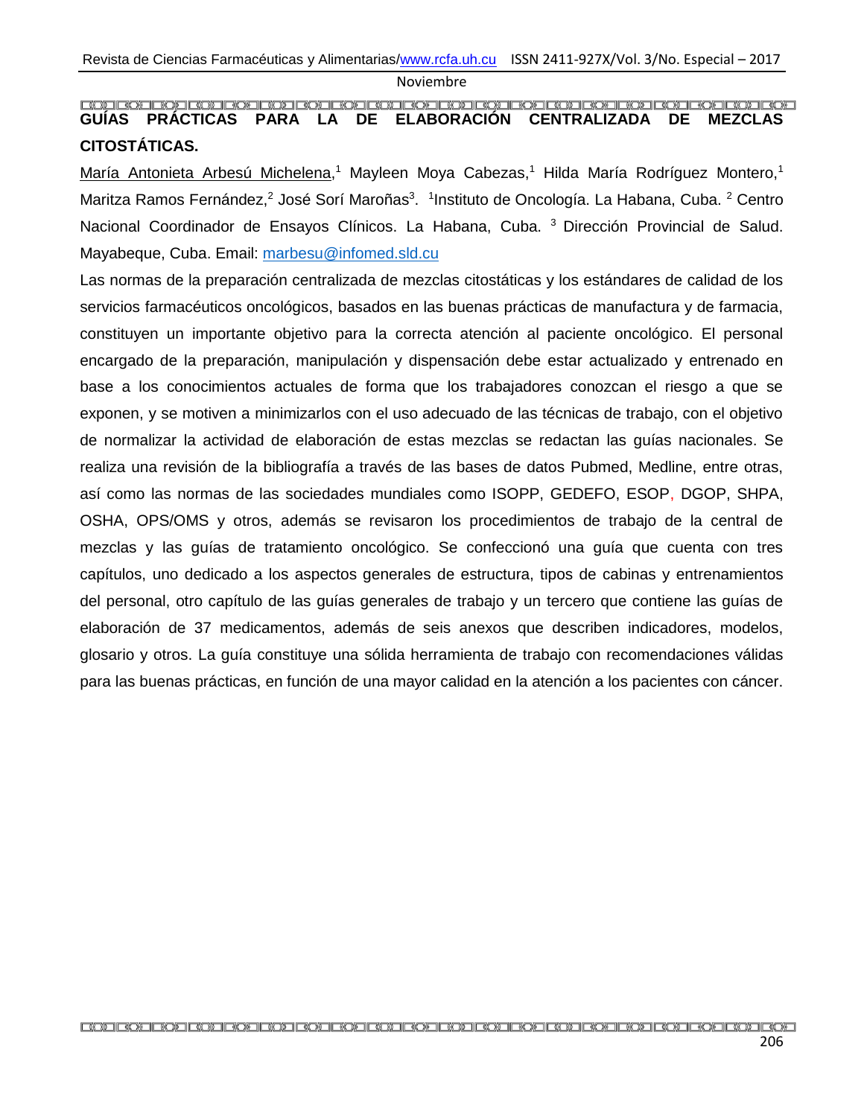#### <span id="page-34-0"></span>**GUÍAS PRÁCTICAS PARA LA DE ELABORACIÓN CENTRALIZADA DE MEZCLAS CITOSTÁTICAS.**

María Antonieta Arbesú Michelena,<sup>1</sup> Mayleen Moya Cabezas,<sup>1</sup> Hilda María Rodríguez Montero,<sup>1</sup> Maritza Ramos Fernández,<sup>2</sup> José Sorí Maroñas<sup>3</sup>. <sup>1</sup>Instituto de Oncología. La Habana, Cuba. <sup>2</sup> Centro Nacional Coordinador de Ensayos Clínicos. La Habana, Cuba.<sup>3</sup> Dirección Provincial de Salud. Mayabeque, Cuba. Email: [marbesu@infomed.sld.cu](mailto:marbesu@infomed.sld.cu)

Las normas de la preparación centralizada de mezclas citostáticas y los estándares de calidad de los servicios farmacéuticos oncológicos, basados en las buenas prácticas de manufactura y de farmacia, constituyen un importante objetivo para la correcta atención al paciente oncológico. El personal encargado de la preparación, manipulación y dispensación debe estar actualizado y entrenado en base a los conocimientos actuales de forma que los trabajadores conozcan el riesgo a que se exponen, y se motiven a minimizarlos con el uso adecuado de las técnicas de trabajo, con el objetivo de normalizar la actividad de elaboración de estas mezclas se redactan las guías nacionales. Se realiza una revisión de la bibliografía a través de las bases de datos Pubmed, Medline, entre otras, así como las normas de las sociedades mundiales como ISOPP, GEDEFO, ESOP, DGOP, SHPA, OSHA, OPS/OMS y otros, además se revisaron los procedimientos de trabajo de la central de mezclas y las guías de tratamiento oncológico. Se confeccionó una guía que cuenta con tres capítulos, uno dedicado a los aspectos generales de estructura, tipos de cabinas y entrenamientos del personal, otro capítulo de las guías generales de trabajo y un tercero que contiene las guías de elaboración de 37 medicamentos, además de seis anexos que describen indicadores, modelos, glosario y otros. La guía constituye una sólida herramienta de trabajo con recomendaciones válidas para las buenas prácticas, en función de una mayor calidad en la atención a los pacientes con cáncer.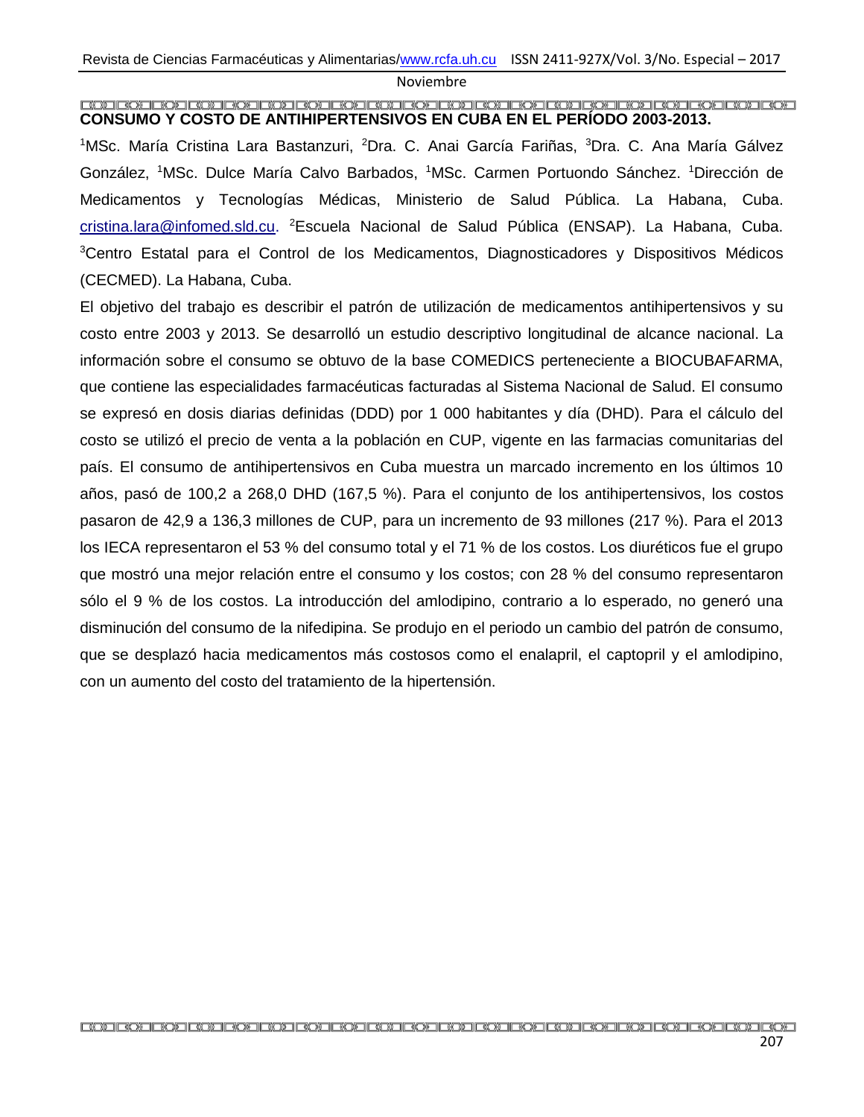#### <span id="page-35-0"></span>**CONSUMO Y COSTO DE ANTIHIPERTENSIVOS EN CUBA EN EL PERÍODO 2003-2013.**

<sup>1</sup>MSc. María Cristina Lara Bastanzuri, <sup>2</sup>Dra. C. Anai García Fariñas, <sup>3</sup>Dra. C. Ana María Gálvez González, <sup>1</sup>MSc. Dulce María Calvo Barbados, <sup>1</sup>MSc. Carmen Portuondo Sánchez. <sup>1</sup>Dirección de Medicamentos y Tecnologías Médicas, Ministerio de Salud Pública. La Habana, Cuba. [cristina.lara@infomed.sld.cu.](mailto:cristina.lara@infomed.sld.cu) <sup>2</sup>Escuela Nacional de Salud Pública (ENSAP). La Habana, Cuba. <sup>3</sup>Centro Estatal para el Control de los Medicamentos, Diagnosticadores y Dispositivos Médicos (CECMED). La Habana, Cuba.

El objetivo del trabajo es describir el patrón de utilización de medicamentos antihipertensivos y su costo entre 2003 y 2013. Se desarrolló un estudio descriptivo longitudinal de alcance nacional. La información sobre el consumo se obtuvo de la base COMEDICS perteneciente a BIOCUBAFARMA, que contiene las especialidades farmacéuticas facturadas al Sistema Nacional de Salud. El consumo se expresó en dosis diarias definidas (DDD) por 1 000 habitantes y día (DHD). Para el cálculo del costo se utilizó el precio de venta a la población en CUP, vigente en las farmacias comunitarias del país. El consumo de antihipertensivos en Cuba muestra un marcado incremento en los últimos 10 años, pasó de 100,2 a 268,0 DHD (167,5 %). Para el conjunto de los antihipertensivos, los costos pasaron de 42,9 a 136,3 millones de CUP, para un incremento de 93 millones (217 %). Para el 2013 los IECA representaron el 53 % del consumo total y el 71 % de los costos. Los diuréticos fue el grupo que mostró una mejor relación entre el consumo y los costos; con 28 % del consumo representaron sólo el 9 % de los costos. La introducción del amlodipino, contrario a lo esperado, no generó una disminución del consumo de la nifedipina. Se produjo en el periodo un cambio del patrón de consumo, que se desplazó hacia medicamentos más costosos como el enalapril, el captopril y el amlodipino, con un aumento del costo del tratamiento de la hipertensión.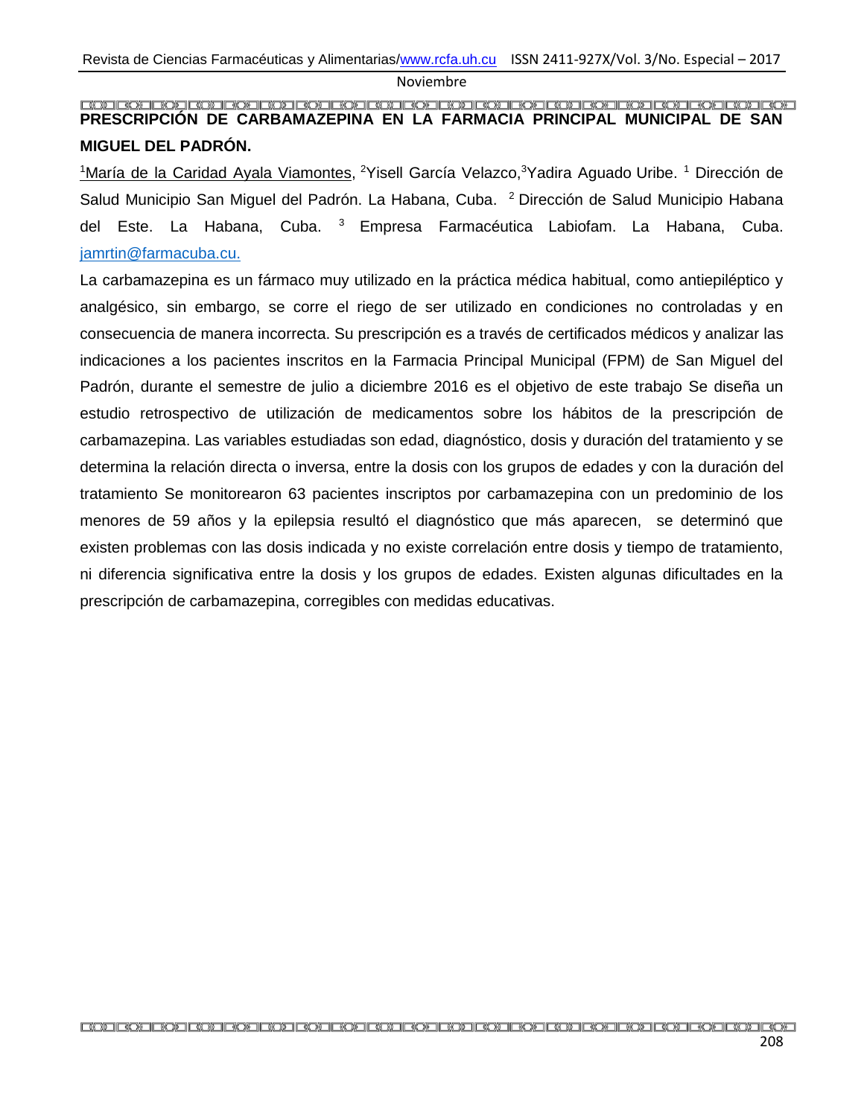#### <span id="page-36-0"></span>**PRESCRIPCIÓN DE CARBAMAZEPINA EN LA FARMACIA PRINCIPAL MUNICIPAL DE SAN MIGUEL DEL PADRÓN.**

<sup>1</sup>María de la Caridad Ayala Viamontes, <sup>2</sup>Yisell García Velazco,<sup>3</sup>Yadira Aguado Uribe. <sup>1</sup> Dirección de Salud Municipio San Miguel del Padrón. La Habana, Cuba. <sup>2</sup> Dirección de Salud Municipio Habana del Este. La Habana, Cuba. <sup>3</sup> Empresa Farmacéutica Labiofam. La Habana, Cuba. [jamrtin@farmacuba.cu.](mailto:jamrtin@farmacuba.cu)

La carbamazepina es un fármaco muy utilizado en la práctica médica habitual, como antiepiléptico y analgésico, sin embargo, se corre el riego de ser utilizado en condiciones no controladas y en consecuencia de manera incorrecta. Su prescripción es a través de certificados médicos y analizar las indicaciones a los pacientes inscritos en la Farmacia Principal Municipal (FPM) de San Miguel del Padrón, durante el semestre de julio a diciembre 2016 es el objetivo de este trabajo Se diseña un estudio retrospectivo de utilización de medicamentos sobre los hábitos de la prescripción de carbamazepina. Las variables estudiadas son edad, diagnóstico, dosis y duración del tratamiento y se determina la relación directa o inversa, entre la dosis con los grupos de edades y con la duración del tratamiento Se monitorearon 63 pacientes inscriptos por carbamazepina con un predominio de los menores de 59 años y la epilepsia resultó el diagnóstico que más aparecen, se determinó que existen problemas con las dosis indicada y no existe correlación entre dosis y tiempo de tratamiento, ni diferencia significativa entre la dosis y los grupos de edades. Existen algunas dificultades en la prescripción de carbamazepina, corregibles con medidas educativas.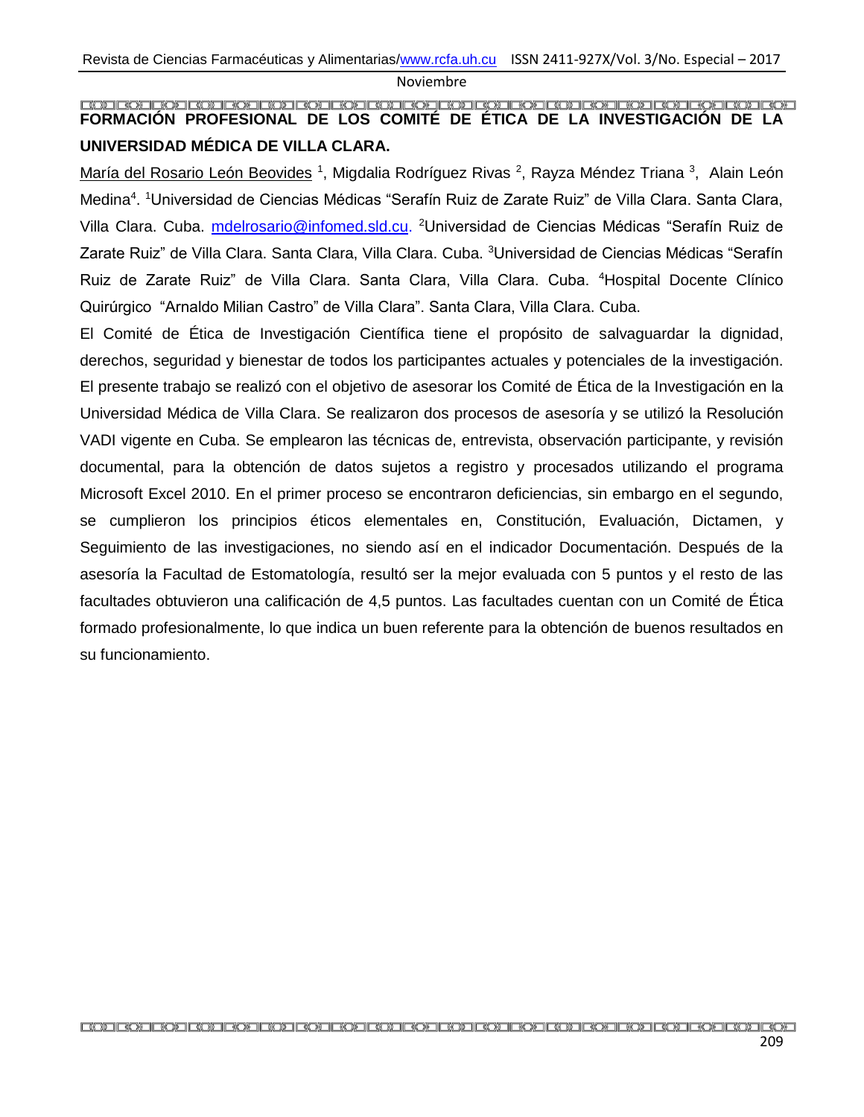# <span id="page-37-0"></span>**FORMACIÓN PROFESIONAL DE LOS COMITÉ DE ÉTICA DE LA INVESTIGACIÓN DE LA UNIVERSIDAD MÉDICA DE VILLA CLARA.**

María del Rosario León Beovides <sup>1</sup>, Migdalia Rodríguez Rivas <sup>2</sup>, Rayza Méndez Triana <sup>3</sup>, Alain León Medina<sup>4</sup>. <sup>1</sup>Universidad de Ciencias Médicas "Serafín Ruiz de Zarate Ruiz" de Villa Clara. Santa Clara, Villa Clara. Cuba. *mdelrosario@infomed.sld.cu.* <sup>2</sup>Universidad de Ciencias Médicas "Serafín Ruiz de Zarate Ruiz" de Villa Clara. Santa Clara, Villa Clara. Cuba. <sup>3</sup>Universidad de Ciencias Médicas "Serafín Ruiz de Zarate Ruiz" de Villa Clara. Santa Clara, Villa Clara. Cuba. <sup>4</sup>Hospital Docente Clínico Quirúrgico "Arnaldo Milian Castro" de Villa Clara". Santa Clara, Villa Clara. Cuba.

El Comité de Ética de Investigación Científica tiene el propósito de salvaguardar la dignidad, derechos, seguridad y bienestar de todos los participantes actuales y potenciales de la investigación. El presente trabajo se realizó con el objetivo de asesorar los Comité de Ética de la Investigación en la Universidad Médica de Villa Clara. Se realizaron dos procesos de asesoría y se utilizó la Resolución VADI vigente en Cuba. Se emplearon las técnicas de, entrevista, observación participante, y revisión documental, para la obtención de datos sujetos a registro y procesados utilizando el programa Microsoft Excel 2010. En el primer proceso se encontraron deficiencias, sin embargo en el segundo, se cumplieron los principios éticos elementales en, Constitución, Evaluación, Dictamen, y Seguimiento de las investigaciones, no siendo así en el indicador Documentación. Después de la asesoría la Facultad de Estomatología, resultó ser la mejor evaluada con 5 puntos y el resto de las facultades obtuvieron una calificación de 4,5 puntos. Las facultades cuentan con un Comité de Ética formado profesionalmente, lo que indica un buen referente para la obtención de buenos resultados en su funcionamiento.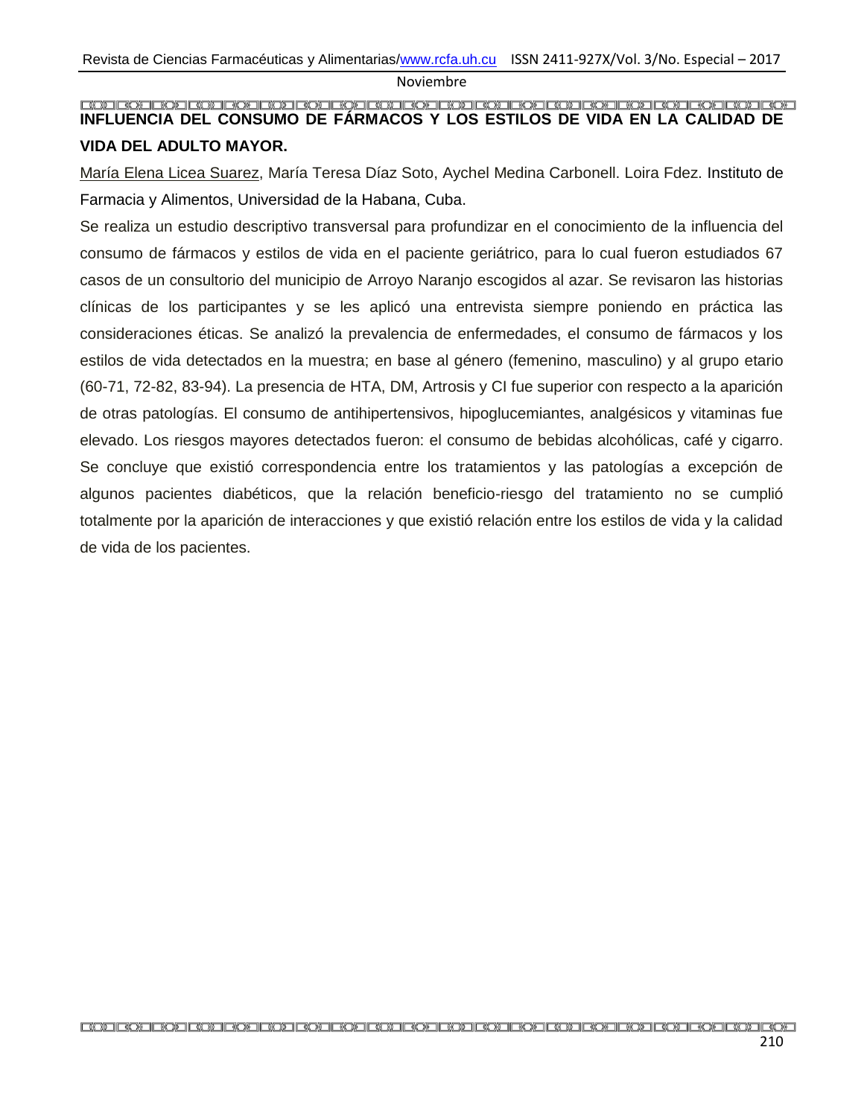#### <span id="page-38-0"></span>**INFLUENCIA DEL CONSUMO DE FÁRMACOS Y LOS ESTILOS DE VIDA EN LA CALIDAD DE VIDA DEL ADULTO MAYOR.**

María Elena Licea Suarez, María Teresa Díaz Soto, Aychel Medina Carbonell. Loira Fdez. Instituto de Farmacia y Alimentos, Universidad de la Habana, Cuba.

Se realiza un estudio descriptivo transversal para profundizar en el conocimiento de la influencia del consumo de fármacos y estilos de vida en el paciente geriátrico, para lo cual fueron estudiados 67 casos de un consultorio del municipio de Arroyo Naranjo escogidos al azar. Se revisaron las historias clínicas de los participantes y se les aplicó una entrevista siempre poniendo en práctica las consideraciones éticas. Se analizó la prevalencia de enfermedades, el consumo de fármacos y los estilos de vida detectados en la muestra; en base al género (femenino, masculino) y al grupo etario (60-71, 72-82, 83-94). La presencia de HTA, DM, Artrosis y CI fue superior con respecto a la aparición de otras patologías. El consumo de antihipertensivos, hipoglucemiantes, analgésicos y vitaminas fue elevado. Los riesgos mayores detectados fueron: el consumo de bebidas alcohólicas, café y cigarro. Se concluye que existió correspondencia entre los tratamientos y las patologías a excepción de algunos pacientes diabéticos, que la relación beneficio-riesgo del tratamiento no se cumplió totalmente por la aparición de interacciones y que existió relación entre los estilos de vida y la calidad de vida de los pacientes.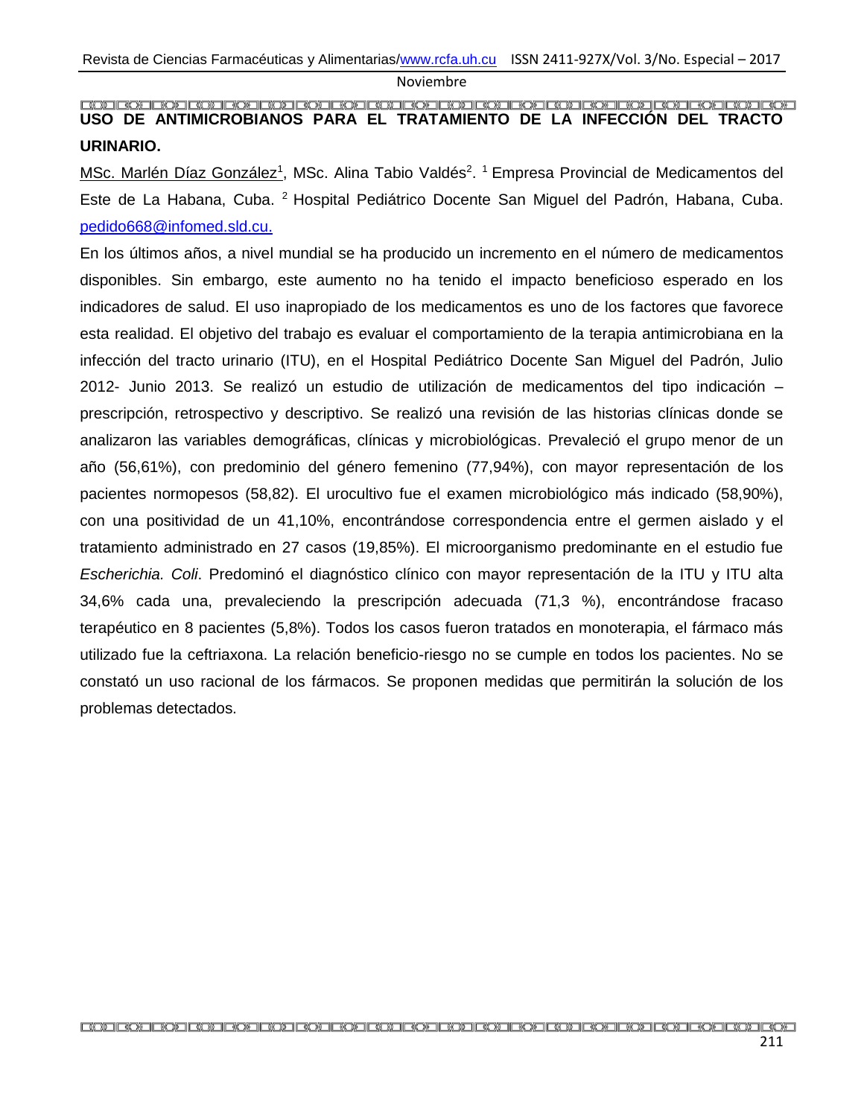#### <span id="page-39-0"></span>**USO DE ANTIMICROBIANOS PARA EL TRATAMIENTO DE LA INFECCIÓN DEL TRACTO URINARIO.**

MSc. Marlén Díaz González<sup>1</sup>, MSc. Alina Tabio Valdés<sup>2</sup>. <sup>1</sup> Empresa Provincial de Medicamentos del Este de La Habana, Cuba. <sup>2</sup> Hospital Pediátrico Docente San Miguel del Padrón, Habana, Cuba. [pedido668@infomed.sld.cu.](mailto:pedido668@infomed.sld.cu)

En los últimos años, a nivel mundial se ha producido un incremento en el número de medicamentos disponibles. Sin embargo, este aumento no ha tenido el impacto beneficioso esperado en los indicadores de salud. El uso inapropiado de los medicamentos es uno de los factores que favorece esta realidad. El objetivo del trabajo es evaluar el comportamiento de la terapia antimicrobiana en la infección del tracto urinario (ITU), en el Hospital Pediátrico Docente San Miguel del Padrón, Julio 2012- Junio 2013. Se realizó un estudio de utilización de medicamentos del tipo indicación – prescripción, retrospectivo y descriptivo. Se realizó una revisión de las historias clínicas donde se analizaron las variables demográficas, clínicas y microbiológicas. Prevaleció el grupo menor de un año (56,61%), con predominio del género femenino (77,94%), con mayor representación de los pacientes normopesos (58,82). El urocultivo fue el examen microbiológico más indicado (58,90%), con una positividad de un 41,10%, encontrándose correspondencia entre el germen aislado y el tratamiento administrado en 27 casos (19,85%). El microorganismo predominante en el estudio fue *Escherichia. Coli*. Predominó el diagnóstico clínico con mayor representación de la ITU y ITU alta 34,6% cada una, prevaleciendo la prescripción adecuada (71,3 %), encontrándose fracaso terapéutico en 8 pacientes (5,8%). Todos los casos fueron tratados en monoterapia, el fármaco más utilizado fue la ceftriaxona. La relación beneficio-riesgo no se cumple en todos los pacientes. No se constató un uso racional de los fármacos. Se proponen medidas que permitirán la solución de los problemas detectados.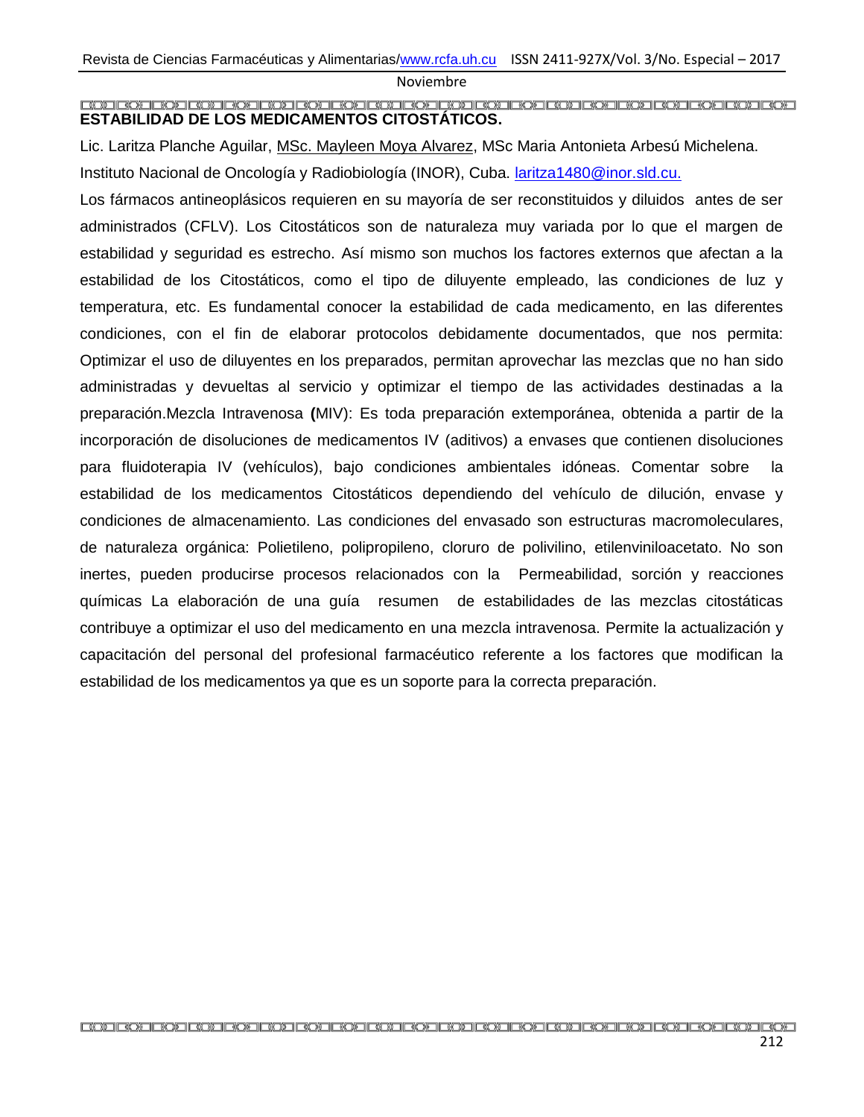#### <span id="page-40-0"></span>**ESTABILIDAD DE LOS MEDICAMENTOS CITOSTÁTICOS.**

Lic. Laritza Planche Aguilar, MSc. Mayleen Moya Alvarez, MSc Maria Antonieta Arbesú Michelena. Instituto Nacional de Oncología y Radiobiología (INOR), Cuba. [laritza1480@inor.sld.cu.](mailto:laritza1480@inor.sld.cu)

Los fármacos antineoplásicos requieren en su mayoría de ser reconstituidos y diluidos antes de ser administrados (CFLV). Los Citostáticos son de naturaleza muy variada por lo que el margen de estabilidad y seguridad es estrecho. Así mismo son muchos los factores externos que afectan a la estabilidad de los Citostáticos, como el tipo de diluyente empleado, las condiciones de luz y temperatura, etc. Es fundamental conocer la estabilidad de cada medicamento, en las diferentes condiciones, con el fin de elaborar protocolos debidamente documentados, que nos permita: Optimizar el uso de diluyentes en los preparados, permitan aprovechar las mezclas que no han sido administradas y devueltas al servicio y optimizar el tiempo de las actividades destinadas a la preparación.Mezcla Intravenosa **(**MIV): Es toda preparación extemporánea, obtenida a partir de la incorporación de disoluciones de medicamentos IV (aditivos) a envases que contienen disoluciones para fluidoterapia IV (vehículos), bajo condiciones ambientales idóneas. Comentar sobre la estabilidad de los medicamentos Citostáticos dependiendo del vehículo de dilución, envase y condiciones de almacenamiento. Las condiciones del envasado son estructuras macromoleculares, de naturaleza orgánica: Polietileno, polipropileno, cloruro de polivilino, etilenviniloacetato. No son inertes, pueden producirse procesos relacionados con la Permeabilidad, sorción y reacciones químicas La elaboración de una guía resumen de estabilidades de las mezclas citostáticas contribuye a optimizar el uso del medicamento en una mezcla intravenosa. Permite la actualización y capacitación del personal del profesional farmacéutico referente a los factores que modifican la estabilidad de los medicamentos ya que es un soporte para la correcta preparación.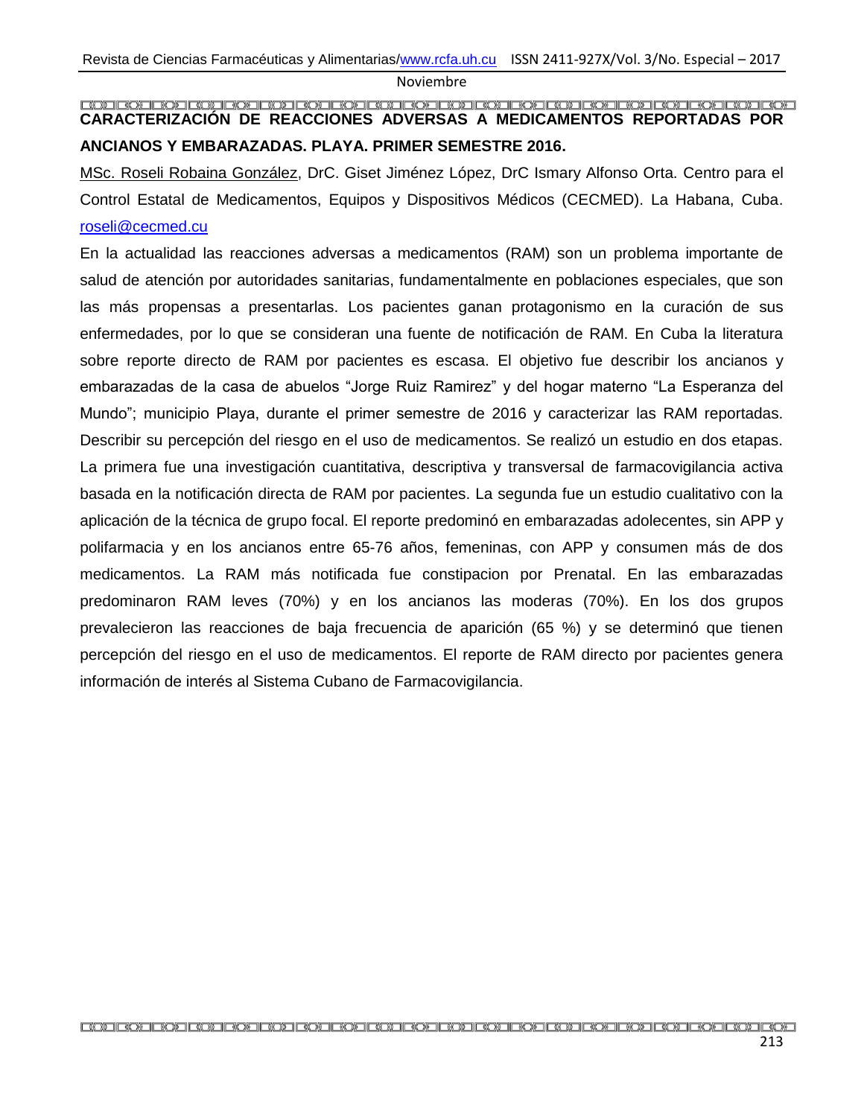#### <span id="page-41-0"></span>**CARACTERIZACIÓN DE REACCIONES ADVERSAS A MEDICAMENTOS REPORTADAS POR ANCIANOS Y EMBARAZADAS. PLAYA. PRIMER SEMESTRE 2016.**

MSc. Roseli Robaina González, DrC. Giset Jiménez López, DrC Ismary Alfonso Orta. Centro para el Control Estatal de Medicamentos, Equipos y Dispositivos Médicos (CECMED). La Habana, Cuba. [roseli@cecmed.cu](mailto:roseli@cecmed.cu)

En la actualidad las reacciones adversas a medicamentos (RAM) son un problema importante de salud de atención por autoridades sanitarias, fundamentalmente en poblaciones especiales, que son las más propensas a presentarlas. Los pacientes ganan protagonismo en la curación de sus enfermedades, por lo que se consideran una fuente de notificación de RAM. En Cuba la literatura sobre reporte directo de RAM por pacientes es escasa. El objetivo fue describir los ancianos y embarazadas de la casa de abuelos "Jorge Ruiz Ramirez" y del hogar materno "La Esperanza del Mundo"; municipio Playa, durante el primer semestre de 2016 y caracterizar las RAM reportadas. Describir su percepción del riesgo en el uso de medicamentos. Se realizó un estudio en dos etapas. La primera fue una investigación cuantitativa, descriptiva y transversal de farmacovigilancia activa basada en la notificación directa de RAM por pacientes. La segunda fue un estudio cualitativo con la aplicación de la técnica de grupo focal. El reporte predominó en embarazadas adolecentes, sin APP y polifarmacia y en los ancianos entre 65-76 años, femeninas, con APP y consumen más de dos medicamentos. La RAM más notificada fue constipacion por Prenatal. En las embarazadas predominaron RAM leves (70%) y en los ancianos las moderas (70%). En los dos grupos prevalecieron las reacciones de baja frecuencia de aparición (65 %) y se determinó que tienen percepción del riesgo en el uso de medicamentos. El reporte de RAM directo por pacientes genera información de interés al Sistema Cubano de Farmacovigilancia.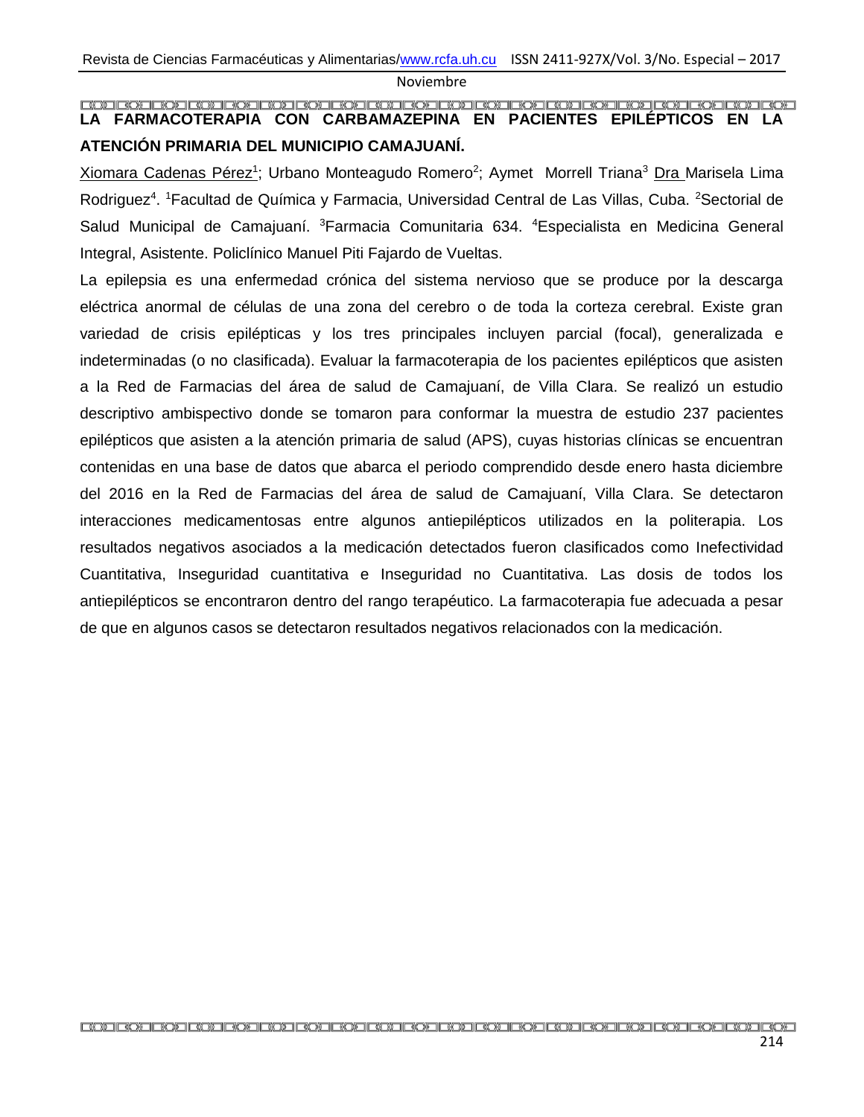#### <span id="page-42-0"></span>**LA FARMACOTERAPIA CON CARBAMAZEPINA EN PACIENTES EPILÉPTICOS EN LA ATENCIÓN PRIMARIA DEL MUNICIPIO CAMAJUANÍ.**

Xiomara Cadenas Pérez<sup>1</sup>; Urbano Monteagudo Romero<sup>2</sup>; Aymet Morrell Triana<sup>3</sup> Dra Marisela Lima Rodriguez<sup>4</sup>. <sup>1</sup>Facultad de Química y Farmacia, Universidad Central de Las Villas, Cuba. <sup>2</sup>Sectorial de Salud Municipal de Camajuaní. <sup>3</sup>Farmacia Comunitaria 634. <sup>4</sup>Especialista en Medicina General Integral, Asistente. Policlínico Manuel Piti Fajardo de Vueltas.

La epilepsia es una enfermedad crónica del sistema nervioso que se produce por la descarga eléctrica anormal de células de una zona del cerebro o de toda la corteza cerebral. Existe gran variedad de crisis epilépticas y los tres principales incluyen parcial (focal), generalizada e indeterminadas (o no clasificada). Evaluar la farmacoterapia de los pacientes epilépticos que asisten a la Red de Farmacias del área de salud de Camajuaní, de Villa Clara. Se realizó un estudio descriptivo ambispectivo donde se tomaron para conformar la muestra de estudio 237 pacientes epilépticos que asisten a la atención primaria de salud (APS), cuyas historias clínicas se encuentran contenidas en una base de datos que abarca el periodo comprendido desde enero hasta diciembre del 2016 en la Red de Farmacias del área de salud de Camajuaní, Villa Clara. Se detectaron interacciones medicamentosas entre algunos antiepilépticos utilizados en la politerapia. Los resultados negativos asociados a la medicación detectados fueron clasificados como Inefectividad Cuantitativa, Inseguridad cuantitativa e Inseguridad no Cuantitativa. Las dosis de todos los antiepilépticos se encontraron dentro del rango terapéutico. La farmacoterapia fue adecuada a pesar de que en algunos casos se detectaron resultados negativos relacionados con la medicación.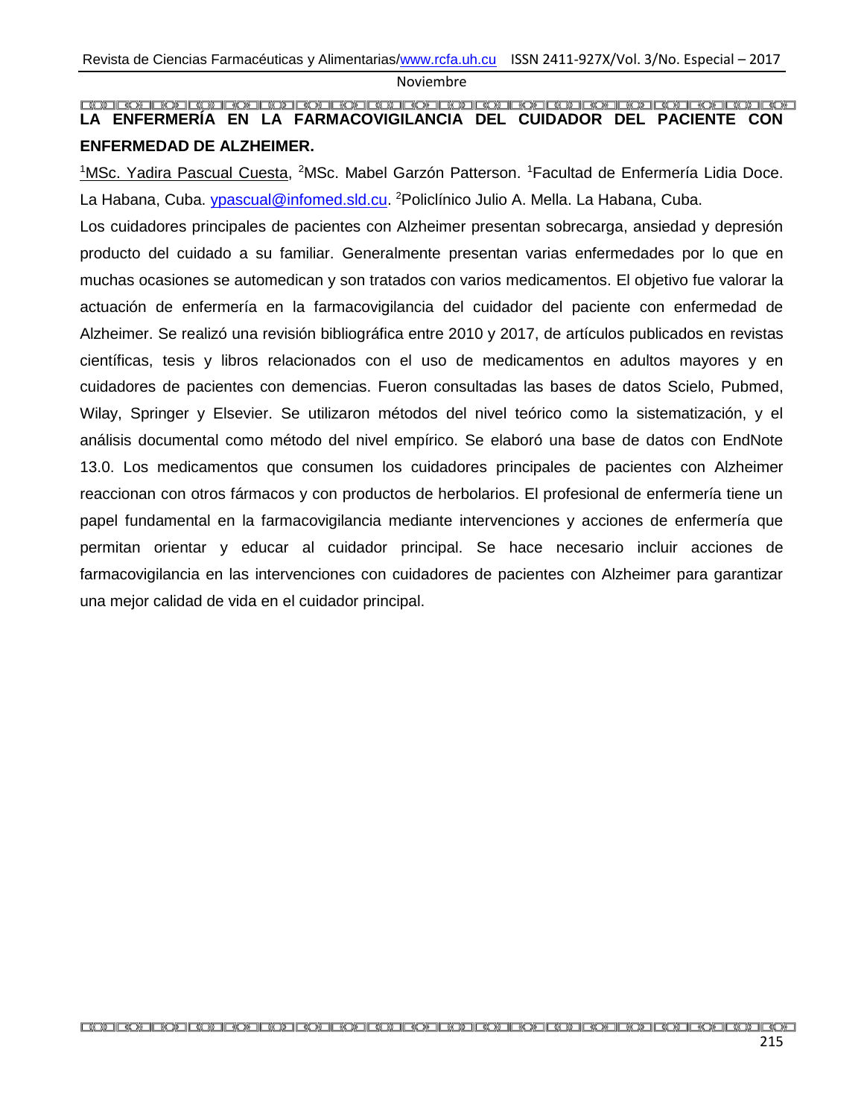# <span id="page-43-0"></span>**LA ENFERMERÍA EN LA FARMACOVIGILANCIA DEL CUIDADOR DEL PACIENTE CON ENFERMEDAD DE ALZHEIMER.**

<sup>1</sup>MSc. Yadira Pascual Cuesta, <sup>2</sup>MSc. Mabel Garzón Patterson. <sup>1</sup> Facultad de Enfermería Lidia Doce. La Habana, Cuba. *ypascual@infomed.sld.cu*. <sup>2</sup>Policlínico Julio A. Mella. La Habana, Cuba.

Los cuidadores principales de pacientes con Alzheimer presentan sobrecarga, ansiedad y depresión producto del cuidado a su familiar. Generalmente presentan varias enfermedades por lo que en muchas ocasiones se automedican y son tratados con varios medicamentos. El objetivo fue valorar la actuación de enfermería en la farmacovigilancia del cuidador del paciente con enfermedad de Alzheimer. Se realizó una revisión bibliográfica entre 2010 y 2017, de artículos publicados en revistas científicas, tesis y libros relacionados con el uso de medicamentos en adultos mayores y en cuidadores de pacientes con demencias. Fueron consultadas las bases de datos Scielo, Pubmed, Wilay, Springer y Elsevier. Se utilizaron métodos del nivel teórico como la sistematización, y el análisis documental como método del nivel empírico. Se elaboró una base de datos con EndNote 13.0. Los medicamentos que consumen los cuidadores principales de pacientes con Alzheimer reaccionan con otros fármacos y con productos de herbolarios. El profesional de enfermería tiene un papel fundamental en la farmacovigilancia mediante intervenciones y acciones de enfermería que permitan orientar y educar al cuidador principal. Se hace necesario incluir acciones de farmacovigilancia en las intervenciones con cuidadores de pacientes con Alzheimer para garantizar una mejor calidad de vida en el cuidador principal.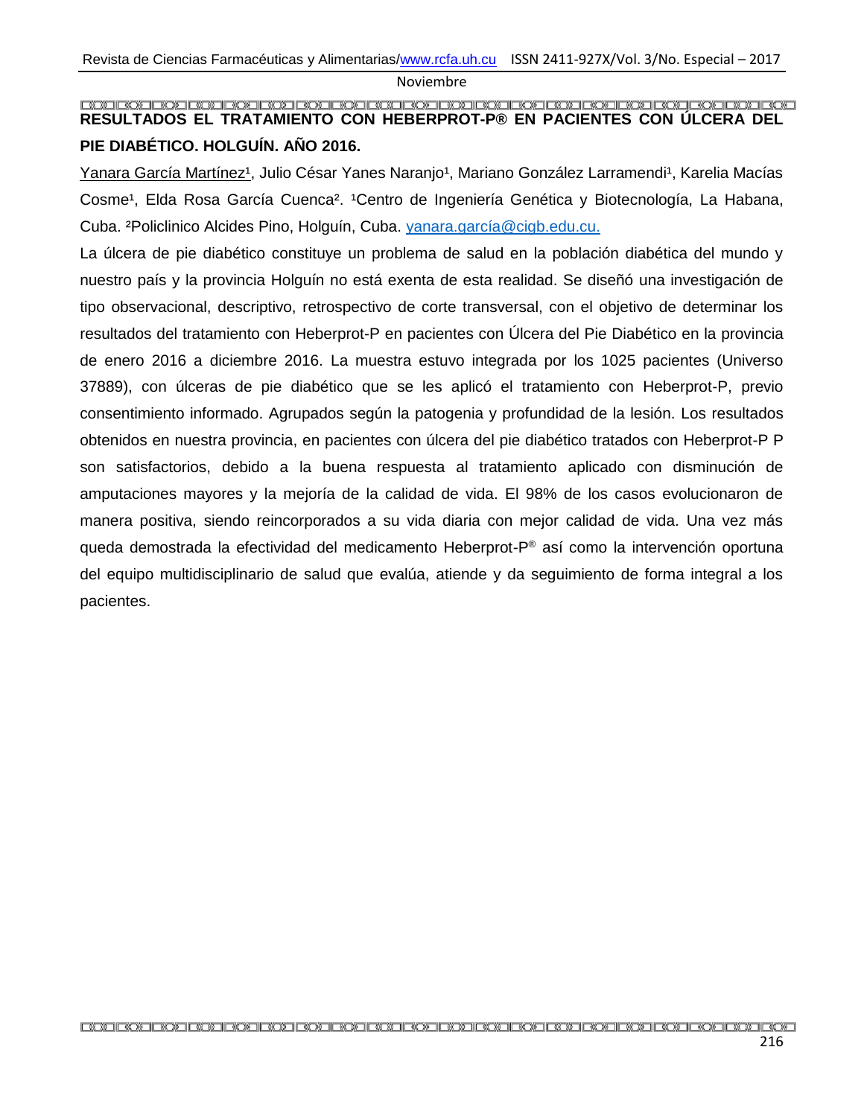### <span id="page-44-0"></span>**RESULTADOS EL TRATAMIENTO CON HEBERPROT-P® EN PACIENTES CON ÚLCERA DEL PIE DIABÉTICO. HOLGUÍN. AÑO 2016.**

Yanara García Martínez<sup>1</sup>, Julio César Yanes Naranjo<sup>1</sup>, Mariano González Larramendi<sup>1</sup>, Karelia Macías Cosme<sup>1</sup>, Elda Rosa García Cuenca<sup>2</sup>. <sup>1</sup>Centro de Ingeniería Genética y Biotecnología, La Habana, Cuba. ²Policlinico Alcides Pino, Holguín, Cuba. [yanara.garcía@cigb.edu.cu.](mailto:yanara.garcía@cigb.edu.cu)

La úlcera de pie diabético constituye un problema de salud en la población diabética del mundo y nuestro país y la provincia Holguín no está exenta de esta realidad. Se diseñó una investigación de tipo observacional, descriptivo, retrospectivo de corte transversal, con el objetivo de determinar los resultados del tratamiento con Heberprot-P en pacientes con Úlcera del Pie Diabético en la provincia de enero 2016 a diciembre 2016. La muestra estuvo integrada por los 1025 pacientes (Universo 37889), con úlceras de pie diabético que se les aplicó el tratamiento con Heberprot-P, previo consentimiento informado. Agrupados según la patogenia y profundidad de la lesión. Los resultados obtenidos en nuestra provincia, en pacientes con úlcera del pie diabético tratados con Heberprot-P P son satisfactorios, debido a la buena respuesta al tratamiento aplicado con disminución de amputaciones mayores y la mejoría de la calidad de vida. El 98% de los casos evolucionaron de manera positiva, siendo reincorporados a su vida diaria con mejor calidad de vida. Una vez más queda demostrada la efectividad del medicamento Heberprot-P ® así como la intervención oportuna del equipo multidisciplinario de salud que evalúa, atiende y da seguimiento de forma integral a los pacientes.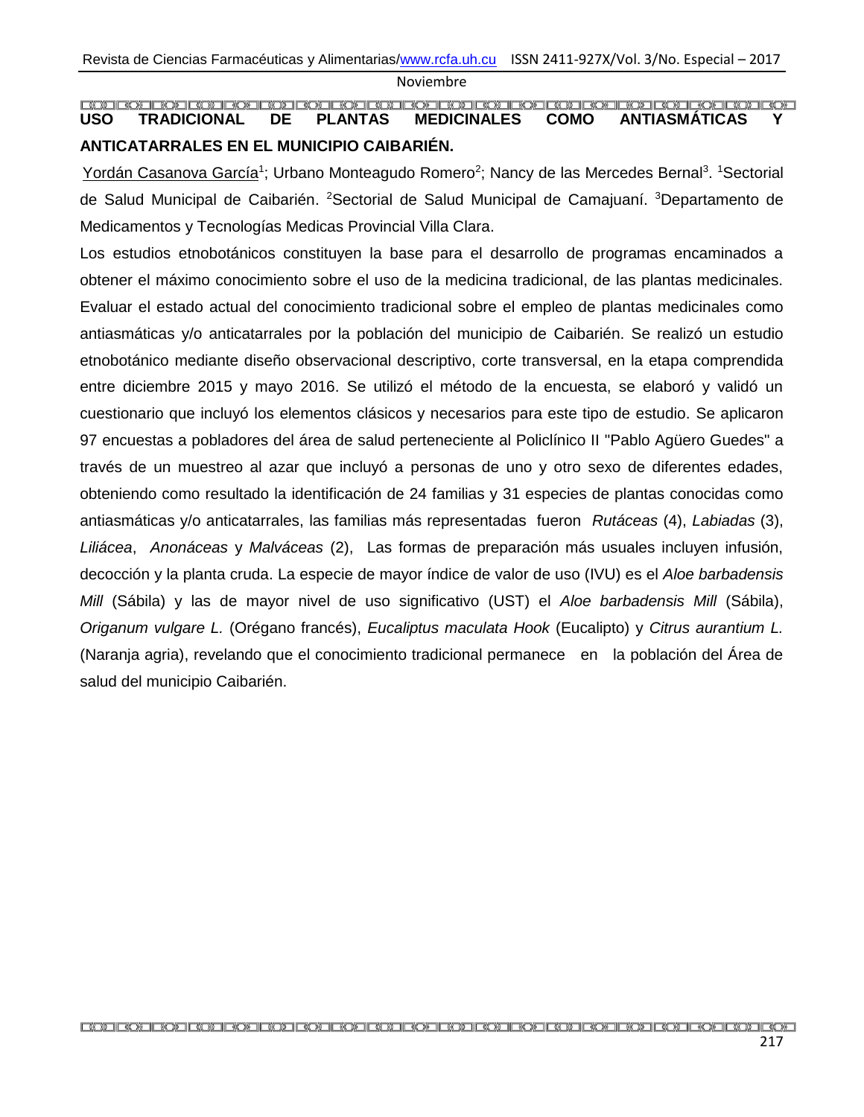## <span id="page-45-0"></span>**USO TRADICIONAL DE PLANTAS MEDICINALES COMO ANTIASMÁTICAS Y ANTICATARRALES EN EL MUNICIPIO CAIBARIÉN.**

Yordán Casanova García<sup>1</sup>; Urbano Monteagudo Romero<sup>2</sup>; Nancy de las Mercedes Bernal<sup>3</sup>. <sup>1</sup>Sectorial de Salud Municipal de Caibarién. <sup>2</sup>Sectorial de Salud Municipal de Camajuaní. <sup>3</sup>Departamento de Medicamentos y Tecnologías Medicas Provincial Villa Clara.

Los estudios etnobotánicos constituyen la base para el desarrollo de programas encaminados a obtener el máximo conocimiento sobre el uso de la medicina tradicional, de las plantas medicinales. Evaluar el estado actual del conocimiento tradicional sobre el empleo de plantas medicinales como antiasmáticas y/o anticatarrales por la población del municipio de Caibarién. Se realizó un estudio etnobotánico mediante diseño observacional descriptivo, corte transversal, en la etapa comprendida entre diciembre 2015 y mayo 2016. Se utilizó el método de la encuesta, se elaboró y validó un cuestionario que incluyó los elementos clásicos y necesarios para este tipo de estudio. Se aplicaron 97 encuestas a pobladores del área de salud perteneciente al Policlínico II "Pablo Agüero Guedes" a través de un muestreo al azar que incluyó a personas de uno y otro sexo de diferentes edades, obteniendo como resultado la identificación de 24 familias y 31 especies de plantas conocidas como antiasmáticas y/o anticatarrales, las familias más representadas fueron *Rutáceas* (4), *Labiadas* (3), *Liliácea*, *Anonáceas* y *Malváceas* (2), Las formas de preparación más usuales incluyen infusión, decocción y la planta cruda. La especie de mayor índice de valor de uso (IVU) es el *Aloe barbadensis Mill* (Sábila) y las de mayor nivel de uso significativo (UST) el *Aloe barbadensis Mill* (Sábila), *Origanum vulgare L.* (Orégano francés), *Eucaliptus maculata Hook* (Eucalipto) y *Citrus aurantium L.* (Naranja agria), revelando que el conocimiento tradicional permanece en la población del Área de salud del municipio Caibarién.